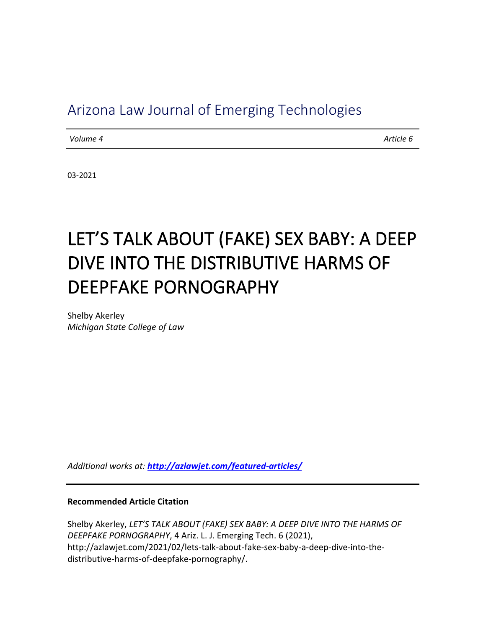## Arizona Law Journal of Emerging Technologies

*Volume 4 Article 6* 

03-2021

# LET'S TALK ABOUT (FAKE) SEX BABY: A DEEP DIVE INTO THE DISTRIBUTIVE HARMS OF DEEPFAKE PORNOGRAPHY

Shelby Akerley *Michigan State College of Law*

*Additional works at: <http://azlawjet.com/featured-articles/>*

#### **Recommended Article Citation**

Shelby Akerley, *LET'S TALK ABOUT (FAKE) SEX BABY: A DEEP DIVE INTO THE HARMS OF DEEPFAKE PORNOGRAPHY*, 4 Ariz. L. J. Emerging Tech. 6 (2021), http://azlawjet.com/2021/02/lets-talk-about-fake-sex-baby-a-deep-dive-into-thedistributive-harms-of-deepfake-pornography/.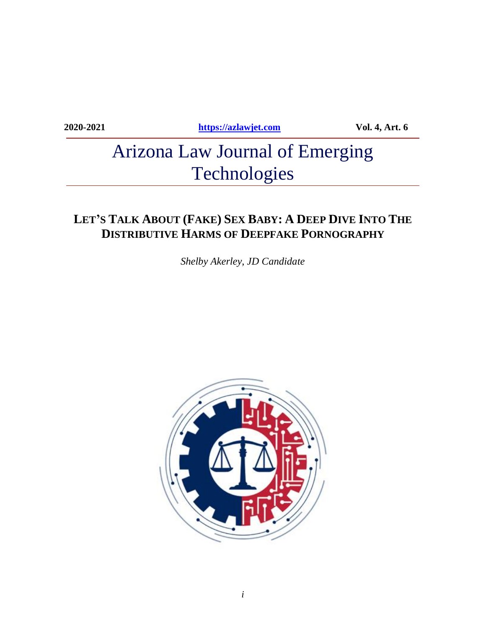**2020-2021 [https://azlawjet.com](https://azlawjet.com/) Vol. 4, Art. 6**

# Arizona Law Journal of Emerging Technologies

## LET'S TALK ABOUT (FAKE) SEX BABY: A DEEP DIVE INTO THE **DISTRIBUTIVE HARMS OF DEEPFAKE PORNOGRAPHY**

*Shelby Akerley*, *JD Candidate*

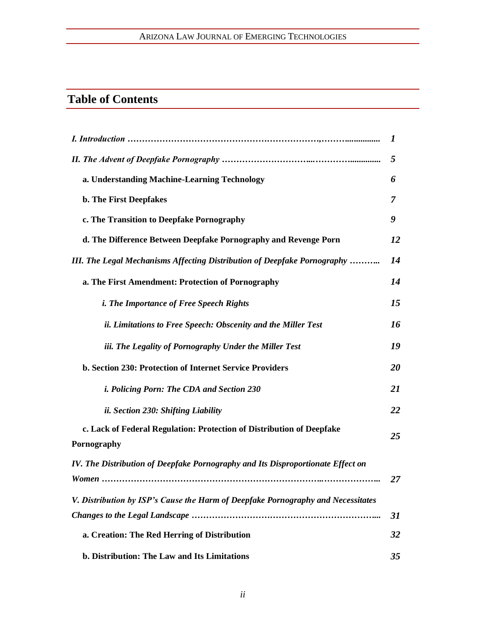## ARIZONA LAW JOURNAL OF EMERGING TECHNOLOGIES

## **Table of Contents**

|                                                                                      | $\mathbf{I}$ |
|--------------------------------------------------------------------------------------|--------------|
|                                                                                      | 5            |
| a. Understanding Machine-Learning Technology                                         | 6            |
| b. The First Deepfakes                                                               | 7            |
| c. The Transition to Deepfake Pornography                                            | 9            |
| d. The Difference Between Deepfake Pornography and Revenge Porn                      | 12           |
| III. The Legal Mechanisms Affecting Distribution of Deepfake Pornography             | 14           |
| a. The First Amendment: Protection of Pornography                                    | 14           |
| <i>i. The Importance of Free Speech Rights</i>                                       | 15           |
| ii. Limitations to Free Speech: Obscenity and the Miller Test                        | 16           |
| iii. The Legality of Pornography Under the Miller Test                               | 19           |
| b. Section 230: Protection of Internet Service Providers                             | 20           |
| <i>i. Policing Porn: The CDA and Section 230</i>                                     | 21           |
| ii. Section 230: Shifting Liability                                                  | 22           |
| c. Lack of Federal Regulation: Protection of Distribution of Deepfake<br>Pornography | 25           |
| IV. The Distribution of Deepfake Pornography and Its Disproportionate Effect on      |              |
|                                                                                      | 27           |
| V. Distribution by ISP's Cause the Harm of Deepfake Pornography and Necessitates     |              |
|                                                                                      | 31           |
| a. Creation: The Red Herring of Distribution                                         | 32           |
| b. Distribution: The Law and Its Limitations                                         | 35           |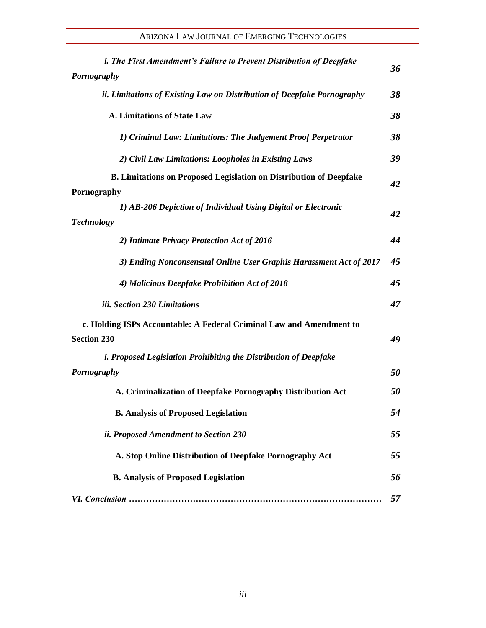| <i>i. The First Amendment's Failure to Prevent Distribution of Deepfake</i> | 36 |
|-----------------------------------------------------------------------------|----|
| <b>Pornography</b>                                                          |    |
| ii. Limitations of Existing Law on Distribution of Deepfake Pornography     | 38 |
| A. Limitations of State Law                                                 | 38 |
| 1) Criminal Law: Limitations: The Judgement Proof Perpetrator               | 38 |
| 2) Civil Law Limitations: Loopholes in Existing Laws                        | 39 |
| <b>B. Limitations on Proposed Legislation on Distribution of Deepfake</b>   | 42 |
| Pornography                                                                 |    |
| 1) AB-206 Depiction of Individual Using Digital or Electronic               | 42 |
| <b>Technology</b>                                                           |    |
| 2) Intimate Privacy Protection Act of 2016                                  | 44 |
| 3) Ending Nonconsensual Online User Graphis Harassment Act of 2017          | 45 |
| 4) Malicious Deepfake Prohibition Act of 2018                               | 45 |
| iii. Section 230 Limitations                                                | 47 |
| c. Holding ISPs Accountable: A Federal Criminal Law and Amendment to        |    |
| <b>Section 230</b>                                                          | 49 |
| <i>i. Proposed Legislation Prohibiting the Distribution of Deepfake</i>     |    |
| <b>Pornography</b>                                                          | 50 |
| A. Criminalization of Deepfake Pornography Distribution Act                 | 50 |
| <b>B. Analysis of Proposed Legislation</b>                                  | 54 |
| ii. Proposed Amendment to Section 230                                       | 55 |
| A. Stop Online Distribution of Deepfake Pornography Act                     | 55 |
| <b>B. Analysis of Proposed Legislation</b>                                  | 56 |
|                                                                             | 57 |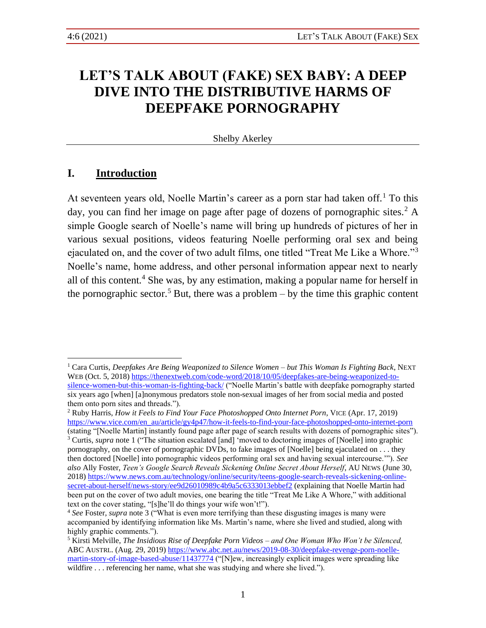## **LET'S TALK ABOUT (FAKE) SEX BABY: A DEEP DIVE INTO THE DISTRIBUTIVE HARMS OF DEEPFAKE PORNOGRAPHY**

#### <span id="page-6-2"></span><span id="page-6-1"></span><span id="page-6-0"></span>Shelby Akerley

## **I. Introduction**

At seventeen years old, Noelle Martin's career as a porn star had taken off.<sup>1</sup> To this day, you can find her image on page after page of dozens of pornographic sites.<sup>2</sup> A simple Google search of Noelle's name will bring up hundreds of pictures of her in various sexual positions, videos featuring Noelle performing oral sex and being ejaculated on, and the cover of two adult films, one titled "Treat Me Like a Whore."<sup>3</sup> Noelle's name, home address, and other personal information appear next to nearly all of this content.<sup>4</sup> She was, by any estimation, making a popular name for herself in the pornographic sector.<sup>5</sup> But, there was a problem – by the time this graphic content

<span id="page-6-3"></span><sup>1</sup> Cara Curtis, *Deepfakes Are Being Weaponized to Silence Women – but This Woman Is Fighting Back*, NEXT WEB (Oct. 5, 2018[\) https://thenextweb.com/code-word/2018/10/05/deepfakes-are-being-weaponized-to](https://thenextweb.com/code-word/2018/10/05/deepfakes-are-being-weaponized-to-silence-women-but-this-woman-is-fighting-back/)[silence-women-but-this-woman-is-fighting-back/](https://thenextweb.com/code-word/2018/10/05/deepfakes-are-being-weaponized-to-silence-women-but-this-woman-is-fighting-back/) ("Noelle Martin's battle with deepfake pornography started six years ago [when] [a]nonymous predators stole non-sexual images of her from social media and posted them onto porn sites and threads.").

<sup>2</sup> Ruby Harris, *How it Feels to Find Your Face Photoshopped Onto Internet Porn*, VICE (Apr. 17, 2019) [https://www.vice.com/en\\_au/article/gy4p47/how-it-feels-to-find-your-face-photoshopped-onto-internet-porn](https://www.vice.com/en_au/article/gy4p47/how-it-feels-to-find-your-face-photoshopped-onto-internet-porn) (stating "[Noelle Martin] instantly found page after page of search results with dozens of pornographic sites").

<sup>3</sup> Curtis, *supra* note [1](#page-6-0) ("The situation escalated [and] 'moved to doctoring images of [Noelle] into graphic pornography, on the cover of pornographic DVDs, to fake images of [Noelle] being ejaculated on . . . they then doctored [Noelle] into pornographic videos performing oral sex and having sexual intercourse.'"). *See also* Ally Foster, *Teen's Google Search Reveals Sickening Online Secret About Herself*, AU NEWS (June 30, 2018) [https://www.news.com.au/technology/online/security/teens-google-search-reveals-sickening-online](https://www.news.com.au/technology/online/security/teens-google-search-reveals-sickening-online-secret-about-herself/news-story/ee9d26010989c4b9a5c6333013ebbef2)[secret-about-herself/news-story/ee9d26010989c4b9a5c6333013ebbef2](https://www.news.com.au/technology/online/security/teens-google-search-reveals-sickening-online-secret-about-herself/news-story/ee9d26010989c4b9a5c6333013ebbef2) (explaining that Noelle Martin had been put on the cover of two adult movies, one bearing the title "Treat Me Like A Whore," with additional text on the cover stating, "[s]he'll do things your wife won't!").

<sup>4</sup> *See* Foster, *supra* not[e 3](#page-6-1) ("What is even more terrifying than these disgusting images is many were accompanied by identifying information like Ms. Martin's name, where she lived and studied, along with highly graphic comments.").

<sup>5</sup> Kirsti Melville, *The Insidious Rise of Deepfake Porn Videos – and One Woman Who Won't be Silenced,*  ABC AUSTRL. (Aug. 29, 2019[\) https://www.abc.net.au/news/2019-08-30/deepfake-revenge-porn-noelle](https://www.abc.net.au/news/2019-08-30/deepfake-revenge-porn-noelle-martin-story-of-image-based-abuse/11437774)[martin-story-of-image-based-abuse/11437774](https://www.abc.net.au/news/2019-08-30/deepfake-revenge-porn-noelle-martin-story-of-image-based-abuse/11437774) ("[N]ew, increasingly explicit images were spreading like wildfire . . . referencing her name, what she was studying and where she lived.").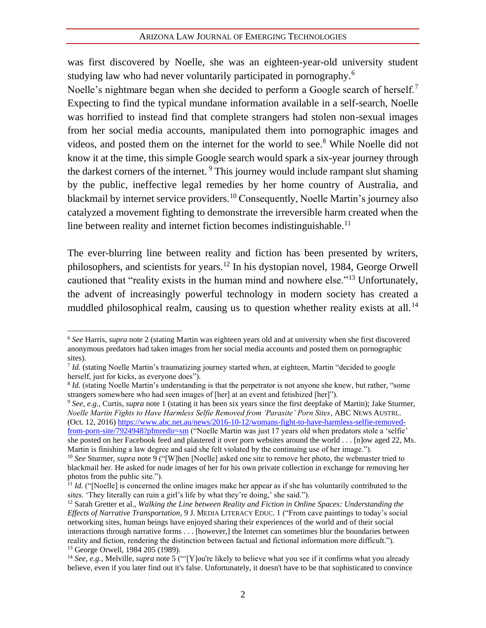was first discovered by Noelle, she was an eighteen-year-old university student studying law who had never voluntarily participated in pornography.<sup>6</sup>

Noelle's nightmare began when she decided to perform a Google search of herself.<sup>7</sup> Expecting to find the typical mundane information available in a self-search, Noelle was horrified to instead find that complete strangers had stolen non-sexual images from her social media accounts, manipulated them into pornographic images and videos, and posted them on the internet for the world to see.<sup>8</sup> While Noelle did not know it at the time, this simple Google search would spark a six-year journey through the darkest corners of the internet.<sup>9</sup> This journey would include rampant slut shaming by the public, ineffective legal remedies by her home country of Australia, and blackmail by internet service providers.<sup>10</sup> Consequently, Noelle Martin's journey also catalyzed a movement fighting to demonstrate the irreversible harm created when the line between reality and internet fiction becomes indistinguishable.<sup>11</sup>

<span id="page-7-1"></span><span id="page-7-0"></span>The ever-blurring line between reality and fiction has been presented by writers, philosophers, and scientists for years.<sup>12</sup> In his dystopian novel, 1984, George Orwell cautioned that "reality exists in the human mind and nowhere else."<sup>13</sup> Unfortunately, the advent of increasingly powerful technology in modern society has created a muddled philosophical realm, causing us to question whether reality exists at all.<sup>14</sup>

<sup>9</sup> *See, e.g.*, Curtis, *supra* not[e 1](#page-6-0) (stating it has been six years since the first deepfake of Martin); Jake Sturmer, *Noelle Martin Fights to Have Harmless Selfie Removed from 'Parasite' Porn Sites*, ABC NEWS AUSTRL. (Oct. 12, 2016[\) https://www.abc.net.au/news/2016-10-12/womans-fight-to-have-harmless-selfie-removed](https://www.abc.net.au/news/2016-10-12/womans-fight-to-have-harmless-selfie-removed-from-porn-site/7924948?pfmredir=sm)[from-porn-site/7924948?pfmredir=sm](https://www.abc.net.au/news/2016-10-12/womans-fight-to-have-harmless-selfie-removed-from-porn-site/7924948?pfmredir=sm) ("Noelle Martin was just 17 years old when predators stole a 'selfie' she posted on her Facebook feed and plastered it over porn websites around the world . . . [n]ow aged 22, Ms. Martin is finishing a law degree and said she felt violated by the continuing use of her image.").

<span id="page-7-2"></span><sup>6</sup> *See* Harris, *supra* note [2](#page-6-2) (stating Martin was eighteen years old and at university when she first discovered anonymous predators had taken images from her social media accounts and posted them on pornographic sites).

*Id.* (stating Noelle Martin's traumatizing journey started when, at eighteen, Martin "decided to google herself, just for kicks, as everyone does").

<sup>&</sup>lt;sup>8</sup> *Id.* (stating Noelle Martin's understanding is that the perpetrator is not anyone she knew, but rather, "some strangers somewhere who had seen images of [her] at an event and fetishized [her]").

<sup>&</sup>lt;sup>10</sup> *See* Sturmer, *supra* not[e 9](#page-7-0) ("[W]hen [Noelle] asked one site to remove her photo, the webmaster tried to blackmail her. He asked for nude images of her for his own private collection in exchange for removing her photos from the public site.").

<sup>&</sup>lt;sup>11</sup> *Id.* ("[Noelle] is concerned the online images make her appear as if she has voluntarily contributed to the sites. 'They literally can ruin a girl's life by what they're doing,' she said.").

<sup>12</sup> Sarah Gretter et al., *Walking the Line between Reality and Fiction in Online Spaces: Understanding the Effects of Narrative Transportation*, 9 J. MEDIA LITERACY EDUC. 1 ("From cave paintings to today's social networking sites, human beings have enjoyed sharing their experiences of the world and of their social interactions through narrative forms . . . [however,] the Internet can sometimes blur the boundaries between reality and fiction, rendering the distinction between factual and fictional information more difficult."). <sup>13</sup> George Orwell, 1984 205 (1989).

<sup>14</sup> *See, e.g.*, Melville, *supra* not[e 5](#page-6-3) ("'[Y]ou're likely to believe what you see if it confirms what you already believe, even if you later find out it's false. Unfortunately, it doesn't have to be that sophisticated to convince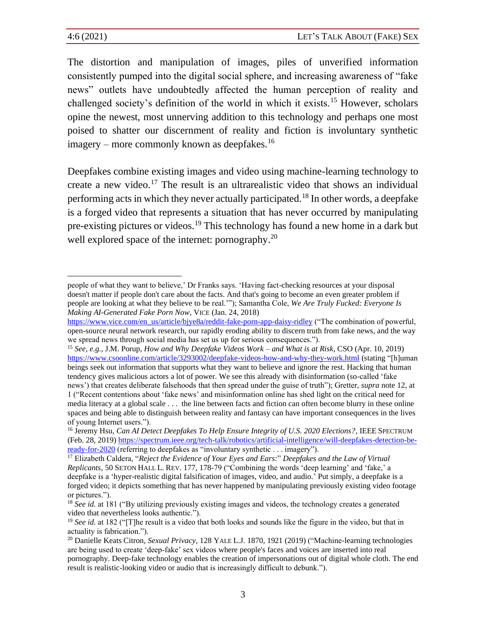The distortion and manipulation of images, piles of unverified information consistently pumped into the digital social sphere, and increasing awareness of "fake news" outlets have undoubtedly affected the human perception of reality and challenged society's definition of the world in which it exists.<sup>15</sup> However, scholars opine the newest, most unnerving addition to this technology and perhaps one most poised to shatter our discernment of reality and fiction is involuntary synthetic  $imagery - more commonly known as deepfakes.<sup>16</sup>$ 

Deepfakes combine existing images and video using machine-learning technology to create a new video.<sup>17</sup> The result is an ultrarealistic video that shows an individual performing acts in which they never actually participated.<sup>18</sup> In other words, a deepfake is a forged video that represents a situation that has never occurred by manipulating pre-existing pictures or videos.<sup>19</sup> This technology has found a new home in a dark but well explored space of the internet: pornography.<sup>20</sup>

<sup>15</sup> *See, e.g.*, J.M. Porup, *How and Why Deepfake Videos Work* – *and What is at Risk*, CSO (Apr. 10, 2019) <https://www.csoonline.com/article/3293002/deepfake-videos-how-and-why-they-work.html> (stating "[h]uman beings seek out information that supports what they want to believe and ignore the rest. Hacking that human tendency gives malicious actors a lot of power. We see this already with disinformation (so-called 'fake news') that creates deliberate falsehoods that then spread under the guise of truth"); Gretter, *supra* note [12,](#page-7-1) at

<span id="page-8-0"></span>people of what they want to believe,' Dr Franks says. 'Having fact-checking resources at your disposal doesn't matter if people don't care about the facts. And that's going to become an even greater problem if people are looking at what they believe to be real.'"); Samantha Cole, *We Are Truly Fucked: Everyone Is Making AI-Generated Fake Porn Now*, VICE (Jan. 24, 2018)

[https://www.vice.com/en\\_us/article/bjye8a/reddit-fake-porn-app-daisy-ridley](https://www.vice.com/en_us/article/bjye8a/reddit-fake-porn-app-daisy-ridley) ("The combination of powerful, open-source neural network research, our rapidly eroding ability to discern truth from fake news, and the way we spread news through social media has set us up for serious consequences.").

<sup>1 (&</sup>quot;Recent contentions about 'fake news' and misinformation online has shed light on the critical need for media literacy at a global scale . . . the line between facts and fiction can often become blurry in these online spaces and being able to distinguish between reality and fantasy can have important consequences in the lives of young Internet users.").

<sup>&</sup>lt;sup>16</sup> Jeremy Hsu, *Can AI Detect Deepfakes To Help Ensure Integrity of U.S.* 2020 Elections?, IEEE SPECTRUM (Feb. 28, 2019) [https://spectrum.ieee.org/tech-talk/robotics/artificial-intelligence/will-deepfakes-detection-be](https://spectrum.ieee.org/tech-talk/robotics/artificial-intelligence/will-deepfakes-detection-be-ready-for-2020)[ready-for-2020](https://spectrum.ieee.org/tech-talk/robotics/artificial-intelligence/will-deepfakes-detection-be-ready-for-2020) (referring to deepfakes as "involuntary synthetic . . . imagery").

<sup>17</sup> Elizabeth Caldera, "*Reject the Evidence of Your Eyes and Ears:*" *Deepfakes and the Law of Virtual Replicants*, 50 SETON HALL L. REV. 177, 178-79 ("Combining the words 'deep learning' and 'fake,' a deepfake is a 'hyper-realistic digital falsification of images, video, and audio.' Put simply, a deepfake is a forged video; it depicts something that has never happened by manipulating previously existing video footage or pictures.").

<sup>&</sup>lt;sup>18</sup> *See id.* at 181 ("By utilizing previously existing images and videos, the technology creates a generated video that nevertheless looks authentic.").

<sup>&</sup>lt;sup>19</sup> *See id.* at 182 ("[T]he result is a video that both looks and sounds like the figure in the video, but that in actuality is fabrication.").

<sup>20</sup> Danielle Keats Citron, *Sexual Privacy,* 128 YALE L.J. 1870, 1921 (2019) ("Machine-learning technologies are being used to create 'deep-fake' sex videos where people's faces and voices are inserted into real pornography. Deep-fake technology enables the creation of impersonations out of digital whole cloth. The end result is realistic-looking video or audio that is increasingly difficult to debunk.").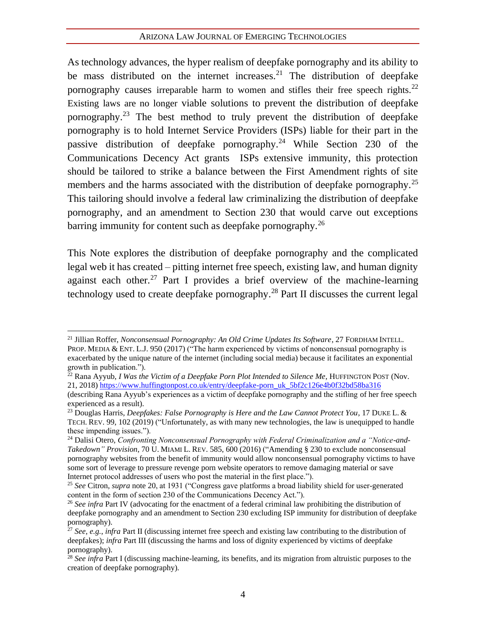<span id="page-9-2"></span><span id="page-9-1"></span><span id="page-9-0"></span>As technology advances, the hyper realism of deepfake pornography and its ability to be mass distributed on the internet increases.<sup>21</sup> The distribution of deepfake pornography causes irreparable harm to women and stifles their free speech rights.<sup>22</sup> Existing laws are no longer viable solutions to prevent the distribution of deepfake pornography.<sup>23</sup> The best method to truly prevent the distribution of deepfake pornography is to hold Internet Service Providers (ISPs) liable for their part in the passive distribution of deepfake pornography.<sup>24</sup> While Section 230 of the Communications Decency Act grants ISPs extensive immunity, this protection should be tailored to strike a balance between the First Amendment rights of site members and the harms associated with the distribution of deepfake pornography.<sup>25</sup> This tailoring should involve a federal law criminalizing the distribution of deepfake pornography, and an amendment to Section 230 that would carve out exceptions barring immunity for content such as deepfake pornography.<sup>26</sup>

This Note explores the distribution of deepfake pornography and the complicated legal web it has created – pitting internet free speech, existing law, and human dignity against each other.<sup>27</sup> Part I provides a brief overview of the machine-learning technology used to create deepfake pornography.<sup>28</sup> Part II discusses the current legal

<sup>21</sup> Jillian Roffer, *Nonconsensual Pornography: An Old Crime Updates Its Software*, 27 FORDHAM INTELL. PROP. MEDIA & ENT. L.J. 950 (2017) ("The harm experienced by victims of nonconsensual pornography is exacerbated by the unique nature of the internet (including social media) because it facilitates an exponential growth in publication.").

<sup>22</sup> Rana Ayyub, *I Was the Victim of a Deepfake Porn Plot Intended to Silence Me*, HUFFINGTON POST (Nov. 21, 2018) [https://www.huffingtonpost.co.uk/entry/deepfake-porn\\_uk\\_5bf2c126e4b0f32bd58ba316](https://www.huffingtonpost.co.uk/entry/deepfake-porn_uk_5bf2c126e4b0f32bd58ba316)

<sup>(</sup>describing Rana Ayyub's experiences as a victim of deepfake pornography and the stifling of her free speech experienced as a result).

<sup>23</sup> Douglas Harris, *Deepfakes: False Pornography is Here and the Law Cannot Protect You*, 17 DUKE L. & TECH. REV. 99, 102 (2019) ("Unfortunately, as with many new technologies, the law is unequipped to handle these impending issues.").

<sup>&</sup>lt;sup>24</sup> Dalisi Otero, *Confronting Nonconsensual Pornography with Federal Criminalization and a "Notice-and-Takedown" Provision*, 70 U. MIAMI L. REV. 585, 600 (2016) ("Amending § 230 to exclude nonconsensual pornography websites from the benefit of immunity would allow nonconsensual pornography victims to have some sort of leverage to pressure revenge porn website operators to remove damaging material or save Internet protocol addresses of users who post the material in the first place.").

<sup>25</sup> *See* Citron, *supra* note [20,](#page-8-0) at 1931 ("Congress gave platforms a broad liability shield for user-generated content in the form of section 230 of the Communications Decency Act.").

<sup>26</sup> *See infra* Part IV (advocating for the enactment of a federal criminal law prohibiting the distribution of deepfake pornography and an amendment to Section 230 excluding ISP immunity for distribution of deepfake pornography).

<sup>&</sup>lt;sup>27</sup> See, e.g., *infra* Part II (discussing internet free speech and existing law contributing to the distribution of deepfakes); *infra* Part III (discussing the harms and loss of dignity experienced by victims of deepfake pornography).

<sup>28</sup> *See infra* Part I (discussing machine-learning, its benefits, and its migration from altruistic purposes to the creation of deepfake pornography).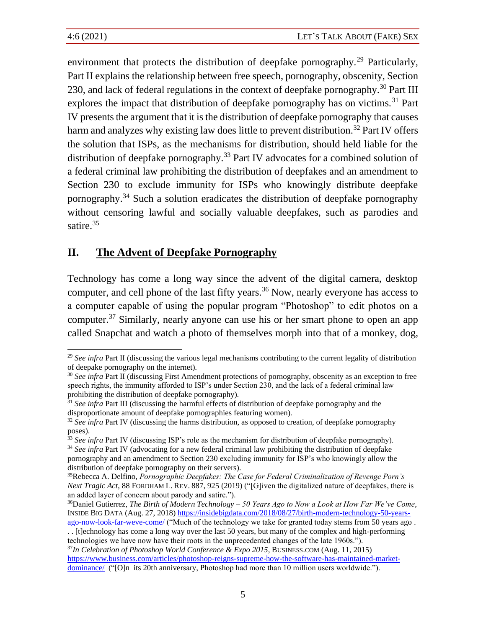environment that protects the distribution of deepfake pornography.<sup>29</sup> Particularly, Part II explains the relationship between free speech, pornography, obscenity, Section 230, and lack of federal regulations in the context of deepfake pornography.<sup>30</sup> Part III explores the impact that distribution of deepfake pornography has on victims.<sup>31</sup> Part IV presents the argument that it is the distribution of deepfake pornography that causes harm and analyzes why existing law does little to prevent distribution.<sup>32</sup> Part IV offers the solution that ISPs, as the mechanisms for distribution, should held liable for the distribution of deepfake pornography.<sup>33</sup> Part IV advocates for a combined solution of a federal criminal law prohibiting the distribution of deepfakes and an amendment to Section 230 to exclude immunity for ISPs who knowingly distribute deepfake pornography.<sup>34</sup> Such a solution eradicates the distribution of deepfake pornography without censoring lawful and socially valuable deepfakes, such as parodies and satire.<sup>35</sup>

## <span id="page-10-0"></span>**II. The Advent of Deepfake Pornography**

Technology has come a long way since the advent of the digital camera, desktop computer, and cell phone of the last fifty years.<sup>36</sup> Now, nearly everyone has access to a computer capable of using the popular program "Photoshop" to edit photos on a computer.<sup>37</sup> Similarly, nearly anyone can use his or her smart phone to open an app called Snapchat and watch a photo of themselves morph into that of a monkey, dog,

<sup>&</sup>lt;sup>29</sup> See infra Part II (discussing the various legal mechanisms contributing to the current legality of distribution of deepake pornography on the internet).

<sup>30</sup> *See infra* Part II (discussing First Amendment protections of pornography, obscenity as an exception to free speech rights, the immunity afforded to ISP's under Section 230, and the lack of a federal criminal law prohibiting the distribution of deepfake pornography).

<sup>31</sup> *See infra* Part III (discussing the harmful effects of distribution of deepfake pornography and the disproportionate amount of deepfake pornographies featuring women).

<sup>&</sup>lt;sup>32</sup> See infra Part IV (discussing the harms distribution, as opposed to creation, of deepfake pornography poses).

<sup>&</sup>lt;sup>33</sup> See infra Part IV (discussing ISP's role as the mechanism for distribution of deepfake pornography). <sup>34</sup> See infra Part IV (advocating for a new federal criminal law prohibiting the distribution of deepfake pornography and an amendment to Section 230 excluding immunity for ISP's who knowingly allow the distribution of deepfake pornography on their servers).

<sup>35</sup>Rebecca A. Delfino, *Pornographic Deepfakes: The Case for Federal Criminalization of Revenge Porn's Next Tragic Act*, 88 FORDHAM L. REV. 887, 925 (2019) ("[G]iven the digitalized nature of deepfakes, there is an added layer of concern about parody and satire.").

<sup>36</sup>Daniel Gutierrez, *The Birth of Modern Technology – 50 Years Ago to Now a Look at How Far We've Come*, INSIDE BIG DATA (Aug. 27, 2018[\) https://insidebigdata.com/2018/08/27/birth-modern-technology-50-years-](https://insidebigdata.com/2018/08/27/birth-modern-technology-50-years-ago-now-look-far-weve-come/)

[ago-now-look-far-weve-come/](https://insidebigdata.com/2018/08/27/birth-modern-technology-50-years-ago-now-look-far-weve-come/) ("Much of the technology we take for granted today stems from 50 years ago . . . [t]echnology has come a long way over the last 50 years, but many of the complex and high-performing technologies we have now have their roots in the unprecedented changes of the late 1960s.").

<sup>&</sup>lt;sup>37</sup>*In Celebration of Photoshop World Conference & Expo 2015, BUSINESS.COM (Aug. 11, 2015)* [https://www.business.com/articles/photoshop-reigns-supreme-how-the-software-has-maintained-market](https://www.business.com/articles/photoshop-reigns-supreme-how-the-software-has-maintained-market-dominance/)[dominance/](https://www.business.com/articles/photoshop-reigns-supreme-how-the-software-has-maintained-market-dominance/) ("[O]n its 20th anniversary, Photoshop had more than 10 million users worldwide.").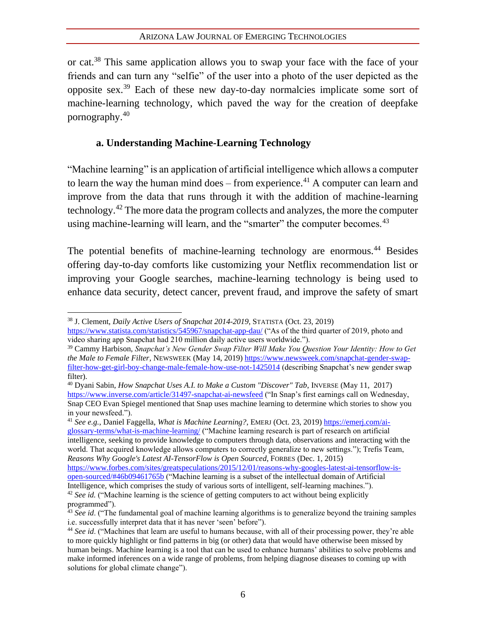or cat.<sup>38</sup> This same application allows you to swap your face with the face of your friends and can turn any "selfie" of the user into a photo of the user depicted as the opposite sex.<sup>39</sup> Each of these new day-to-day normalcies implicate some sort of machine-learning technology, which paved the way for the creation of deepfake pornography.<sup>40</sup>

## **a. Understanding Machine-Learning Technology**

"Machine learning" is an application of artificial intelligence which allows a computer to learn the way the human mind does – from experience.<sup>41</sup> A computer can learn and improve from the data that runs through it with the addition of machine-learning technology.<sup>42</sup> The more data the program collects and analyzes, the more the computer using machine-learning will learn, and the "smarter" the computer becomes.<sup>43</sup>

The potential benefits of machine-learning technology are enormous.<sup>44</sup> Besides offering day-to-day comforts like customizing your Netflix recommendation list or improving your Google searches, machine-learning technology is being used to enhance data security, detect cancer, prevent fraud, and improve the safety of smart

<sup>41</sup> *See e.g.*, Daniel Faggella, *What is Machine Learning?*, EMERJ (Oct. 23, 2019) [https://emerj.com/ai](https://emerj.com/ai-glossary-terms/what-is-machine-learning/)[glossary-terms/what-is-machine-learning/](https://emerj.com/ai-glossary-terms/what-is-machine-learning/) ("Machine learning research is part of research on artificial intelligence, seeking to provide knowledge to computers through data, observations and interacting with the world. That acquired knowledge allows computers to correctly generalize to new settings."); Trefis Team, *Reasons Why Google's Latest AI-TensorFlow is Open Sourced*, FORBES (Dec. 1, 2015) [https://www.forbes.com/sites/greatspeculations/2015/12/01/reasons-why-googles-latest-ai-tensorflow-is-](https://www.forbes.com/sites/greatspeculations/2015/12/01/reasons-why-googles-latest-ai-tensorflow-is-open-sourced/#46b09461765b)

[open-sourced/#46b09461765b](https://www.forbes.com/sites/greatspeculations/2015/12/01/reasons-why-googles-latest-ai-tensorflow-is-open-sourced/#46b09461765b) ("Machine learning is a subset of the intellectual domain of Artificial Intelligence, which comprises the study of various sorts of intelligent, self-learning machines."). <sup>42</sup> *See id.* ("Machine learning is the science of getting computers to act without being explicitly programmed").

<sup>38</sup> J. Clement, *Daily Active Users of Snapchat 2014-2019*, STATISTA (Oct. 23, 2019) <https://www.statista.com/statistics/545967/snapchat-app-dau/> ("As of the third quarter of 2019, photo and

video sharing app Snapchat had 210 million daily active users worldwide.").

<sup>39</sup> Cammy Harbison, *Snapchat's New Gender Swap Filter Will Make You Question Your Identity: How to Get the Male to Female Filter*, NEWSWEEK (May 14, 2019) [https://www.newsweek.com/snapchat-gender-swap](https://www.newsweek.com/snapchat-gender-swap-filter-how-get-girl-boy-change-male-female-how-use-not-1425014)[filter-how-get-girl-boy-change-male-female-how-use-not-1425014](https://www.newsweek.com/snapchat-gender-swap-filter-how-get-girl-boy-change-male-female-how-use-not-1425014) (describing Snapchat's new gender swap filter).

<sup>40</sup> Dyani Sabin, *How Snapchat Uses A.I. to Make a Custom "Discover" Tab*, INVERSE (May 11, 2017) <https://www.inverse.com/article/31497-snapchat-ai-newsfeed> ("In Snap's first earnings call on Wednesday, Snap CEO Evan Spiegel mentioned that Snap uses machine learning to determine which stories to show you in your newsfeed.").

<sup>&</sup>lt;sup>43</sup> *See id.* ("The fundamental goal of machine learning algorithms is to generalize beyond the training samples i.e. successfully interpret data that it has never 'seen' before").

<sup>&</sup>lt;sup>44</sup> See id. ("Machines that learn are useful to humans because, with all of their processing power, they're able to more quickly highlight or find patterns in big (or other) data that would have otherwise been missed by human beings. Machine learning is a tool that can be used to enhance humans' abilities to solve problems and make informed inferences on a wide range of problems, from helping diagnose diseases to coming up with solutions for global climate change").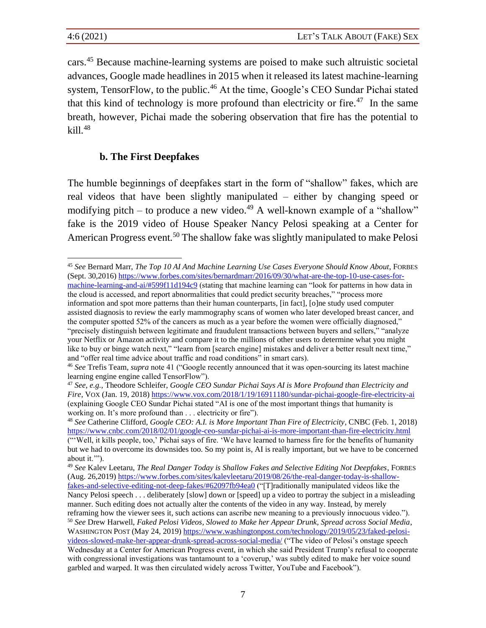cars.<sup>45</sup> Because machine-learning systems are poised to make such altruistic societal advances, Google made headlines in 2015 when it released its latest machine-learning system, TensorFlow, to the public.<sup>46</sup> At the time, Google's CEO Sundar Pichai stated that this kind of technology is more profound than electricity or fire.<sup>47</sup> In the same breath, however, Pichai made the sobering observation that fire has the potential to  $kill.<sup>48</sup>$ 

## **b. The First Deepfakes**

The humble beginnings of deepfakes start in the form of "shallow" fakes, which are real videos that have been slightly manipulated – either by changing speed or modifying pitch – to produce a new video.<sup>49</sup> A well-known example of a "shallow" fake is the 2019 video of House Speaker Nancy Pelosi speaking at a Center for American Progress event.<sup>50</sup> The shallow fake was slightly manipulated to make Pelosi

<sup>45</sup> *See* Bernard Marr, *The Top 10 AI And Machine Learning Use Cases Everyone Should Know About*, FORBES (Sept. 30,2016) [https://www.forbes.com/sites/bernardmarr/2016/09/30/what-are-the-top-10-use-cases-for](https://www.forbes.com/sites/bernardmarr/2016/09/30/what-are-the-top-10-use-cases-for-machine-learning-and-ai/#599f11d194c9)[machine-learning-and-ai/#599f11d194c9](https://www.forbes.com/sites/bernardmarr/2016/09/30/what-are-the-top-10-use-cases-for-machine-learning-and-ai/#599f11d194c9) (stating that machine learning can "look for patterns in how data in the cloud is accessed, and report abnormalities that could predict security breaches," "process more information and spot more patterns than their human counterparts, [in fact], [o]ne study used computer

assisted diagnosis to review the early mammography scans of women who later developed breast cancer, and the computer spotted 52% of the cancers as much as a year before the women were officially diagnosed," "precisely distinguish between legitimate and fraudulent transactions between buyers and sellers," "analyze your Netflix or Amazon activity and compare it to the millions of other users to determine what you might like to buy or binge watch next," "learn from [search engine] mistakes and deliver a better result next time," and "offer real time advice about traffic and road conditions" in smart cars).

<sup>46</sup> *See* Trefis Team, *supra* note 41 ("Google recently announced that it was open-sourcing its latest machine learning engine engine called TensorFlow").

<sup>47</sup> *See, e.g.*, Theodore Schleifer, *Google CEO Sundar Pichai Says AI is More Profound than Electricity and Fire*, VOX (Jan. 19, 2018)<https://www.vox.com/2018/1/19/16911180/sundar-pichai-google-fire-electricity-ai> (explaining Google CEO Sundar Pichai stated "AI is one of the most important things that humanity is working on. It's more profound than . . . electricity or fire").

<sup>48</sup> *See* Catherine Clifford, *Google CEO: A.I. is More Important Than Fire of Electricity*, CNBC (Feb. 1, 2018) <https://www.cnbc.com/2018/02/01/google-ceo-sundar-pichai-ai-is-more-important-than-fire-electricity.html> ("'Well, it kills people, too,' Pichai says of fire. 'We have learned to harness fire for the benefits of humanity but we had to overcome its downsides too. So my point is, AI is really important, but we have to be concerned about it.'").

<sup>49</sup> *See* Kalev Leetaru, *The Real Danger Today is Shallow Fakes and Selective Editing Not Deepfakes*, FORBES (Aug. 26,2019) [https://www.forbes.com/sites/kalevleetaru/2019/08/26/the-real-danger-today-is-shallow](https://www.forbes.com/sites/kalevleetaru/2019/08/26/the-real-danger-today-is-shallow-fakes-and-selective-editing-not-deep-fakes/#62097fb94ea0)[fakes-and-selective-editing-not-deep-fakes/#62097fb94ea0](https://www.forbes.com/sites/kalevleetaru/2019/08/26/the-real-danger-today-is-shallow-fakes-and-selective-editing-not-deep-fakes/#62097fb94ea0) ("[T]raditionally manipulated videos like the

Nancy Pelosi speech . . . deliberately [slow] down or [speed] up a video to portray the subject in a misleading manner. Such editing does not actually alter the contents of the video in any way. Instead, by merely reframing how the viewer sees it, such actions can ascribe new meaning to a previously innocuous video.").

<sup>50</sup> *See* Drew Harwell, *Faked Pelosi Videos, Slowed to Make her Appear Drunk, Spread across Social Media*, WASHINGTON POST (May 24, 2019[\) https://www.washingtonpost.com/technology/2019/05/23/faked-pelosi-](https://www.washingtonpost.com/technology/2019/05/23/faked-pelosi-videos-slowed-make-her-appear-drunk-spread-across-social-media/)

[videos-slowed-make-her-appear-drunk-spread-across-social-media/](https://www.washingtonpost.com/technology/2019/05/23/faked-pelosi-videos-slowed-make-her-appear-drunk-spread-across-social-media/) ("The video of Pelosi's onstage speech Wednesday at a Center for American Progress event, in which she said President Trump's refusal to cooperate with congressional investigations was tantamount to a 'coverup,' was subtly edited to make her voice sound garbled and warped. It was then circulated widely across Twitter, YouTube and Facebook").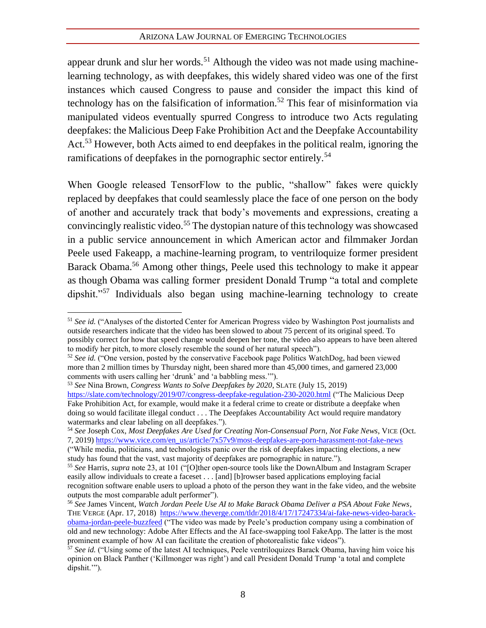appear drunk and slur her words.<sup>51</sup> Although the video was not made using machinelearning technology, as with deepfakes, this widely shared video was one of the first instances which caused Congress to pause and consider the impact this kind of technology has on the falsification of information.<sup>52</sup> This fear of misinformation via manipulated videos eventually spurred Congress to introduce two Acts regulating deepfakes: the Malicious Deep Fake Prohibition Act and the Deepfake Accountability Act.<sup>53</sup> However, both Acts aimed to end deepfakes in the political realm, ignoring the ramifications of deepfakes in the pornographic sector entirely.<sup>54</sup>

When Google released TensorFlow to the public, "shallow" fakes were quickly replaced by deepfakes that could seamlessly place the face of one person on the body of another and accurately track that body's movements and expressions, creating a convincingly realistic video.<sup>55</sup> The dystopian nature of this technology was showcased in a public service announcement in which American actor and filmmaker Jordan Peele used Fakeapp, a machine-learning program, to ventriloquize former president Barack Obama.<sup>56</sup> Among other things, Peele used this technology to make it appear as though Obama was calling former president Donald Trump "a total and complete dipshit."<sup>57</sup> Individuals also began using machine-learning technology to create

<sup>51</sup> *See id.* ("Analyses of the distorted Center for American Progress video by Washington Post journalists and outside researchers indicate that the video has been slowed to about 75 percent of its original speed. To possibly correct for how that speed change would deepen her tone, the video also appears to have been altered to modify her pitch, to more closely resemble the sound of her natural speech").

<sup>52</sup> *See id.* ("One version, posted by the conservative Facebook page Politics WatchDog, had been viewed more than 2 million times by Thursday night, been shared more than 45,000 times, and garnered 23,000 comments with users calling her 'drunk' and 'a babbling mess.'").

<sup>53</sup> *See* Nina Brown, *Congress Wants to Solve Deepfakes by 2020*, SLATE (July 15, 2019) <https://slate.com/technology/2019/07/congress-deepfake-regulation-230-2020.html> ("The Malicious Deep Fake Prohibition Act, for example, would make it a federal crime to create or distribute a deepfake when doing so would facilitate illegal conduct . . . The Deepfakes Accountability Act would require mandatory watermarks and clear labeling on all deepfakes.").

<sup>54</sup> *See* Joseph Cox, *Most Deepfakes Are Used for Creating Non-Consensual Porn*, *Not Fake News*, VICE (Oct. 7, 2019) [https://www.vice.com/en\\_us/article/7x57v9/most-deepfakes-are-porn-harassment-not-fake-news](https://www.vice.com/en_us/article/7x57v9/most-deepfakes-are-porn-harassment-not-fake-news)

<sup>(&</sup>quot;While media, politicians, and technologists panic over the risk of deepfakes impacting elections, a new study has found that the vast, vast majority of deepfakes are pornographic in nature.").

<sup>55</sup> *See* Harris, *supra* note 23, at 101 ("[O]ther open-source tools like the DownAlbum and Instagram Scraper easily allow individuals to create a faceset . . . [and] [b]rowser based applications employing facial recognition software enable users to upload a photo of the person they want in the fake video, and the website outputs the most comparable adult performer").

<sup>56</sup> *See* James Vincent, *Watch Jordan Peele Use AI to Make Barack Obama Deliver a PSA About Fake News*, THE VERGE (Apr. 17, 2018) [https://www.theverge.com/tldr/2018/4/17/17247334/ai-fake-news-video-barack](https://www.theverge.com/tldr/2018/4/17/17247334/ai-fake-news-video-barack-obama-jordan-peele-buzzfeed)[obama-jordan-peele-buzzfeed](https://www.theverge.com/tldr/2018/4/17/17247334/ai-fake-news-video-barack-obama-jordan-peele-buzzfeed) ("The video was made by Peele's production company using a combination of old and new technology: Adobe After Effects and the AI face-swapping tool FakeApp. The latter is the most prominent example of how AI can facilitate the creation of photorealistic fake videos").

<sup>&</sup>lt;sup>57</sup> See id. ("Using some of the latest AI techniques, Peele ventriloquizes Barack Obama, having him voice his opinion on Black Panther ('Killmonger was right') and call President Donald Trump 'a total and complete dipshit.'").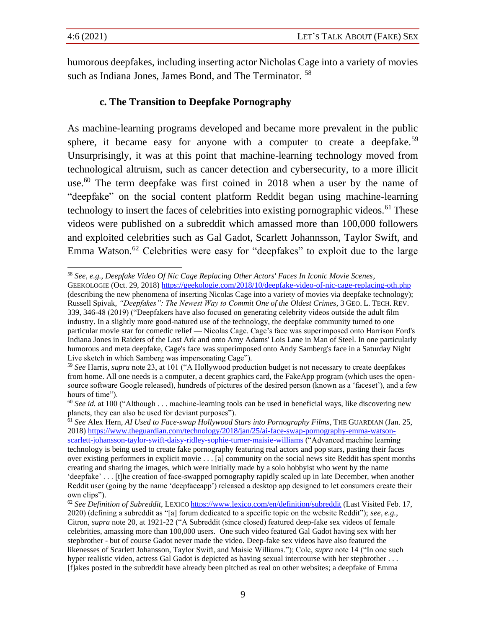humorous deepfakes, including inserting actor Nicholas Cage into a variety of movies such as Indiana Jones, James Bond, and The Terminator, <sup>58</sup>

## **c. The Transition to Deepfake Pornography**

As machine-learning programs developed and became more prevalent in the public sphere, it became easy for anyone with a computer to create a deepfake.<sup>59</sup> Unsurprisingly, it was at this point that machine-learning technology moved from technological altruism, such as cancer detection and cybersecurity, to a more illicit use.<sup>60</sup> The term deepfake was first coined in 2018 when a user by the name of "deepfake" on the social content platform Reddit began using machine-learning technology to insert the faces of celebrities into existing pornographic videos.<sup>61</sup> These videos were published on a subreddit which amassed more than 100,000 followers and exploited celebrities such as Gal Gadot, Scarlett Johannsson, Taylor Swift, and Emma Watson.<sup>62</sup> Celebrities were easy for "deepfakes" to exploit due to the large

<sup>58</sup> *See, e.g.*, *Deepfake Video Of Nic Cage Replacing Other Actors' Faces In Iconic Movie Scenes*,

GEEKOLOGIE (Oct. 29, 2018[\) https://geekologie.com/2018/10/deepfake-video-of-nic-cage-replacing-oth.php](https://geekologie.com/2018/10/deepfake-video-of-nic-cage-replacing-oth.php) (describing the new phenomena of inserting Nicolas Cage into a variety of movies via deepfake technology); Russell Spivak, *"Deepfakes": The Newest Way to Commit One of the Oldest Crimes*, 3 GEO. L. TECH. REV. 339, 346-48 (2019) ("Deepfakers have also focused on generating celebrity videos outside the adult film industry. In a slightly more good-natured use of the technology, the deepfake community turned to one particular movie star for comedic relief — Nicolas Cage. Cage's face was superimposed onto Harrison Ford's Indiana Jones in Raiders of the Lost Ark and onto Amy Adams' Lois Lane in Man of Steel. In one particularly humorous and meta deepfake, Cage's face was superimposed onto Andy Samberg's face in a Saturday Night Live sketch in which Samberg was impersonating Cage").

<sup>59</sup> *See* Harris, *supra* note 23, at 101 ("A Hollywood production budget is not necessary to create deepfakes from home. All one needs is a computer, a decent graphics card, the FakeApp program (which uses the opensource software Google released), hundreds of pictures of the desired person (known as a 'faceset'), and a few hours of time").

 $60$  *See id.* at 100 ("Although . . . machine-learning tools can be used in beneficial ways, like discovering new planets, they can also be used for deviant purposes").

<sup>61</sup> *See* Alex Hern, *AI Used to Face-swap Hollywood Stars into Pornography Films*, THE GUARDIAN (Jan. 25, 2018) [https://www.theguardian.com/technology/2018/jan/25/ai-face-swap-pornography-emma-watson](https://www.theguardian.com/technology/2018/jan/25/ai-face-swap-pornography-emma-watson-scarlett-johansson-taylor-swift-daisy-ridley-sophie-turner-maisie-williams)[scarlett-johansson-taylor-swift-daisy-ridley-sophie-turner-maisie-williams](https://www.theguardian.com/technology/2018/jan/25/ai-face-swap-pornography-emma-watson-scarlett-johansson-taylor-swift-daisy-ridley-sophie-turner-maisie-williams) ("Advanced machine learning technology is being used to create fake pornography featuring real actors and pop stars, pasting their faces over existing performers in explicit movie . . . [a] community on the social news site Reddit has spent months creating and sharing the images, which were initially made by a solo hobbyist who went by the name 'deepfake' . . . [t]he creation of face-swapped pornography rapidly scaled up in late December, when another Reddit user (going by the name 'deepfaceapp') released a desktop app designed to let consumers create their own clips").

<sup>62</sup> *See Definition of Subreddit*, LEXICO <https://www.lexico.com/en/definition/subreddit> (Last Visited Feb. 17, 2020) (defining a subreddit as "[a] forum dedicated to a specific topic on the website Reddit"); *see, e.g.*, Citron, *supra* note 20, at 1921-22 ("A Subreddit (since closed) featured deep-fake sex videos of female celebrities, amassing more than 100,000 users. One such video featured Gal Gadot having sex with her stepbrother - but of course Gadot never made the video. Deep-fake sex videos have also featured the likenesses of Scarlett Johansson, Taylor Swift, and Maisie Williams."); Cole, *supra* note 14 ("In one such hyper realistic video, actress Gal Gadot is depicted as having sexual intercourse with her stepbrother . . . [f]akes posted in the subreddit have already been pitched as real on other websites; a deepfake of Emma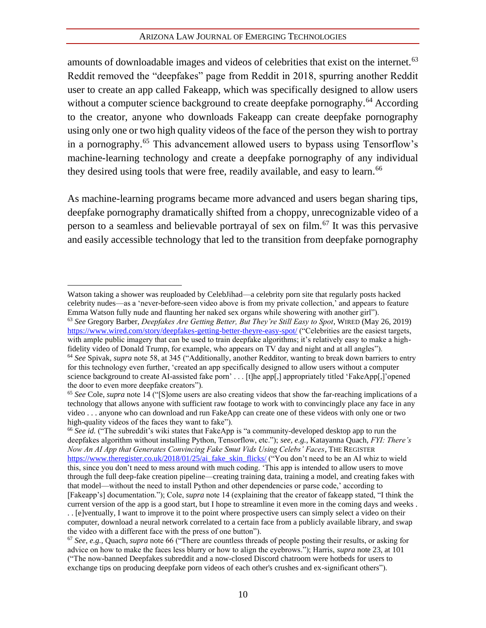#### ARIZONA LAW JOURNAL OF EMERGING TECHNOLOGIES

amounts of downloadable images and videos of celebrities that exist on the internet.<sup>63</sup> Reddit removed the "deepfakes" page from Reddit in 2018, spurring another Reddit user to create an app called Fakeapp, which was specifically designed to allow users without a computer science background to create deepfake pornography.<sup>64</sup> According to the creator, anyone who downloads Fakeapp can create deepfake pornography using only one or two high quality videos of the face of the person they wish to portray in a pornography.<sup>65</sup> This advancement allowed users to bypass using Tensorflow's machine-learning technology and create a deepfake pornography of any individual they desired using tools that were free, readily available, and easy to learn.<sup>66</sup>

As machine-learning programs became more advanced and users began sharing tips, deepfake pornography dramatically shifted from a choppy, unrecognizable video of a person to a seamless and believable portrayal of sex on film.<sup>67</sup> It was this pervasive and easily accessible technology that led to the transition from deepfake pornography

<sup>66</sup> *See id.* ("The subreddit's wiki states that FakeApp is "a community-developed desktop app to run the deepfakes algorithm without installing Python, Tensorflow, etc."); *see, e.g.*, Katayanna Quach, *FYI: There's Now An AI App that Generates Convincing Fake Smut Vids Using Celebs' Faces*, THE REGISTER [https://www.theregister.co.uk/2018/01/25/ai\\_fake\\_skin\\_flicks/](https://www.theregister.co.uk/2018/01/25/ai_fake_skin_flicks/) ("You don't need to be an AI whiz to wield this, since you don't need to mess around with much coding. 'This app is intended to allow users to move through the full deep-fake creation pipeline—creating training data, training a model, and creating fakes with that model—without the need to install Python and other dependencies or parse code,' according to [Fakeapp's] documentation."); Cole, *supra* note 14 (explaining that the creator of fakeapp stated, "I think the current version of the app is a good start, but I hope to streamline it even more in the coming days and weeks . . . [e]ventually, I want to improve it to the point where prospective users can simply select a video on their computer, download a neural network correlated to a certain face from a publicly available library, and swap the video with a different face with the press of one button").

Watson taking a shower was reuploaded by CelebJihad—a celebrity porn site that regularly posts hacked celebrity nudes—as a 'never-before-seen video above is from my private collection,' and appears to feature Emma Watson fully nude and flaunting her naked sex organs while showering with another girl").

<sup>63</sup> *See* Gregory Barber, *Deepfakes Are Getting Better, But They're Still Easy to Spot*, WIRED (May 26, 2019) <https://www.wired.com/story/deepfakes-getting-better-theyre-easy-spot/> ("Celebrities are the easiest targets, with ample public imagery that can be used to train deepfake algorithms; it's relatively easy to make a highfidelity video of Donald Trump, for example, who appears on TV day and night and at all angles"). <sup>64</sup> *See* Spivak, *supra* note 58, at 345 ("Additionally, another Redditor, wanting to break down barriers to entry

for this technology even further, 'created an app specifically designed to allow users without a computer science background to create AI-assisted fake porn' . . . [t]he app[,] appropriately titled 'FakeApp[,]'opened the door to even more deepfake creators").

<sup>65</sup> *See* Cole, *supra* note 14 ("[S]ome users are also creating videos that show the far-reaching implications of a technology that allows anyone with sufficient raw footage to work with to convincingly place any face in any video . . . anyone who can download and run FakeApp can create one of these videos with only one or two high-quality videos of the faces they want to fake").

<sup>67</sup> *See, e.g.*, Quach, *supra* note 66 ("There are countless threads of people posting their results, or asking for advice on how to make the faces less blurry or how to align the eyebrows."); Harris, *supra* note 23, at 101 ("The now-banned Deepfakes subreddit and a now-closed Discord chatroom were hotbeds for users to exchange tips on producing deepfake porn videos of each other's crushes and ex-significant others").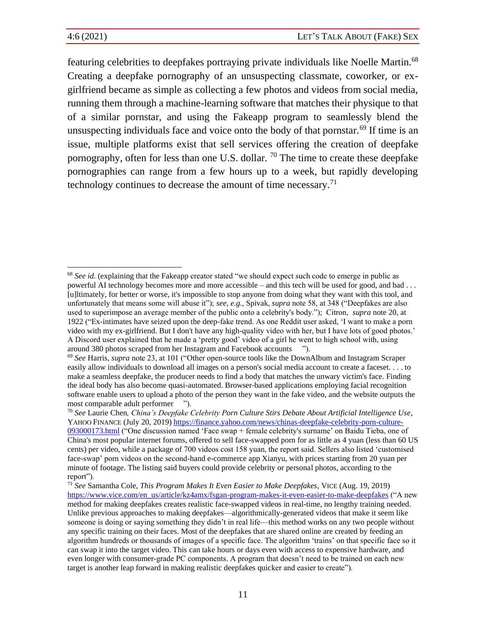featuring celebrities to deepfakes portraying private individuals like Noelle Martin.<sup>68</sup> Creating a deepfake pornography of an unsuspecting classmate, coworker, or exgirlfriend became as simple as collecting a few photos and videos from social media, running them through a machine-learning software that matches their physique to that of a similar pornstar, and using the Fakeapp program to seamlessly blend the unsuspecting individuals face and voice onto the body of that pornstar.<sup>69</sup> If time is an issue, multiple platforms exist that sell services offering the creation of deepfake pornography, often for less than one U.S. dollar.  $\frac{70}{2}$  The time to create these deepfake pornographies can range from a few hours up to a week, but rapidly developing technology continues to decrease the amount of time necessary.<sup>71</sup>

<sup>&</sup>lt;sup>68</sup> See id. (explaining that the Fakeapp creator stated "we should expect such code to emerge in public as powerful AI technology becomes more and more accessible – and this tech will be used for good, and bad . . . [u]ltimately, for better or worse, it's impossible to stop anyone from doing what they want with this tool, and unfortunately that means some will abuse it"); *see, e.g.*, Spivak, *supra* note 58, at 348 ("Deepfakes are also used to superimpose an average member of the public onto a celebrity's body."); Citron, *supra* note 20, at 1922 ("Ex-intimates have seized upon the deep-fake trend. As one Reddit user asked, 'I want to make a porn video with my ex-girlfriend. But I don't have any high-quality video with her, but I have lots of good photos.' A Discord user explained that he made a 'pretty good' video of a girl he went to high school with, using around 380 photos scraped from her Instagram and Facebook accounts ").

<sup>69</sup> *See* Harris, *supra* note 23, at 101 ("Other open-source tools like the DownAlbum and Instagram Scraper easily allow individuals to download all images on a person's social media account to create a faceset. . . . to make a seamless deepfake, the producer needs to find a body that matches the unwary victim's face. Finding the ideal body has also become quasi-automated. Browser-based applications employing facial recognition software enable users to upload a photo of the person they want in the fake video, and the website outputs the most comparable adult performer ").

<sup>70</sup> *See* Laurie Chen*, China's Deepfake Celebrity Porn Culture Stirs Debate About Artificial Intelligence Use*, YAHOO FINANCE (July 20, 2019) [https://finance.yahoo.com/news/chinas-deepfake-celebrity-porn-culture-](https://finance.yahoo.com/news/chinas-deepfake-celebrity-porn-culture-093000173.html)[093000173.html](https://finance.yahoo.com/news/chinas-deepfake-celebrity-porn-culture-093000173.html) ("One discussion named 'Face swap + female celebrity's surname' on Baidu Tieba, one of

China's most popular internet forums, offered to sell face-swapped porn for as little as 4 yuan (less than 60 US cents) per video, while a package of 700 videos cost 158 yuan, the report said. Sellers also listed 'customised face-swap' porn videos on the second-hand e-commerce app Xianyu, with prices starting from 20 yuan per minute of footage. The listing said buyers could provide celebrity or personal photos, according to the report").

<sup>71</sup> *See* Samantha Cole, *This Program Makes It Even Easier to Make Deepfakes*, VICE (Aug. 19, 2019) [https://www.vice.com/en\\_us/article/kz4amx/fsgan-program-makes-it-even-easier-to-make-deepfakes](https://www.vice.com/en_us/article/kz4amx/fsgan-program-makes-it-even-easier-to-make-deepfakes) ("A new method for making deepfakes creates realistic face-swapped videos in real-time, no lengthy training needed. Unlike previous approaches to making deepfakes—algorithmically-generated videos that make it seem like someone is doing or saying something they didn't in real life—this method works on any two people without any specific training on their faces. Most of the deepfakes that are shared online are created by feeding an algorithm hundreds or thousands of images of a specific face. The algorithm 'trains' on that specific face so it can swap it into the target video. This can take hours or days even with access to expensive hardware, and even longer with consumer-grade PC components. A program that doesn't need to be trained on each new target is another leap forward in making realistic deepfakes quicker and easier to create").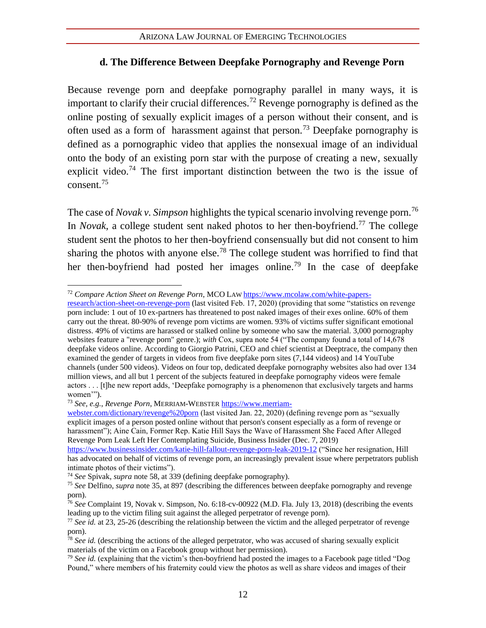## **d. The Difference Between Deepfake Pornography and Revenge Porn**

Because revenge porn and deepfake pornography parallel in many ways, it is important to clarify their crucial differences.<sup>72</sup> Revenge pornography is defined as the online posting of sexually explicit images of a person without their consent, and is often used as a form of harassment against that person.<sup>73</sup> Deepfake pornography is defined as a pornographic video that applies the nonsexual image of an individual onto the body of an existing porn star with the purpose of creating a new, sexually explicit video.<sup>74</sup> The first important distinction between the two is the issue of consent.<sup>75</sup>

The case of *Novak v. Simpson* highlights the typical scenario involving revenge porn.<sup>76</sup> In *Novak*, a college student sent naked photos to her then-boyfriend.<sup>77</sup> The college student sent the photos to her then-boyfriend consensually but did not consent to him sharing the photos with anyone else.<sup>78</sup> The college student was horrified to find that her then-boyfriend had posted her images online.<sup>79</sup> In the case of deepfake

<sup>72</sup> *Compare Action Sheet on Revenge Porn*, MCO LAW [https://www.mcolaw.com/white-papers-](https://www.mcolaw.com/white-papers-research/action-sheet-on-revenge-porn)

[research/action-sheet-on-revenge-porn](https://www.mcolaw.com/white-papers-research/action-sheet-on-revenge-porn) (last visited Feb. 17, 2020) (providing that some "statistics on revenge porn include: 1 out of 10 ex-partners has threatened to post naked images of their exes online. 60% of them carry out the threat. 80-90% of revenge porn victims are women. 93% of victims suffer significant emotional distress. 49% of victims are harassed or stalked online by someone who saw the material. 3,000 pornography websites feature a "revenge porn" genre.); *with* Cox, supra note 54 ("The company found a total of 14,678 deepfake videos online. According to Giorgio Patrini, CEO and chief scientist at Deeptrace, the company then examined the gender of targets in videos from five deepfake porn sites (7,144 videos) and 14 YouTube channels (under 500 videos). Videos on four top, dedicated deepfake pornography websites also had over 134 million views, and all but 1 percent of the subjects featured in deepfake pornography videos were female actors . . . [t]he new report adds, 'Deepfake pornography is a phenomenon that exclusively targets and harms women'").

<sup>73</sup> *See, e.g.*, *Revenge Porn*, MERRIAM-WEBSTER [https://www.merriam-](https://www.merriam-webster.com/dictionary/revenge%20porn)

[webster.com/dictionary/revenge%20porn](https://www.merriam-webster.com/dictionary/revenge%20porn) (last visited Jan. 22, 2020) (defining revenge porn as "sexually explicit images of a person posted online without that person's consent especially as a form of revenge or harassment"); Aine Cain, Former Rep. Katie Hill Says the Wave of Harassment She Faced After Alleged Revenge Porn Leak Left Her Contemplating Suicide, Business Insider (Dec. 7, 2019)

<https://www.businessinsider.com/katie-hill-fallout-revenge-porn-leak-2019-12> ("Since her resignation, Hill has advocated on behalf of victims of revenge porn, an increasingly prevalent issue where perpetrators publish intimate photos of their victims").

<sup>74</sup> *See* Spivak, *supra* note 58, at 339 (defining deepfake pornography).

<sup>75</sup> *See* Delfino, *supra* note 35, at 897 (describing the differences between deepfake pornography and revenge porn).

<sup>76</sup> *See* Complaint 19, Novak v. Simpson, No. 6:18-cv-00922 (M.D. Fla. July 13, 2018) (describing the events leading up to the victim filing suit against the alleged perpetrator of revenge porn).

<sup>77</sup> *See id.* at 23, 25-26 (describing the relationship between the victim and the alleged perpetrator of revenge porn).

<sup>78</sup> *See id.* (describing the actions of the alleged perpetrator, who was accused of sharing sexually explicit materials of the victim on a Facebook group without her permission).

<sup>79</sup> *See id.* (explaining that the victim's then-boyfriend had posted the images to a Facebook page titled "Dog Pound," where members of his fraternity could view the photos as well as share videos and images of their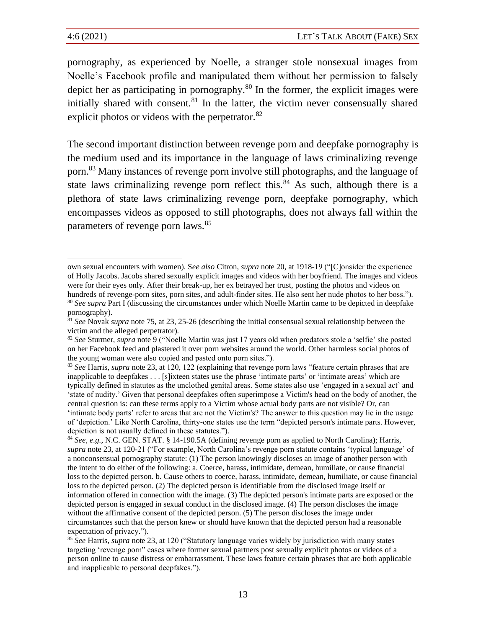pornography, as experienced by Noelle, a stranger stole nonsexual images from Noelle's Facebook profile and manipulated them without her permission to falsely depict her as participating in pornography.<sup>80</sup> In the former, the explicit images were initially shared with consent. $81$  In the latter, the victim never consensually shared explicit photos or videos with the perpetrator.<sup>82</sup>

The second important distinction between revenge porn and deepfake pornography is the medium used and its importance in the language of laws criminalizing revenge porn.<sup>83</sup> Many instances of revenge porn involve still photographs, and the language of state laws criminalizing revenge porn reflect this.<sup>84</sup> As such, although there is a plethora of state laws criminalizing revenge porn, deepfake pornography, which encompasses videos as opposed to still photographs, does not always fall within the parameters of revenge porn laws.<sup>85</sup>

own sexual encounters with women). S*ee also* Citron, *supra* note [20,](#page-8-0) at 1918-19 ("[C]onsider the experience of Holly Jacobs. Jacobs shared sexually explicit images and videos with her boyfriend. The images and videos were for their eyes only. After their break-up, her ex betrayed her trust, posting the photos and videos on hundreds of revenge-porn sites, porn sites, and adult-finder sites. He also sent her nude photos to her boss."). <sup>80</sup> *See supra* Part I (discussing the circumstances under which Noelle Martin came to be depicted in deepfake

pornography).

<sup>81</sup> *See* Novak *supra* note 75, at 23, 25-26 (describing the initial consensual sexual relationship between the victim and the alleged perpetrator).

<sup>82</sup> *See* Sturmer, *supra* not[e 9](#page-7-0) ("Noelle Martin was just 17 years old when predators stole a 'selfie' she posted on her Facebook feed and plastered it over porn websites around the world. Other harmless social photos of the young woman were also copied and pasted onto porn sites.").

<sup>83</sup> *See* Harris, *supra* not[e 23,](#page-9-0) at 120, 122 (explaining that revenge porn laws "feature certain phrases that are inapplicable to deepfakes . . . [s]ixteen states use the phrase 'intimate parts' or 'intimate areas' which are typically defined in statutes as the unclothed genital areas. Some states also use 'engaged in a sexual act' and 'state of nudity.' Given that personal deepfakes often superimpose a Victim's head on the body of another, the central question is: can these terms apply to a Victim whose actual body parts are not visible? Or, can 'intimate body parts' refer to areas that are not the Victim's? The answer to this question may lie in the usage of 'depiction.' Like North Carolina, thirty-one states use the term "depicted person's intimate parts. However, depiction is not usually defined in these statutes.").

<sup>84</sup> *See, e.g.*, N.C. GEN. STAT. § 14-190.5A (defining revenge porn as applied to North Carolina); Harris, *supra* note [23,](#page-9-0) at 120-21 ("For example, North Carolina's revenge porn statute contains 'typical language' of a nonconsensual pornography statute: (1) The person knowingly discloses an image of another person with the intent to do either of the following: a. Coerce, harass, intimidate, demean, humiliate, or cause financial loss to the depicted person. b. Cause others to coerce, harass, intimidate, demean, humiliate, or cause financial loss to the depicted person. (2) The depicted person is identifiable from the disclosed image itself or information offered in connection with the image. (3) The depicted person's intimate parts are exposed or the depicted person is engaged in sexual conduct in the disclosed image. (4) The person discloses the image without the affirmative consent of the depicted person. (5) The person discloses the image under circumstances such that the person knew or should have known that the depicted person had a reasonable expectation of privacy.").

<sup>85</sup> *See* Harris, *supra* not[e 23,](#page-9-0) at 120 ("Statutory language varies widely by jurisdiction with many states targeting 'revenge porn" cases where former sexual partners post sexually explicit photos or videos of a person online to cause distress or embarrassment. These laws feature certain phrases that are both applicable and inapplicable to personal deepfakes.").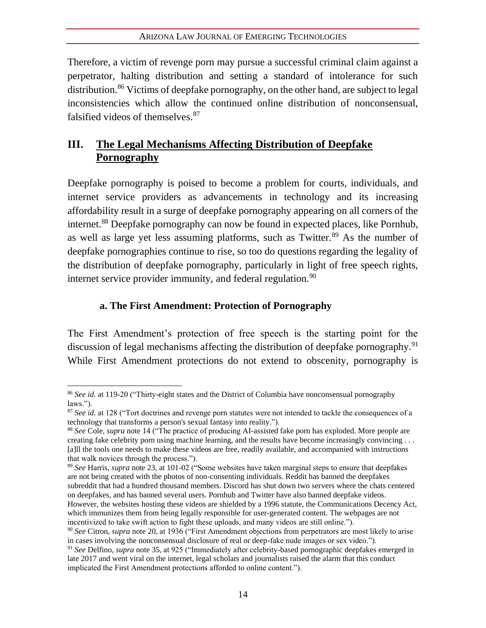Therefore, a victim of revenge porn may pursue a successful criminal claim against a perpetrator, halting distribution and setting a standard of intolerance for such distribution.<sup>86</sup> Victims of deepfake pornography, on the other hand, are subject to legal inconsistencies which allow the continued online distribution of nonconsensual, falsified videos of themselves.<sup>87</sup>

## **III. The Legal Mechanisms Affecting Distribution of Deepfake Pornography**

Deepfake pornography is poised to become a problem for courts, individuals, and internet service providers as advancements in technology and its increasing affordability result in a surge of deepfake pornography appearing on all corners of the internet.<sup>88</sup> Deepfake pornography can now be found in expected places, like Pornhub, as well as large yet less assuming platforms, such as Twitter.<sup>89</sup> As the number of deepfake pornographies continue to rise, so too do questions regarding the legality of the distribution of deepfake pornography, particularly in light of free speech rights, internet service provider immunity, and federal regulation.<sup>90</sup>

## **a. The First Amendment: Protection of Pornography**

The First Amendment's protection of free speech is the starting point for the discussion of legal mechanisms affecting the distribution of deepfake pornography.<sup>91</sup> While First Amendment protections do not extend to obscenity, pornography is

<sup>86</sup> *See id.* at 119-20 ("Thirty-eight states and the District of Columbia have nonconsensual pornography laws.").

<sup>&</sup>lt;sup>87</sup> *See id.* at 128 ("Tort doctrines and revenge porn statutes were not intended to tackle the consequences of a technology that transforms a person's sexual fantasy into reality.").

<sup>88</sup> *See* Cole, *supra* not[e 14](#page-7-2) ("The practice of producing AI-assisted fake porn has exploded. More people are creating fake celebrity porn using machine learning, and the results have become increasingly convincing . . . [a]ll the tools one needs to make these videos are free, readily available, and accompanied with instructions that walk novices through the process.").

<sup>89</sup> *See* Harris, *supra* not[e 23,](#page-9-0) at 101-02 ("Some websites have taken marginal steps to ensure that deepfakes are not being created with the photos of non-consenting individuals. Reddit has banned the deepfakes subreddit that had a hundred thousand members. Discord has shut down two servers where the chats centered on deepfakes, and has banned several users. Pornhub and Twitter have also banned deepfake videos. However, the websites hosting these videos are shielded by a 1996 statute, the Communications Decency Act, which immunizes them from being legally responsible for user-generated content. The webpages are not incentivized to take swift action to fight these uploads, and many videos are still online.").

<sup>90</sup> *See* Citron, *supra* note [20,](#page-8-0) at 1936 ("First Amendment objections from perpetrators are most likely to arise in cases involving the nonconsensual disclosure of real or deep-fake nude images or sex video.").

<sup>91</sup> *See* Delfino, *supra* note [35,](#page-10-0) at 925 ("Immediately after celebrity-based pornographic deepfakes emerged in late 2017 and went viral on the internet, legal scholars and journalists raised the alarm that this conduct implicated the First Amendment protections afforded to online content.").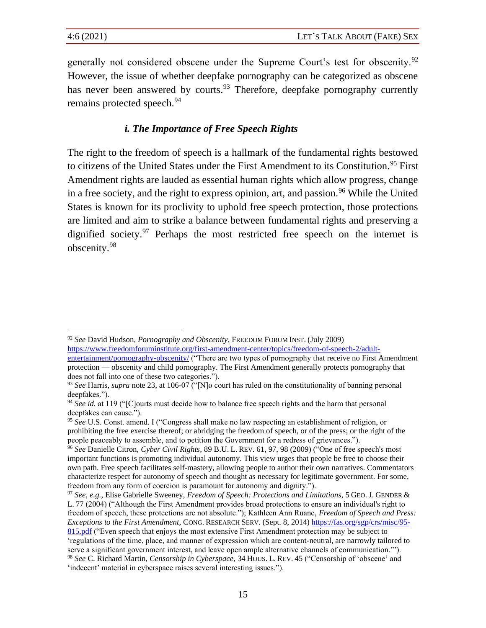generally not considered obscene under the Supreme Court's test for obscenity.<sup>92</sup> However, the issue of whether deepfake pornography can be categorized as obscene has never been answered by courts.<sup>93</sup> Therefore, deepfake pornography currently remains protected speech.<sup>94</sup>

## *i. The Importance of Free Speech Rights*

The right to the freedom of speech is a hallmark of the fundamental rights bestowed to citizens of the United States under the First Amendment to its Constitution.<sup>95</sup> First Amendment rights are lauded as essential human rights which allow progress, change in a free society, and the right to express opinion, art, and passion.<sup>96</sup> While the United States is known for its proclivity to uphold free speech protection, those protections are limited and aim to strike a balance between fundamental rights and preserving a dignified society. $97$  Perhaps the most restricted free speech on the internet is obscenity.<sup>98</sup>

<sup>92</sup> *See* David Hudson, *Pornography and Obscenity*, FREEDOM FORUM INST. (July 2009) [https://www.freedomforuminstitute.org/first-amendment-center/topics/freedom-of-speech-2/adult](https://www.freedomforuminstitute.org/first-amendment-center/topics/freedom-of-speech-2/adult-entertainment/pornography-obscenity/)[entertainment/pornography-obscenity/](https://www.freedomforuminstitute.org/first-amendment-center/topics/freedom-of-speech-2/adult-entertainment/pornography-obscenity/) ("There are two types of pornography that receive no First Amendment protection — obscenity and child pornography. The First Amendment generally protects pornography that does not fall into one of these two categories.").

<sup>93</sup> *See* Harris, *supra* not[e 23,](#page-9-0) at 106-07 ("[N]o court has ruled on the constitutionality of banning personal deepfakes.").

<sup>94</sup> *See id.* at 119 ("[C]ourts must decide how to balance free speech rights and the harm that personal deepfakes can cause.").

<sup>95</sup> *See* U.S. Const. amend. I ("Congress shall make no law respecting an establishment of religion, or prohibiting the free exercise thereof; or abridging the freedom of speech, or of the press; or the right of the people peaceably to assemble, and to petition the Government for a redress of grievances.").

<sup>96</sup> *See* Danielle Citron, *Cyber Civil Rights*, 89 B.U. L. REV. 61, 97, 98 (2009) ("One of free speech's most important functions is promoting individual autonomy. This view urges that people be free to choose their own path. Free speech facilitates self-mastery, allowing people to author their own narratives. Commentators characterize respect for autonomy of speech and thought as necessary for legitimate government. For some, freedom from any form of coercion is paramount for autonomy and dignity.").

<sup>97</sup> *See, e.g.*, Elise Gabrielle Sweeney, *Freedom of Speech: Protections and Limitations*, 5 GEO. J. GENDER & L. 77 (2004) ("Although the First Amendment provides broad protections to ensure an individual's right to freedom of speech, these protections are not absolute."); Kathleen Ann Ruane, *Freedom of Speech and Press: Exceptions to the First Amendment*, CONG. RESEARCH SERV. (Sept. 8, 2014[\) https://fas.org/sgp/crs/misc/95-](https://fas.org/sgp/crs/misc/95-815.pdf)

[<sup>815.</sup>pdf](https://fas.org/sgp/crs/misc/95-815.pdf) ("Even speech that enjoys the most extensive First Amendment protection may be subject to 'regulations of the time, place, and manner of expression which are content-neutral, are narrowly tailored to serve a significant government interest, and leave open ample alternative channels of communication.'"). <sup>98</sup> *See* C. Richard Martin, *Censorship in Cyberspace*, 34 HOUS. L. REV. 45 ("Censorship of 'obscene' and 'indecent' material in cyberspace raises several interesting issues.").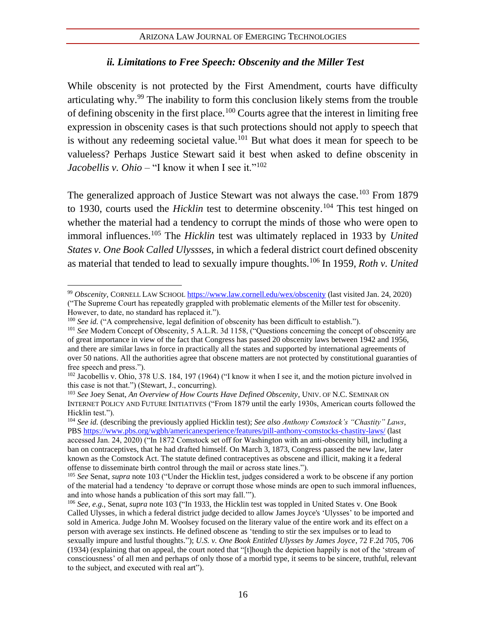## <span id="page-21-0"></span>*ii. Limitations to Free Speech: Obscenity and the Miller Test*

While obscenity is not protected by the First Amendment, courts have difficulty articulating why.<sup>99</sup> The inability to form this conclusion likely stems from the trouble of defining obscenity in the first place.<sup>100</sup> Courts agree that the interest in limiting free expression in obscenity cases is that such protections should not apply to speech that is without any redeeming societal value.<sup>101</sup> But what does it mean for speech to be valueless? Perhaps Justice Stewart said it best when asked to define obscenity in *Jacobellis v. Ohio* – "I know it when I see it."<sup>102</sup>

The generalized approach of Justice Stewart was not always the case.<sup>103</sup> From 1879 to 1930, courts used the *Hicklin* test to determine obscenity.<sup>104</sup> This test hinged on whether the material had a tendency to corrupt the minds of those who were open to immoral influences.<sup>105</sup> The *Hicklin* test was ultimately replaced in 1933 by *United States v. One Book Called Ulyssses*, in which a federal district court defined obscenity as material that tended to lead to sexually impure thoughts.<sup>106</sup> In 1959, *Roth v. United* 

<sup>99</sup> *Obscenity*, CORNELL LAW SCHOOL <https://www.law.cornell.edu/wex/obscenity> (last visited Jan. 24, 2020) ("The Supreme Court has repeatedly grappled with problematic elements of the Miller test for obscenity.

However, to date, no standard has replaced it.").

<sup>&</sup>lt;sup>100</sup> *See id.* ("A comprehensive, legal definition of obscenity has been difficult to establish.").

<sup>&</sup>lt;sup>101</sup> See Modern Concept of Obscenity, 5 A.L.R. 3d 1158, ("Questions concerning the concept of obscenity are of great importance in view of the fact that Congress has passed 20 obscenity laws between 1942 and 1956, and there are similar laws in force in practically all the states and supported by international agreements of over 50 nations. All the authorities agree that obscene matters are not protected by constitutional guaranties of free speech and press.").

<sup>&</sup>lt;sup>102</sup> Jacobellis v. Ohio, 378 U.S. 184, 197 (1964) ("I know it when I see it, and the motion picture involved in this case is not that.") (Stewart, J., concurring).

<sup>103</sup> *See* Joey Senat, *An Overview of How Courts Have Defined Obscenity*, UNIV. OF N.C.SEMINAR ON INTERNET POLICY AND FUTURE INITIATIVES ("From 1879 until the early 1930s, American courts followed the Hicklin test.").

<sup>104</sup> *See id.* (describing the previously applied Hicklin test); *See also Anthony Comstock's "Chastity" Laws*, PBS<https://www.pbs.org/wgbh/americanexperience/features/pill-anthony-comstocks-chastity-laws/> (last accessed Jan. 24, 2020) ("In 1872 Comstock set off for Washington with an anti-obscenity bill, including a ban on contraceptives, that he had drafted himself. On March 3, 1873, Congress passed the new law, later known as the Comstock Act. The statute defined contraceptives as obscene and illicit, making it a federal offense to disseminate birth control through the mail or across state lines.").

<sup>105</sup> *See* Senat, *supra* note [103](#page-21-0) ("Under the Hicklin test, judges considered a work to be obscene if any portion of the material had a tendency 'to deprave or corrupt those whose minds are open to such immoral influences, and into whose hands a publication of this sort may fall.'").

<sup>106</sup> *See, e.g.*, Senat, *supra* not[e 103](#page-21-0) ("In 1933, the Hicklin test was toppled in United States v. One Book Called Ulysses, in which a federal district judge decided to allow James Joyce's 'Ulysses' to be imported and sold in America. Judge John M. Woolsey focused on the literary value of the entire work and its effect on a person with average sex instincts. He defined obscene as 'tending to stir the sex impulses or to lead to sexually impure and lustful thoughts."); *U.S. v. One Book Entitled Ulysses by James Joyce*, 72 F.2d 705, 706 (1934) (explaining that on appeal, the court noted that "[t]hough the depiction happily is not of the 'stream of consciousness' of all men and perhaps of only those of a morbid type, it seems to be sincere, truthful, relevant to the subject, and executed with real art").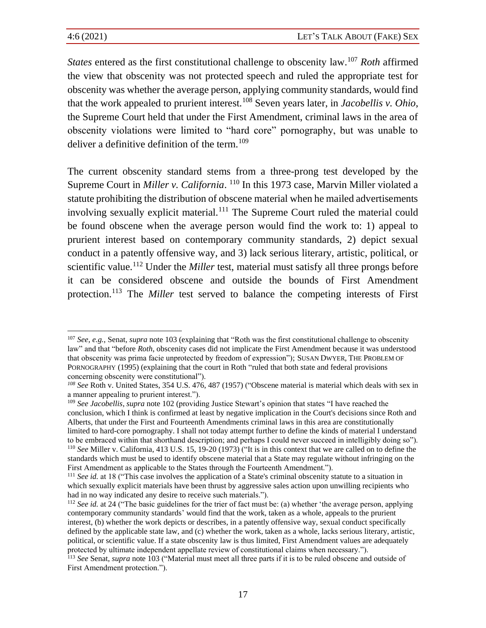*States* entered as the first constitutional challenge to obscenity law.<sup>107</sup> *Roth* affirmed the view that obscenity was not protected speech and ruled the appropriate test for obscenity was whether the average person, applying community standards, would find that the work appealed to prurient interest.<sup>108</sup> Seven years later, in *Jacobellis v. Ohio*, the Supreme Court held that under the First Amendment, criminal laws in the area of obscenity violations were limited to "hard core" pornography, but was unable to deliver a definitive definition of the term.<sup>109</sup>

The current obscenity standard stems from a three-prong test developed by the Supreme Court in *Miller v. California*. <sup>110</sup> In this 1973 case, Marvin Miller violated a statute prohibiting the distribution of obscene material when he mailed advertisements involving sexually explicit material.<sup>111</sup> The Supreme Court ruled the material could be found obscene when the average person would find the work to: 1) appeal to prurient interest based on contemporary community standards, 2) depict sexual conduct in a patently offensive way, and 3) lack serious literary, artistic, political, or scientific value.<sup>112</sup> Under the *Miller* test, material must satisfy all three prongs before it can be considered obscene and outside the bounds of First Amendment protection.<sup>113</sup> The *Miller* test served to balance the competing interests of First

<sup>107</sup> *See, e.g.*, Senat, *supra* not[e 103](#page-21-0) (explaining that "Roth was the first constitutional challenge to obscenity law" and that "before *Roth*, obscenity cases did not implicate the First Amendment because it was understood that obscenity was prima facie unprotected by freedom of expression"); SUSAN DWYER, THE PROBLEM OF PORNOGRAPHY (1995) (explaining that the court in Roth "ruled that both state and federal provisions concerning obscenity were constitutional").

*<sup>108</sup> See* Roth v. United States, 354 U.S. 476, 487 (1957) ("Obscene material is material which deals with sex in a manner appealing to prurient interest.").

<sup>109</sup> *See Jacobellis*, *supra* note 102 (providing Justice Stewart's opinion that states "I have reached the conclusion, which I think is confirmed at least by negative implication in the Court's decisions since Roth and Alberts, that under the First and Fourteenth Amendments criminal laws in this area are constitutionally limited to hard-core pornography. I shall not today attempt further to define the kinds of material I understand to be embraced within that shorthand description; and perhaps I could never succeed in intelligibly doing so"). <sup>110</sup> *See* Miller v. California, 413 U.S. 15, 19-20 (1973) ("It is in this context that we are called on to define the standards which must be used to identify obscene material that a State may regulate without infringing on the First Amendment as applicable to the States through the Fourteenth Amendment.").

<sup>&</sup>lt;sup>111</sup> *See id.* at 18 ("This case involves the application of a State's criminal obscenity statute to a situation in which sexually explicit materials have been thrust by aggressive sales action upon unwilling recipients who had in no way indicated any desire to receive such materials.").

<sup>&</sup>lt;sup>112</sup> *See id.* at 24 ("The basic guidelines for the trier of fact must be: (a) whether 'the average person, applying contemporary community standards' would find that the work, taken as a whole, appeals to the prurient interest, (b) whether the work depicts or describes, in a patently offensive way, sexual conduct specifically defined by the applicable state law, and (c) whether the work, taken as a whole, lacks serious literary, artistic, political, or scientific value. If a state obscenity law is thus limited, First Amendment values are adequately protected by ultimate independent appellate review of constitutional claims when necessary.").

<sup>113</sup> *See* Senat, *supra* note [103](#page-21-0) ("Material must meet all three parts if it is to be ruled obscene and outside of First Amendment protection.").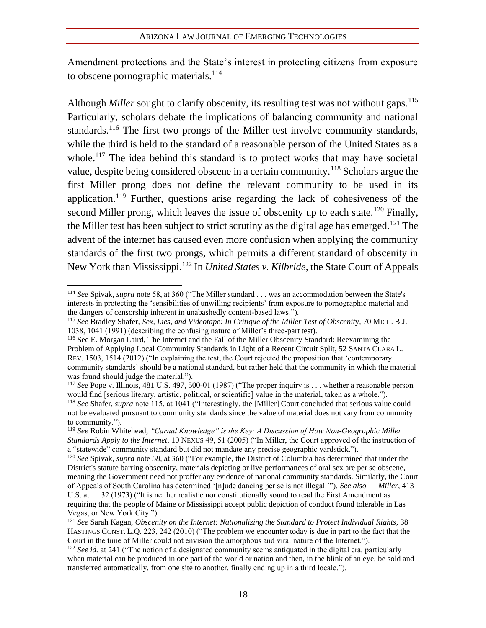Amendment protections and the State's interest in protecting citizens from exposure to obscene pornographic materials. $^{114}$ 

Although *Miller* sought to clarify obscenity, its resulting test was not without gaps.<sup>115</sup> Particularly, scholars debate the implications of balancing community and national standards.<sup>116</sup> The first two prongs of the Miller test involve community standards, while the third is held to the standard of a reasonable person of the United States as a whole.<sup>117</sup> The idea behind this standard is to protect works that may have societal value, despite being considered obscene in a certain community.<sup>118</sup> Scholars argue the first Miller prong does not define the relevant community to be used in its application.<sup>119</sup> Further, questions arise regarding the lack of cohesiveness of the second Miller prong, which leaves the issue of obscenity up to each state.<sup>120</sup> Finally, the Miller test has been subject to strict scrutiny as the digital age has emerged.<sup>121</sup> The advent of the internet has caused even more confusion when applying the community standards of the first two prongs, which permits a different standard of obscenity in New York than Mississippi.<sup>122</sup> In *United States v. Kilbride*, the State Court of Appeals

<sup>114</sup> *See* Spivak, *supra* note 58, at 360 ("The Miller standard . . . was an accommodation between the State's interests in protecting the 'sensibilities of unwilling recipients' from exposure to pornographic material and the dangers of censorship inherent in unabashedly content-based laws.").

<sup>115</sup> *See* Bradley Shafer, *Sex, Lies, and Videotape: In Critique of the Miller Test of Obscenit*y, 70 MICH. B.J. 1038, 1041 (1991) (describing the confusing nature of Miller's three-part test).

<sup>116</sup> See E. Morgan Laird, The Internet and the Fall of the Miller Obscenity Standard: Reexamining the Problem of Applying Local Community Standards in Light of a Recent Circuit Split, 52 SANTA CLARA L. REV. 1503, 1514 (2012) ("In explaining the test, the Court rejected the proposition that 'contemporary community standards' should be a national standard, but rather held that the community in which the material was found should judge the material.").

<sup>&</sup>lt;sup>117</sup> *See* Pope v. Illinois, 481 U.S. 497, 500-01 (1987) ("The proper inquiry is . . . whether a reasonable person would find [serious literary, artistic, political, or scientific] value in the material, taken as a whole.").

<sup>118</sup> *See* Shafer, *supra* note 115, at 1041 ("Interestingly, the [Miller] Court concluded that serious value could not be evaluated pursuant to community standards since the value of material does not vary from community to community.").

<sup>119</sup> *See* Robin Whitehead, *"Carnal Knowledge" is the Key: A Discussion of How Non-Geographic Miller Standards Apply to the Internet*, 10 NEXUS 49, 51 (2005) ("In Miller, the Court approved of the instruction of a "statewide" community standard but did not mandate any precise geographic yardstick.").

<sup>120</sup> *See* Spivak, *supra* note *58*, at 360 ("For example, the District of Columbia has determined that under the District's statute barring obscenity, materials depicting or live performances of oral sex are per se obscene, meaning the Government need not proffer any evidence of national community standards. Similarly, the Court of Appeals of South Carolina has determined '[n]ude dancing per se is not illegal.'"). *See also Miller*, 413 U.S. at 32 (1973) ("It is neither realistic nor constitutionally sound to read the First Amendment as requiring that the people of Maine or Mississippi accept public depiction of conduct found tolerable in Las Vegas, or New York City.").

<sup>121</sup> *See* Sarah Kagan, *Obscenity on the Internet: Nationalizing the Standard to Protect Individual Rights*, 38 HASTINGS CONST. L.Q. 223, 242 (2010) ("The problem we encounter today is due in part to the fact that the Court in the time of Miller could not envision the amorphous and viral nature of the Internet.").

<sup>122</sup> *See id.* at 241 ("The notion of a designated community seems antiquated in the digital era, particularly when material can be produced in one part of the world or nation and then, in the blink of an eye, be sold and transferred automatically, from one site to another, finally ending up in a third locale.").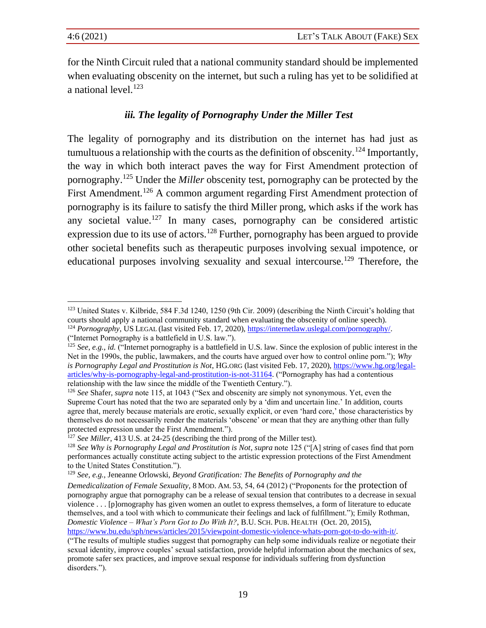for the Ninth Circuit ruled that a national community standard should be implemented when evaluating obscenity on the internet, but such a ruling has yet to be solidified at a national level. $123$ 

## *iii. The legality of Pornography Under the Miller Test*

The legality of pornography and its distribution on the internet has had just as tumultuous a relationship with the courts as the definition of obscenity.<sup>124</sup> Importantly, the way in which both interact paves the way for First Amendment protection of pornography.<sup>125</sup> Under the *Miller* obscenity test, pornography can be protected by the First Amendment.<sup>126</sup> A common argument regarding First Amendment protection of pornography is its failure to satisfy the third Miller prong, which asks if the work has any societal value.<sup>127</sup> In many cases, pornography can be considered artistic expression due to its use of actors.<sup>128</sup> Further, pornography has been argued to provide other societal benefits such as therapeutic purposes involving sexual impotence, or educational purposes involving sexuality and sexual intercourse.<sup>129</sup> Therefore, the

<sup>&</sup>lt;sup>123</sup> United States v. Kilbride, 584 F.3d 1240, 1250 (9th Cir. 2009) (describing the Ninth Circuit's holding that courts should apply a national community standard when evaluating the obscenity of online speech). <sup>124</sup> *Pornography*, US LEGAL (last visited Feb. 17, 2020), [https://internetlaw.uslegal.com/pornography/.](https://internetlaw.uslegal.com/pornography/)

<sup>(&</sup>quot;Internet Pornography is a battlefield in U.S. law.").

<sup>&</sup>lt;sup>125</sup> *See, e.g., id.* ("Internet pornography is a battlefield in U.S. law. Since the explosion of public interest in the Net in the 1990s, the public, lawmakers, and the courts have argued over how to control online porn."); *Why is Pornography Legal and Prostitution is Not*, HG.ORG (last visited Feb. 17, 2020), [https://www.hg.org/legal](https://www.hg.org/legal-articles/why-is-pornography-legal-and-prostitution-is-not-31164)[articles/why-is-pornography-legal-and-prostitution-is-not-31164.](https://www.hg.org/legal-articles/why-is-pornography-legal-and-prostitution-is-not-31164) ("Pornography has had a contentious relationship with the law since the middle of the Twentieth Century.").

<sup>126</sup> *See* Shafer, *supra* note 115, at 1043 ("Sex and obscenity are simply not synonymous. Yet, even the Supreme Court has noted that the two are separated only by a 'dim and uncertain line.' In addition, courts agree that, merely because materials are erotic, sexually explicit, or even 'hard core,' those characteristics by themselves do not necessarily render the materials 'obscene' or mean that they are anything other than fully protected expression under the First Amendment.").

<sup>127</sup> *See Miller*, 413 U.S. at 24-25 (describing the third prong of the Miller test).

<sup>128</sup> *See Why is Pornography Legal and Prostitution is Not*, *supra* note 125 ("[A] string of cases find that porn performances actually constitute acting subject to the artistic expression protections of the First Amendment to the United States Constitution.").

<sup>129</sup> *See, e.g.*, Jeneanne Orlowski, *Beyond Gratification: The Benefits of Pornography and the* 

*Demedicalization of Female Sexuality*, 8 MOD. AM. 53, 54, 64 (2012) ("Proponents for the protection of pornography argue that pornography can be a release of sexual tension that contributes to a decrease in sexual violence . . . [p]ornography has given women an outlet to express themselves, a form of literature to educate themselves, and a tool with which to communicate their feelings and lack of fulfillment."); Emily Rothman, *Domestic Violence – What's Porn Got to Do With It?*, B.U.SCH.PUB. HEALTH (Oct. 20, 2015), [https://www.bu.edu/sph/news/articles/2015/viewpoint-domestic-violence-whats-porn-got-to-do-with-it/.](https://www.bu.edu/sph/news/articles/2015/viewpoint-domestic-violence-whats-porn-got-to-do-with-it/) 

<sup>(&</sup>quot;The results of multiple studies suggest that pornography can help some individuals realize or negotiate their sexual identity, improve couples' sexual satisfaction, provide helpful information about the mechanics of sex, promote safer sex practices, and improve sexual response for individuals suffering from dysfunction disorders.").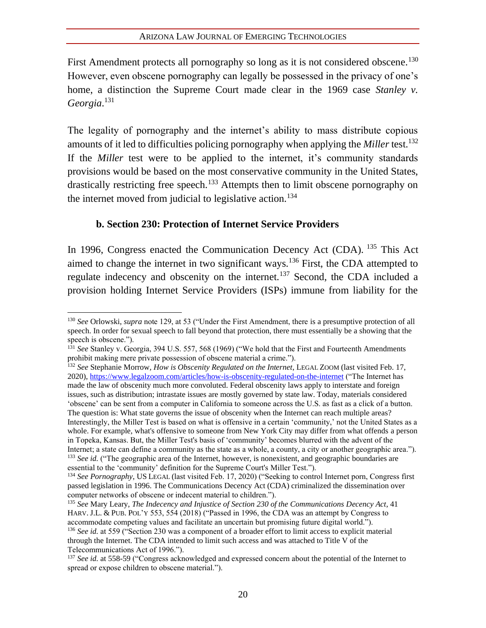First Amendment protects all pornography so long as it is not considered obscene.<sup>130</sup> However, even obscene pornography can legally be possessed in the privacy of one's home, a distinction the Supreme Court made clear in the 1969 case *Stanley v. Georgia*. 131

The legality of pornography and the internet's ability to mass distribute copious amounts of it led to difficulties policing pornography when applying the *Miller* test.<sup>132</sup> If the *Miller* test were to be applied to the internet, it's community standards provisions would be based on the most conservative community in the United States, drastically restricting free speech.<sup>133</sup> Attempts then to limit obscene pornography on the internet moved from judicial to legislative action.<sup>134</sup>

## **b. Section 230: Protection of Internet Service Providers**

In 1996, Congress enacted the Communication Decency Act (CDA). <sup>135</sup> This Act aimed to change the internet in two significant ways.<sup>136</sup> First, the CDA attempted to regulate indecency and obscenity on the internet.<sup>137</sup> Second, the CDA included a provision holding Internet Service Providers (ISPs) immune from liability for the

<sup>130</sup> *See* Orlowski, *supra* note 129, at 53 ("Under the First Amendment, there is a presumptive protection of all speech. In order for sexual speech to fall beyond that protection, there must essentially be a showing that the speech is obscene.").

<sup>&</sup>lt;sup>131</sup> See Stanley v. Georgia, 394 U.S. 557, 568 (1969) ("We hold that the First and Fourteenth Amendments prohibit making mere private possession of obscene material a crime.").

<sup>132</sup> *See* Stephanie Morrow*, How is Obscenity Regulated on the Internet*, LEGAL ZOOM (last visited Feb. 17, 2020),<https://www.legalzoom.com/articles/how-is-obscenity-regulated-on-the-internet> ("The Internet has made the law of obscenity much more convoluted. Federal obscenity laws apply to interstate and foreign issues, such as distribution; intrastate issues are mostly governed by state law. Today, materials considered 'obscene' can be sent from a computer in California to someone across the U.S. as fast as a click of a button. The question is: What state governs the issue of obscenity when the Internet can reach multiple areas? Interestingly, the Miller Test is based on what is offensive in a certain 'community,' not the United States as a whole. For example, what's offensive to someone from New York City may differ from what offends a person in Topeka, Kansas. But, the Miller Test's basis of 'community' becomes blurred with the advent of the Internet; a state can define a community as the state as a whole, a county, a city or another geographic area."). <sup>133</sup> *See id.* ("The geographic area of the Internet, however, is nonexistent, and geographic boundaries are essential to the 'community' definition for the Supreme Court's Miller Test.").

<sup>134</sup> *See Pornography*, US LEGAL (last visited Feb. 17, 2020) ("Seeking to control Internet porn, Congress first passed legislation in 1996. The Communications Decency Act (CDA) criminalized the dissemination over computer networks of obscene or indecent material to children.").

<sup>135</sup> *See* Mary Leary, *The Indecency and Injustice of Section 230 of the Communications Decency Act*, 41 HARV. J.L. & PUB. POL'Y 553, 554 (2018) ("Passed in 1996, the CDA was an attempt by Congress to accommodate competing values and facilitate an uncertain but promising future digital world."). <sup>136</sup> See id. at 559 ("Section 230 was a component of a broader effort to limit access to explicit material through the Internet. The CDA intended to limit such access and was attached to Title V of the Telecommunications Act of 1996.").

<sup>137</sup> *See id.* at 558-59 ("Congress acknowledged and expressed concern about the potential of the Internet to spread or expose children to obscene material.").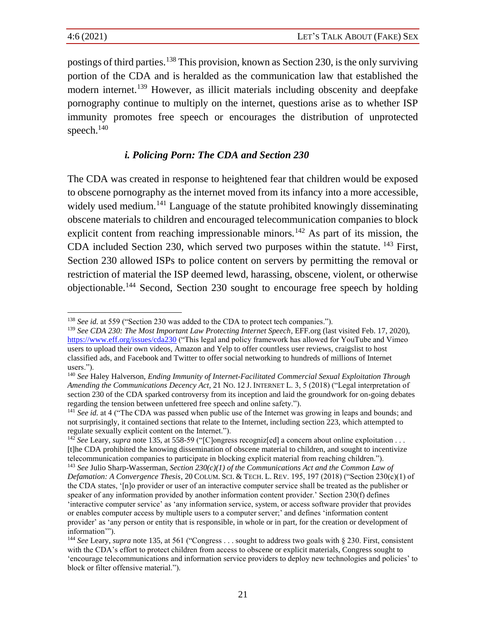postings of third parties.<sup>138</sup> This provision, known as Section 230, is the only surviving portion of the CDA and is heralded as the communication law that established the modern internet.<sup>139</sup> However, as illicit materials including obscenity and deepfake pornography continue to multiply on the internet, questions arise as to whether ISP immunity promotes free speech or encourages the distribution of unprotected speech.<sup>140</sup>

## *i. Policing Porn: The CDA and Section 230*

The CDA was created in response to heightened fear that children would be exposed to obscene pornography as the internet moved from its infancy into a more accessible, widely used medium.<sup>141</sup> Language of the statute prohibited knowingly disseminating obscene materials to children and encouraged telecommunication companies to block explicit content from reaching impressionable minors.<sup>142</sup> As part of its mission, the CDA included Section 230, which served two purposes within the statute. <sup>143</sup> First, Section 230 allowed ISPs to police content on servers by permitting the removal or restriction of material the ISP deemed lewd, harassing, obscene, violent, or otherwise objectionable.<sup>144</sup> Second, Section 230 sought to encourage free speech by holding

<sup>138</sup> *See id.* at 559 ("Section 230 was added to the CDA to protect tech companies.").

<sup>139</sup> *See CDA 230: The Most Important Law Protecting Internet Speech*, EFF.org (last visited Feb. 17, 2020), <https://www.eff.org/issues/cda230> ("This legal and policy framework has allowed for YouTube and Vimeo users to upload their own videos, Amazon and Yelp to offer countless user reviews, craigslist to host classified ads, and Facebook and Twitter to offer social networking to hundreds of millions of Internet users.").

<sup>140</sup> *See* Haley Halverson, *Ending Immunity of Internet-Facilitated Commercial Sexual Exploitation Through Amending the Communications Decency Act*, 21 NO. 12 J. INTERNET L. 3, 5 (2018) ("Legal interpretation of section 230 of the CDA sparked controversy from its inception and laid the groundwork for on-going debates regarding the tension between unfettered free speech and online safety.").

<sup>141</sup> *See id.* at 4 ("The CDA was passed when public use of the Internet was growing in leaps and bounds; and not surprisingly, it contained sections that relate to the Internet, including section 223, which attempted to regulate sexually explicit content on the Internet.").

<sup>&</sup>lt;sup>142</sup> See Leary, *supra* note 135, at 558-59 ("[C]ongress recogniz[ed] a concern about online exploitation . . . [t]he CDA prohibited the knowing dissemination of obscene material to children, and sought to incentivize telecommunication companies to participate in blocking explicit material from reaching children.").

<sup>143</sup> *See* Julio Sharp-Wasserman, *Section 230(c)(1) of the Communications Act and the Common Law of Defamation: A Convergence Thesis*, 20 COLUM.SCI. & TECH. L. REV. 195, 197 (2018) ("Section 230(c)(1) of the CDA states, '[n]o provider or user of an interactive computer service shall be treated as the publisher or speaker of any information provided by another information content provider.' Section 230(f) defines 'interactive computer service' as 'any information service, system, or access software provider that provides or enables computer access by multiple users to a computer server;' and defines 'information content provider' as 'any person or entity that is responsible, in whole or in part, for the creation or development of information'").

<sup>144</sup> *See* Leary, *supra* note 135, at 561 ("Congress . . . sought to address two goals with § 230. First, consistent with the CDA's effort to protect children from access to obscene or explicit materials, Congress sought to 'encourage telecommunications and information service providers to deploy new technologies and policies' to block or filter offensive material.").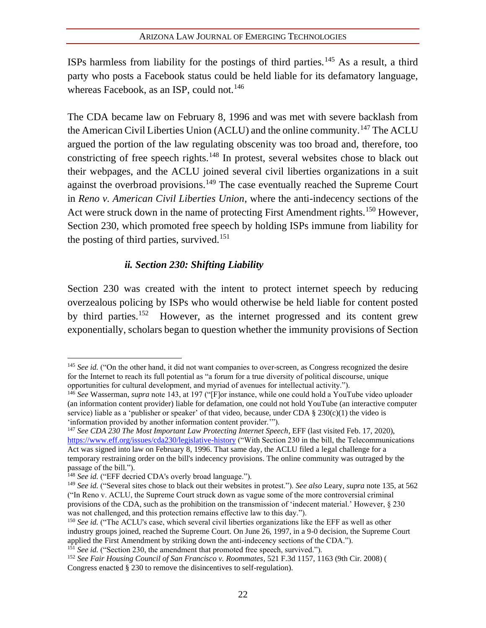ISPs harmless from liability for the postings of third parties.<sup>145</sup> As a result, a third party who posts a Facebook status could be held liable for its defamatory language, whereas Facebook, as an ISP, could not.<sup>146</sup>

The CDA became law on February 8, 1996 and was met with severe backlash from the American Civil Liberties Union (ACLU) and the online community.<sup>147</sup> The ACLU argued the portion of the law regulating obscenity was too broad and, therefore, too constricting of free speech rights.<sup>148</sup> In protest, several websites chose to black out their webpages, and the ACLU joined several civil liberties organizations in a suit against the overbroad provisions.<sup>149</sup> The case eventually reached the Supreme Court in *Reno v. American Civil Liberties Union*, where the anti-indecency sections of the Act were struck down in the name of protecting First Amendment rights.<sup>150</sup> However, Section 230, which promoted free speech by holding ISPs immune from liability for the posting of third parties, survived.<sup>151</sup>

## *ii. Section 230: Shifting Liability*

Section 230 was created with the intent to protect internet speech by reducing overzealous policing by ISPs who would otherwise be held liable for content posted by third parties.<sup>152</sup> However, as the internet progressed and its content grew exponentially, scholars began to question whether the immunity provisions of Section

<sup>&</sup>lt;sup>145</sup> *See id.* ("On the other hand, it did not want companies to over-screen, as Congress recognized the desire for the Internet to reach its full potential as "a forum for a true diversity of political discourse, unique opportunities for cultural development, and myriad of avenues for intellectual activity.").

<sup>146</sup> *See* Wasserman, *supra* note 143, at 197 ("[F]or instance, while one could hold a YouTube video uploader (an information content provider) liable for defamation, one could not hold YouTube (an interactive computer service) liable as a 'publisher or speaker' of that video, because, under CDA § 230(c)(1) the video is 'information provided by another information content provider.'").

<sup>147</sup> *See CDA 230 The Most Important Law Protecting Internet Speech*, EFF (last visited Feb. 17, 2020), <https://www.eff.org/issues/cda230/legislative-history> ("With Section 230 in the bill, the Telecommunications Act was signed into law on February 8, 1996. That same day, the ACLU filed a legal challenge for a temporary restraining order on the bill's indecency provisions. The online community was outraged by the passage of the bill.").

<sup>&</sup>lt;sup>148</sup> *See id.* ("EFF decried CDA's overly broad language.").

<sup>149</sup> *See id.* ("Several sites chose to black out their websites in protest."). *See also* Leary, *supra* note 135, at 562 ("In Reno v. ACLU, the Supreme Court struck down as vague some of the more controversial criminal provisions of the CDA, such as the prohibition on the transmission of 'indecent material.' However, § 230 was not challenged, and this protection remains effective law to this day.").

<sup>&</sup>lt;sup>150</sup> See id. ("The ACLU's case, which several civil liberties organizations like the EFF as well as other industry groups joined, reached the Supreme Court. On June 26, 1997, in a 9-0 decision, the Supreme Court applied the First Amendment by striking down the anti-indecency sections of the CDA.").

<sup>&</sup>lt;sup>151</sup> See id. ("Section 230, the amendment that promoted free speech, survived.").

<sup>152</sup> *See Fair Housing Council of San Francisco v. Roommates*, 521 F.3d 1157, 1163 (9th Cir. 2008) ( Congress enacted § 230 to remove the disincentives to self-regulation).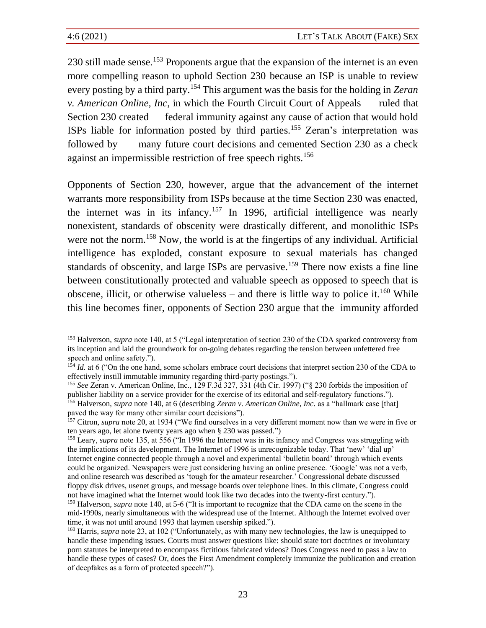230 still made sense.<sup>153</sup> Proponents argue that the expansion of the internet is an even more compelling reason to uphold Section 230 because an ISP is unable to review every posting by a third party.<sup>154</sup> This argument was the basis for the holding in *Zeran v. American Online, Inc*, in which the Fourth Circuit Court of Appeals ruled that Section 230 created federal immunity against any cause of action that would hold ISPs liable for information posted by third parties.<sup>155</sup> Zeran's interpretation was followed by many future court decisions and cemented Section 230 as a check against an impermissible restriction of free speech rights.<sup>156</sup>

Opponents of Section 230, however, argue that the advancement of the internet warrants more responsibility from ISPs because at the time Section 230 was enacted, the internet was in its infancy.<sup>157</sup> In 1996, artificial intelligence was nearly nonexistent, standards of obscenity were drastically different, and monolithic ISPs were not the norm.<sup>158</sup> Now, the world is at the fingertips of any individual. Artificial intelligence has exploded, constant exposure to sexual materials has changed standards of obscenity, and large ISPs are pervasive.<sup>159</sup> There now exists a fine line between constitutionally protected and valuable speech as opposed to speech that is obscene, illicit, or otherwise valueless – and there is little way to police it.<sup>160</sup> While this line becomes finer, opponents of Section 230 argue that the immunity afforded

<sup>153</sup> Halverson, *supra* note 140, at 5 ("Legal interpretation of section 230 of the CDA sparked controversy from its inception and laid the groundwork for on-going debates regarding the tension between unfettered free speech and online safety.").

<sup>&</sup>lt;sup>154</sup> *Id.* at 6 ("On the one hand, some scholars embrace court decisions that interpret section 230 of the CDA to effectively instill immutable immunity regarding third-party postings.").

<sup>155</sup> *See* Zeran v. American Online, Inc., 129 F.3d 327, 331 (4th Cir. 1997) ("§ 230 forbids the imposition of publisher liability on a service provider for the exercise of its editorial and self-regulatory functions."). <sup>156</sup> Halverson, *supra* note 140, at 6 (describing *Zeran v. American Online, Inc.* as a "hallmark case [that] paved the way for many other similar court decisions").

<sup>&</sup>lt;sup>157</sup> Citron, *supra* note 20, at 1934 ("We find ourselves in a very different moment now than we were in five or ten years ago, let alone twenty years ago when § 230 was passed.")

<sup>&</sup>lt;sup>158</sup> Leary, *supra* note 135, at 556 ("In 1996 the Internet was in its infancy and Congress was struggling with the implications of its development. The Internet of 1996 is unrecognizable today. That 'new' 'dial up' Internet engine connected people through a novel and experimental 'bulletin board' through which events could be organized. Newspapers were just considering having an online presence. 'Google' was not a verb, and online research was described as 'tough for the amateur researcher.' Congressional debate discussed floppy disk drives, usenet groups, and message boards over telephone lines. In this climate, Congress could not have imagined what the Internet would look like two decades into the twenty-first century.").

<sup>159</sup> Halverson, *supra* note 140, at 5-6 ("It is important to recognize that the CDA came on the scene in the mid-1990s, nearly simultaneous with the widespread use of the Internet. Although the Internet evolved over time, it was not until around 1993 that laymen usership spiked.").

<sup>&</sup>lt;sup>160</sup> Harris, *supra* note 23, at 102 ("Unfortunately, as with many new technologies, the law is unequipped to handle these impending issues. Courts must answer questions like: should state tort doctrines or involuntary porn statutes be interpreted to encompass fictitious fabricated videos? Does Congress need to pass a law to handle these types of cases? Or, does the First Amendment completely immunize the publication and creation of deepfakes as a form of protected speech?").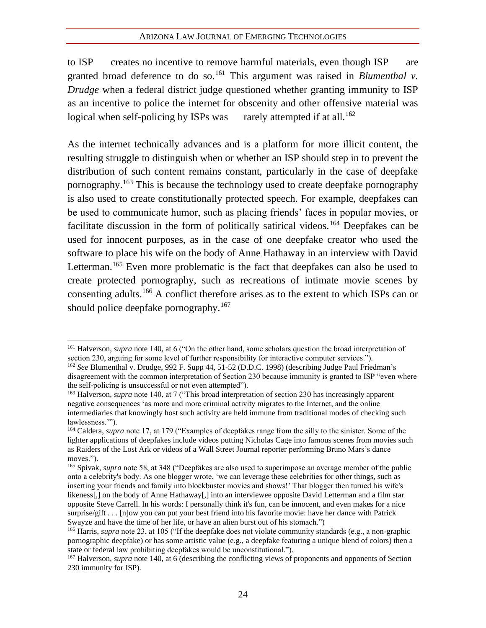to ISP creates no incentive to remove harmful materials, even though ISP are granted broad deference to do so.<sup>161</sup> This argument was raised in *Blumenthal v*. *Drudge* when a federal district judge questioned whether granting immunity to ISP as an incentive to police the internet for obscenity and other offensive material was logical when self-policing by ISPs was rarely attempted if at all.<sup>162</sup>

As the internet technically advances and is a platform for more illicit content, the resulting struggle to distinguish when or whether an ISP should step in to prevent the distribution of such content remains constant, particularly in the case of deepfake pornography.<sup>163</sup> This is because the technology used to create deepfake pornography is also used to create constitutionally protected speech. For example, deepfakes can be used to communicate humor, such as placing friends' faces in popular movies, or facilitate discussion in the form of politically satirical videos.<sup>164</sup> Deepfakes can be used for innocent purposes, as in the case of one deepfake creator who used the software to place his wife on the body of Anne Hathaway in an interview with David Letterman.<sup>165</sup> Even more problematic is the fact that deepfakes can also be used to create protected pornography, such as recreations of intimate movie scenes by consenting adults.<sup>166</sup> A conflict therefore arises as to the extent to which ISPs can or should police deepfake pornography.<sup>167</sup>

<sup>161</sup> Halverson, *supra* note 140, at 6 ("On the other hand, some scholars question the broad interpretation of section 230, arguing for some level of further responsibility for interactive computer services.").

<sup>162</sup> *See* Blumenthal v. Drudge, 992 F. Supp 44, 51-52 (D.D.C. 1998) (describing Judge Paul Friedman's disagreement with the common interpretation of Section 230 because immunity is granted to ISP "even where the self-policing is unsuccessful or not even attempted").

<sup>163</sup> Halverson, *supra* note 140, at 7 ("This broad interpretation of section 230 has increasingly apparent negative consequences 'as more and more criminal activity migrates to the Internet, and the online intermediaries that knowingly host such activity are held immune from traditional modes of checking such lawlessness.'").

<sup>164</sup> Caldera, *supra* note 17, at 179 ("Examples of deepfakes range from the silly to the sinister. Some of the lighter applications of deepfakes include videos putting Nicholas Cage into famous scenes from movies such as Raiders of the Lost Ark or videos of a Wall Street Journal reporter performing Bruno Mars's dance moves.").

<sup>165</sup> Spivak, *supra* note 58, at 348 ("Deepfakes are also used to superimpose an average member of the public onto a celebrity's body. As one blogger wrote, 'we can leverage these celebrities for other things, such as inserting your friends and family into blockbuster movies and shows!' That blogger then turned his wife's likeness[,] on the body of Anne Hathaway[,] into an interviewee opposite David Letterman and a film star opposite Steve Carrell. In his words: I personally think it's fun, can be innocent, and even makes for a nice surprise/gift . . . [n]ow you can put your best friend into his favorite movie: have her dance with Patrick Swayze and have the time of her life, or have an alien burst out of his stomach.")

<sup>&</sup>lt;sup>166</sup> Harris, *supra* note 23, at 105 ("If the deepfake does not violate community standards (e.g., a non-graphic pornographic deepfake) or has some artistic value (e.g., a deepfake featuring a unique blend of colors) then a state or federal law prohibiting deepfakes would be unconstitutional.").

<sup>&</sup>lt;sup>167</sup> Halverson, *supra* note 140, at 6 (describing the conflicting views of proponents and opponents of Section 230 immunity for ISP).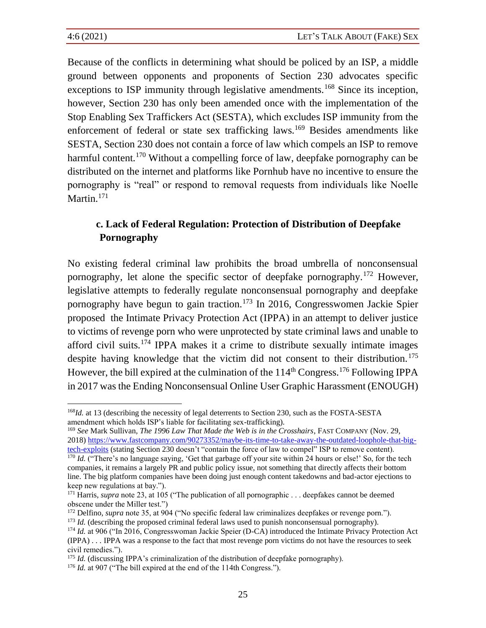Because of the conflicts in determining what should be policed by an ISP, a middle ground between opponents and proponents of Section 230 advocates specific exceptions to ISP immunity through legislative amendments.<sup>168</sup> Since its inception, however, Section 230 has only been amended once with the implementation of the Stop Enabling Sex Traffickers Act (SESTA), which excludes ISP immunity from the enforcement of federal or state sex trafficking laws.<sup>169</sup> Besides amendments like SESTA, Section 230 does not contain a force of law which compels an ISP to remove harmful content.<sup>170</sup> Without a compelling force of law, deepfake pornography can be distributed on the internet and platforms like Pornhub have no incentive to ensure the pornography is "real" or respond to removal requests from individuals like Noelle Martin.<sup>171</sup>

## **c. Lack of Federal Regulation: Protection of Distribution of Deepfake Pornography**

No existing federal criminal law prohibits the broad umbrella of nonconsensual pornography, let alone the specific sector of deepfake pornography.<sup>172</sup> However, legislative attempts to federally regulate nonconsensual pornography and deepfake pornography have begun to gain traction.<sup>173</sup> In 2016, Congresswomen Jackie Spier proposed the Intimate Privacy Protection Act (IPPA) in an attempt to deliver justice to victims of revenge porn who were unprotected by state criminal laws and unable to afford civil suits.<sup>174</sup> IPPA makes it a crime to distribute sexually intimate images despite having knowledge that the victim did not consent to their distribution.<sup>175</sup> However, the bill expired at the culmination of the  $114<sup>th</sup>$  Congress.<sup>176</sup> Following IPPA in 2017 was the Ending Nonconsensual Online User Graphic Harassment (ENOUGH)

<sup>169</sup> *See* Mark Sullivan, *The 1996 Law That Made the Web is in the Crosshairs*, FAST COMPANY (Nov. 29, 2018) [https://www.fastcompany.com/90273352/maybe-its-time-to-take-away-the-outdated-loophole-that-big](https://www.fastcompany.com/90273352/maybe-its-time-to-take-away-the-outdated-loophole-that-big-tech-exploits)[tech-exploits](https://www.fastcompany.com/90273352/maybe-its-time-to-take-away-the-outdated-loophole-that-big-tech-exploits) (stating Section 230 doesn't "contain the force of law to compel" ISP to remove content).

<sup>173</sup> *Id.* (describing the proposed criminal federal laws used to punish nonconsensual pornography).

<sup>&</sup>lt;sup>168</sup>*Id.* at 13 (describing the necessity of legal deterrents to Section 230, such as the FOSTA-SESTA amendment which holds ISP's liable for facilitating sex-trafficking).

<sup>&</sup>lt;sup>170</sup> *Id.* ("There's no language saying, 'Get that garbage off your site within 24 hours or else!' So, for the tech companies, it remains a largely PR and public policy issue, not something that directly affects their bottom line. The big platform companies have been doing just enough content takedowns and bad-actor ejections to keep new regulations at bay.").

<sup>171</sup> Harris, *supra* note 23, at 105 ("The publication of all pornographic . . . deepfakes cannot be deemed obscene under the Miller test.")

<sup>172</sup> Delfino, *supra* note 35, at 904 ("No specific federal law criminalizes deepfakes or revenge porn.").

<sup>174</sup> *Id.* at 906 ("In 2016, Congresswoman Jackie Speier (D-CA) introduced the Intimate Privacy Protection Act (IPPA) . . . IPPA was a response to the fact that most revenge porn victims do not have the resources to seek civil remedies.").

<sup>&</sup>lt;sup>175</sup> *Id.* (discussing IPPA's criminalization of the distribution of deepfake pornography).

<sup>&</sup>lt;sup>176</sup> *Id.* at 907 ("The bill expired at the end of the 114th Congress.").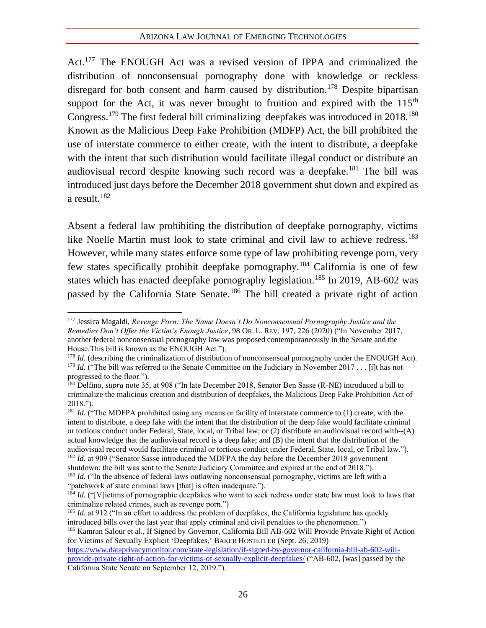Act.<sup>177</sup> The ENOUGH Act was a revised version of IPPA and criminalized the distribution of nonconsensual pornography done with knowledge or reckless disregard for both consent and harm caused by distribution.<sup>178</sup> Despite bipartisan support for the Act, it was never brought to fruition and expired with the  $115<sup>th</sup>$ Congress.<sup>179</sup> The first federal bill criminalizing deepfakes was introduced in  $2018$ .<sup>180</sup> Known as the Malicious Deep Fake Prohibition (MDFP) Act, the bill prohibited the use of interstate commerce to either create, with the intent to distribute, a deepfake with the intent that such distribution would facilitate illegal conduct or distribute an audiovisual record despite knowing such record was a deepfake.<sup>181</sup> The bill was introduced just days before the December 2018 government shut down and expired as a result.<sup>182</sup>

Absent a federal law prohibiting the distribution of deepfake pornography, victims like Noelle Martin must look to state criminal and civil law to achieve redress.<sup>183</sup> However, while many states enforce some type of law prohibiting revenge porn, very few states specifically prohibit deepfake pornography.<sup>184</sup> California is one of few states which has enacted deepfake pornography legislation.<sup>185</sup> In 2019, AB-602 was passed by the California State Senate.<sup>186</sup> The bill created a private right of action

<sup>181</sup> *Id.* ("The MDFPA prohibited using any means or facility of interstate commerce to (1) create, with the intent to distribute, a deep fake with the intent that the distribution of the deep fake would facilitate criminal or tortious conduct under Federal, State, local, or Tribal law; or (2) distribute an audiovisual record with--(A) actual knowledge that the audiovisual record is a deep fake; and (B) the intent that the distribution of the audiovisual record would facilitate criminal or tortious conduct under Federal, State, local, or Tribal law."). <sup>182</sup> *Id.* at 909 ("Senator Sasse introduced the MDFPA the day before the December 2018 government

<sup>177</sup> Jessica Magaldi, *Revenge Porn: The Name Doesn't Do Nonconsensual Pornography Justice and the Remedies Don't Offer the Victim's Enough Justice*, 98 OR. L. REV. 197, 226 (2020) ("In November 2017, another federal nonconsensual pornography law was proposed contemporaneously in the Senate and the House.This bill is known as the ENOUGH Act.").

<sup>&</sup>lt;sup>178</sup> *Id.* (describing the criminalization of distribution of nonconsensual pornography under the ENOUGH Act). <sup>179</sup> *Id.* ("The bill was referred to the Senate Committee on the Judiciary in November 2017 . . . [i]t has not progressed to the floor.").

<sup>180</sup> Delfino, *supra* note 35, at 908 ("In late December 2018, Senator Ben Sasse (R-NE) introduced a bill to criminalize the malicious creation and distribution of deepfakes, the Malicious Deep Fake Prohibition Act of 2018.").

shutdown; the bill was sent to the Senate Judiciary Committee and expired at the end of 2018."). <sup>183</sup> *Id.* ("In the absence of federal laws outlawing nonconsensual pornography, victims are left with a

<sup>&</sup>quot;patchwork of state criminal laws [that] is often inadequate.").

<sup>&</sup>lt;sup>184</sup> *Id.* ("[V]ictims of pornographic deepfakes who want to seek redress under state law must look to laws that criminalize related crimes, such as revenge porn.")

<sup>&</sup>lt;sup>185</sup> *Id.* at 912 ("In an effort to address the problem of deepfakes, the California legislature has quickly introduced bills over the last year that apply criminal and civil penalties to the phenomenon.")

<sup>186</sup> Kamran Salour et al., If Signed by Governor, California Bill AB-602 Will Provide Private Right of Action for Victims of Sexually Explicit 'Deepfakes,' BAKER HOSTETLER (Sept. 26, 2019)

[https://www.dataprivacymonitor.com/state-legislation/if-signed-by-governor-california-bill-ab-602-will](https://www.dataprivacymonitor.com/state-legislation/if-signed-by-governor-california-bill-ab-602-will-provide-private-right-of-action-for-victims-of-sexually-explicit-deepfakes/)[provide-private-right-of-action-for-victims-of-sexually-explicit-deepfakes/](https://www.dataprivacymonitor.com/state-legislation/if-signed-by-governor-california-bill-ab-602-will-provide-private-right-of-action-for-victims-of-sexually-explicit-deepfakes/) ("AB-602, [was] passed by the California State Senate on September 12, 2019.").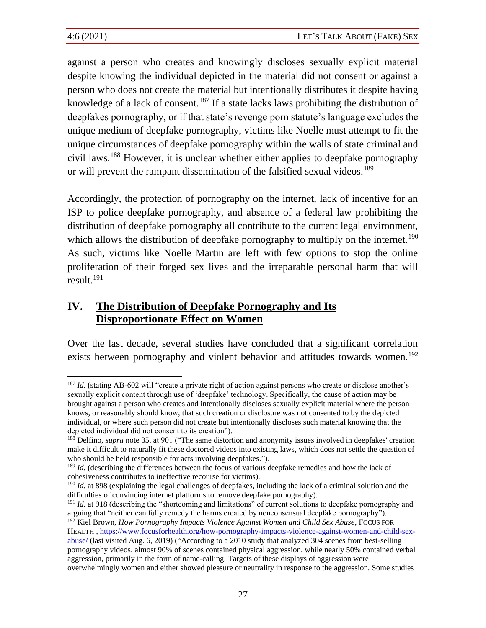against a person who creates and knowingly discloses sexually explicit material despite knowing the individual depicted in the material did not consent or against a person who does not create the material but intentionally distributes it despite having knowledge of a lack of consent.<sup>187</sup> If a state lacks laws prohibiting the distribution of deepfakes pornography, or if that state's revenge porn statute's language excludes the unique medium of deepfake pornography, victims like Noelle must attempt to fit the unique circumstances of deepfake pornography within the walls of state criminal and civil laws.<sup>188</sup> However, it is unclear whether either applies to deepfake pornography or will prevent the rampant dissemination of the falsified sexual videos.<sup>189</sup>

Accordingly, the protection of pornography on the internet, lack of incentive for an ISP to police deepfake pornography, and absence of a federal law prohibiting the distribution of deepfake pornography all contribute to the current legal environment, which allows the distribution of deepfake pornography to multiply on the internet.<sup>190</sup> As such, victims like Noelle Martin are left with few options to stop the online proliferation of their forged sex lives and the irreparable personal harm that will result.<sup>191</sup>

## **IV. The Distribution of Deepfake Pornography and Its Disproportionate Effect on Women**

<span id="page-32-0"></span>Over the last decade, several studies have concluded that a significant correlation exists between pornography and violent behavior and attitudes towards women.<sup>192</sup>

<sup>&</sup>lt;sup>187</sup> *Id.* (stating AB-602 will "create a private right of action against persons who create or disclose another's sexually explicit content through use of 'deepfake' technology. Specifically, the cause of action may be brought against a person who creates and intentionally discloses sexually explicit material where the person knows, or reasonably should know, that such creation or disclosure was not consented to by the depicted individual, or where such person did not create but intentionally discloses such material knowing that the depicted individual did not consent to its creation").

<sup>&</sup>lt;sup>188</sup> Delfino, *supra* note [35,](#page-10-0) at 901 ("The same distortion and anonymity issues involved in deepfakes' creation make it difficult to naturally fit these doctored videos into existing laws, which does not settle the question of who should be held responsible for acts involving deepfakes.").

<sup>&</sup>lt;sup>189</sup> *Id.* (describing the differences between the focus of various deepfake remedies and how the lack of cohesiveness contributes to ineffective recourse for victims).

<sup>&</sup>lt;sup>190</sup> *Id.* at 898 (explaining the legal challenges of deepfakes, including the lack of a criminal solution and the difficulties of convincing internet platforms to remove deepfake pornography).

<sup>&</sup>lt;sup>191</sup> *Id.* at 918 (describing the "shortcoming and limitations" of current solutions to deepfake pornography and arguing that "neither can fully remedy the harms created by nonconsensual deepfake pornography").

<sup>&</sup>lt;sup>192</sup> Kiel Brown, *How Pornography Impacts Violence Against Women and Child Sex Abuse*, Focus FOR

HEALTH , [https://www.focusforhealth.org/how-pornography-impacts-violence-against-women-and-child-sex](https://www.focusforhealth.org/how-pornography-impacts-violence-against-women-and-child-sex-abuse/)[abuse/](https://www.focusforhealth.org/how-pornography-impacts-violence-against-women-and-child-sex-abuse/) (last visited Aug. 6, 2019) ("According to a 2010 study that analyzed 304 scenes from best-selling pornography videos, almost 90% of scenes contained physical aggression, while nearly 50% contained verbal aggression, primarily in the form of name-calling. Targets of these displays of aggression were

overwhelmingly women and either showed pleasure or neutrality in response to the aggression. Some studies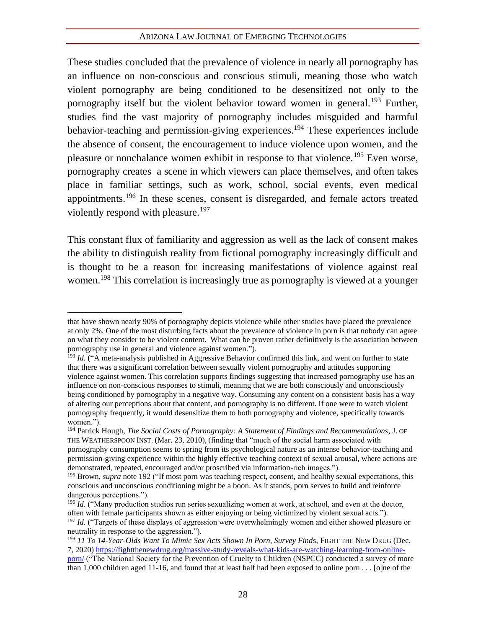#### <span id="page-33-0"></span>ARIZONA LAW JOURNAL OF EMERGING TECHNOLOGIES

These studies concluded that the prevalence of violence in nearly all pornography has an influence on non-conscious and conscious stimuli, meaning those who watch violent pornography are being conditioned to be desensitized not only to the pornography itself but the violent behavior toward women in general.<sup>193</sup> Further, studies find the vast majority of pornography includes misguided and harmful behavior-teaching and permission-giving experiences. <sup>194</sup> These experiences include the absence of consent, the encouragement to induce violence upon women, and the pleasure or nonchalance women exhibit in response to that violence.<sup>195</sup> Even worse, pornography creates a scene in which viewers can place themselves, and often takes place in familiar settings, such as work, school, social events, even medical appointments.<sup>196</sup> In these scenes, consent is disregarded, and female actors treated violently respond with pleasure.<sup>197</sup>

This constant flux of familiarity and aggression as well as the lack of consent makes the ability to distinguish reality from fictional pornography increasingly difficult and is thought to be a reason for increasing manifestations of violence against real women.<sup>198</sup> This correlation is increasingly true as pornography is viewed at a younger

that have shown nearly 90% of pornography depicts violence while other studies have placed the prevalence at only 2%. One of the most disturbing facts about the prevalence of violence in porn is that nobody can agree on what they consider to be violent content. What can be proven rather definitively is the association between pornography use in general and violence against women.").

<sup>&</sup>lt;sup>193</sup> *Id.* ("A meta-analysis published in Aggressive Behavior confirmed this link, and went on further to state that there was a significant correlation between sexually violent pornography and attitudes supporting violence against women. This correlation supports findings suggesting that increased pornography use has an influence on non-conscious responses to stimuli, meaning that we are both consciously and unconsciously being conditioned by pornography in a negative way. Consuming any content on a consistent basis has a way of altering our perceptions about that content, and pornography is no different. If one were to watch violent pornography frequently, it would desensitize them to both pornography and violence, specifically towards women.").

<sup>194</sup> Patrick Hough, *The Social Costs of Pornography: A Statement of Findings and Recommendations*, J. OF THE WEATHERSPOON INST. (Mar. 23, 2010), (finding that "much of the social harm associated with pornography consumption seems to spring from its psychological nature as an intense behavior-teaching and permission-giving experience within the highly effective teaching context of sexual arousal, where actions are demonstrated, repeated, encouraged and/or proscribed via information-rich images.").

<sup>&</sup>lt;sup>195</sup> Brown, *supra* not[e 192](#page-32-0) ("If most porn was teaching respect, consent, and healthy sexual expectations, this conscious and unconscious conditioning might be a boon. As it stands, porn serves to build and reinforce dangerous perceptions.").

<sup>&</sup>lt;sup>196</sup> *Id.* ("Many production studios run series sexualizing women at work, at school, and even at the doctor, often with female participants shown as either enjoying or being victimized by violent sexual acts.").

<sup>&</sup>lt;sup>197</sup> *Id.* ("Targets of these displays of aggression were overwhelmingly women and either showed pleasure or neutrality in response to the aggression.").

<sup>198</sup> *11 To 14-Year-Olds Want To Mimic Sex Acts Shown In Porn, Survey Find*s, FIGHT THE NEW DRUG (Dec. 7, 2020) [https://fightthenewdrug.org/massive-study-reveals-what-kids-are-watching-learning-from-online](https://fightthenewdrug.org/massive-study-reveals-what-kids-are-watching-learning-from-online-porn/)[porn/](https://fightthenewdrug.org/massive-study-reveals-what-kids-are-watching-learning-from-online-porn/) ("The National Society for the Prevention of Cruelty to Children (NSPCC) conducted a survey of more than 1,000 children aged 11-16, and found that at least half had been exposed to online porn . . . [o]ne of the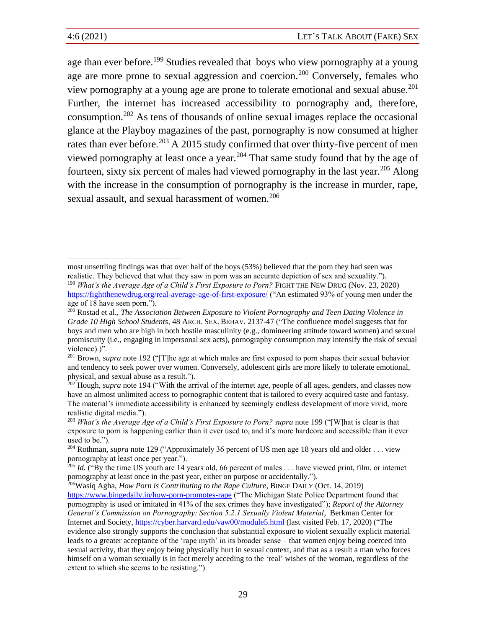<span id="page-34-0"></span>age than ever before.<sup>199</sup> Studies revealed that boys who view pornography at a young age are more prone to sexual aggression and coercion.<sup>200</sup> Conversely, females who view pornography at a young age are prone to tolerate emotional and sexual abuse.<sup>201</sup> Further, the internet has increased accessibility to pornography and, therefore, consumption.<sup>202</sup> As tens of thousands of online sexual images replace the occasional glance at the Playboy magazines of the past, pornography is now consumed at higher rates than ever before.<sup>203</sup> A 2015 study confirmed that over thirty-five percent of men viewed pornography at least once a year.<sup>204</sup> That same study found that by the age of fourteen, sixty six percent of males had viewed pornography in the last year.<sup>205</sup> Along with the increase in the consumption of pornography is the increase in murder, rape, sexual assault, and sexual harassment of women.<sup>206</sup>

most unsettling findings was that over half of the boys (53%) believed that the porn they had seen was realistic. They believed that what they saw in porn was an accurate depiction of sex and sexuality."). <sup>199</sup> *What's the Average Age of a Child's First Exposure to Porn?* FIGHT THE NEW DRUG (Nov. 23, 2020) <https://fightthenewdrug.org/real-average-age-of-first-exposure/> ("An estimated 93% of young men under the age of 18 have seen porn.").

<sup>200</sup> Rostad et al., *The Association Between Exposure to Violent Pornography and Teen Dating Violence in Grade 10 High School Students*, 48 ARCH.SEX. BEHAV. 2137-47 ("The confluence model suggests that for boys and men who are high in both hostile masculinity (e.g., domineering attitude toward women) and sexual promiscuity (i.e., engaging in impersonal sex acts), pornography consumption may intensify the risk of sexual violence).)".

<sup>201</sup> Brown, *supra* not[e 192](#page-32-0) ("[T]he age at which males are first exposed to porn shapes their sexual behavior and tendency to seek power over women. Conversely, adolescent girls are more likely to tolerate emotional, physical, and sexual abuse as a result.").

<sup>&</sup>lt;sup>202</sup> Hough, *supra* not[e 194](#page-33-0) ("With the arrival of the internet age, people of all ages, genders, and classes now have an almost unlimited access to pornographic content that is tailored to every acquired taste and fantasy. The material's immediate accessibility is enhanced by seemingly endless development of more vivid, more realistic digital media.").

<sup>&</sup>lt;sup>203</sup> *What's the Average Age of a Child's First Exposure to Porn? supra note [199](#page-34-0)* ("[W]hat is clear is that exposure to porn is happening earlier than it ever used to, and it's more hardcore and accessible than it ever used to be.").

<sup>&</sup>lt;sup>204</sup> Rothman, *supra* note 129 ("Approximately 36 percent of US men age 18 years old and older . . . view pornography at least once per year.").

<sup>&</sup>lt;sup>205</sup> *Id.* ("By the time US youth are 14 years old, 66 percent of males . . . have viewed print, film, or internet pornography at least once in the past year, either on purpose or accidentally.").

<sup>206</sup>Wasiq Agha, *How Porn is Contributing to the Rape Culture*, BINGE DAILY (Oct. 14, 2019) <https://www.bingedaily.in/how-porn-promotes-rape> ("The Michigan State Police Department found that pornography is used or imitated in 41% of the sex crimes they have investigated"); *Report of the Attorney General's Commission on Pornography: Section 5.2.1 Sexually Violent Material*, Berkman Center for Internet and Society,<https://cyber.harvard.edu/vaw00/module5.html> (last visited Feb. 17, 2020) ("The evidence also strongly supports the conclusion that substantial exposure to violent sexually explicit material leads to a greater acceptance of the 'rape myth' in its broader sense – that women enjoy being coerced into sexual activity, that they enjoy being physically hurt in sexual context, and that as a result a man who forces himself on a woman sexually is in fact merely acceding to the 'real' wishes of the woman, regardless of the extent to which she seems to be resisting.").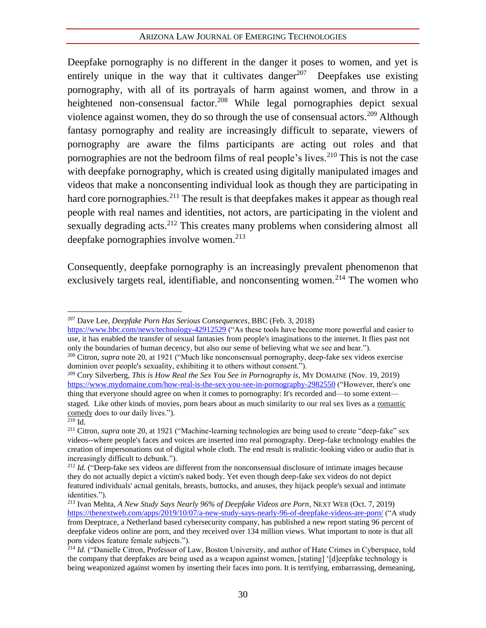Deepfake pornography is no different in the danger it poses to women, and yet is entirely unique in the way that it cultivates danger<sup>207</sup> Deepfakes use existing pornography, with all of its portrayals of harm against women, and throw in a heightened non-consensual factor.<sup>208</sup> While legal pornographies depict sexual violence against women, they do so through the use of consensual actors.<sup>209</sup> Although fantasy pornography and reality are increasingly difficult to separate, viewers of pornography are aware the films participants are acting out roles and that pornographies are not the bedroom films of real people's lives.<sup>210</sup> This is not the case with deepfake pornography, which is created using digitally manipulated images and videos that make a nonconsenting individual look as though they are participating in hard core pornographies.<sup>211</sup> The result is that deepfakes makes it appear as though real people with real names and identities, not actors, are participating in the violent and sexually degrading acts.<sup>212</sup> This creates many problems when considering almost all deepfake pornographies involve women.<sup>213</sup>

Consequently, deepfake pornography is an increasingly prevalent phenomenon that exclusively targets real, identifiable, and nonconsenting women.<sup>214</sup> The women who

<https://www.bbc.com/news/technology-42912529> ("As these tools have become more powerful and easier to use, it has enabled the transfer of sexual fantasies from people's imaginations to the internet. It flies past not only the boundaries of human decency, but also our sense of believing what we see and hear.").

<sup>209</sup> Cory Silverberg, *This is How Real the Sex You See in Pornography is*, MY DOMAINE (Nov. 19, 2019) <https://www.mydomaine.com/how-real-is-the-sex-you-see-in-pornography-2982550> ("However, there's one thing that everyone should agree on when it comes to pornography: It's recorded and—to some extent staged. Like other kinds of movies, porn bears about as much similarity to our real sex lives as a [romantic](https://www.mydomaine.com/self-care-4628450)  [comedy](https://www.mydomaine.com/self-care-4628450) does to our daily lives."). <sup>210</sup> Id.

<sup>207</sup> Dave Lee, *Deepfake Porn Has Serious Consequences*, BBC (Feb. 3, 2018)

<sup>208</sup> Citron, *supra* note [20,](#page-8-0) at 1921 ("Much like nonconsensual pornography, deep-fake sex videos exercise dominion over people's sexuality, exhibiting it to others without consent.").

<sup>&</sup>lt;sup>211</sup> Citron, *supra* note 20, at 1921 ("Machine-learning technologies are being used to create "deep-fake" sex videos--where people's faces and voices are inserted into real pornography. Deep-fake technology enables the creation of impersonations out of digital whole cloth. The end result is realistic-looking video or audio that is increasingly difficult to debunk.").

<sup>&</sup>lt;sup>212</sup> *Id.* ("Deep-fake sex videos are different from the nonconsensual disclosure of intimate images because they do not actually depict a victim's naked body. Yet even though deep-fake sex videos do not depict featured individuals' actual genitals, breasts, buttocks, and anuses, they hijack people's sexual and intimate identities.").

<sup>213</sup> Ivan Mehta, *A New Study Says Nearly 96% of Deepfake Videos are Porn*, NEXT WEB (Oct. 7, 2019) <https://thenextweb.com/apps/2019/10/07/a-new-study-says-nearly-96-of-deepfake-videos-are-porn/> ("A study from Deeptrace, a Netherland based cybersecurity company, has published a new report stating 96 percent of deepfake videos online are porn, and they received over 134 million views. What important to note is that all porn videos feature female subjects.").

<sup>&</sup>lt;sup>214</sup> *Id.* ("Danielle Citron, Professor of Law, Boston University, and author of Hate Crimes in Cyberspace, told the company that deepfakes are being used as a weapon against women, [stating] '[d]eepfake technology is being weaponized against women by inserting their faces into porn. It is terrifying, embarrassing, demeaning,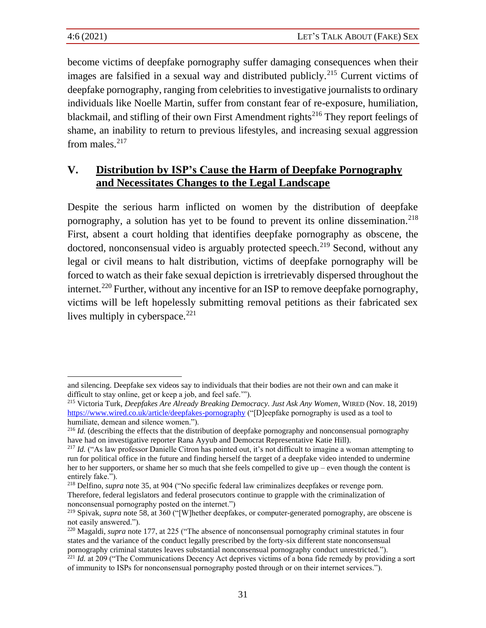become victims of deepfake pornography suffer damaging consequences when their images are falsified in a sexual way and distributed publicly.<sup>215</sup> Current victims of deepfake pornography, ranging from celebrities to investigative journalists to ordinary individuals like Noelle Martin, suffer from constant fear of re-exposure, humiliation, blackmail, and stifling of their own First Amendment rights<sup>216</sup> They report feelings of shame, an inability to return to previous lifestyles, and increasing sexual aggression from males. $217$ 

## **V. Distribution by ISP's Cause the Harm of Deepfake Pornography and Necessitates Changes to the Legal Landscape**

Despite the serious harm inflicted on women by the distribution of deepfake pornography, a solution has yet to be found to prevent its online dissemination.<sup>218</sup> First, absent a court holding that identifies deepfake pornography as obscene, the doctored, nonconsensual video is arguably protected speech.<sup>219</sup> Second, without any legal or civil means to halt distribution, victims of deepfake pornography will be forced to watch as their fake sexual depiction is irretrievably dispersed throughout the internet.<sup>220</sup> Further, without any incentive for an ISP to remove deepfake pornography, victims will be left hopelessly submitting removal petitions as their fabricated sex lives multiply in cyberspace. $221$ 

and silencing. Deepfake sex videos say to individuals that their bodies are not their own and can make it difficult to stay online, get or keep a job, and feel safe.'").

<sup>215</sup> Victoria Turk, *Deepfakes Are Already Breaking Democracy. Just Ask Any Women*, WIRED (Nov. 18, 2019) <https://www.wired.co.uk/article/deepfakes-pornography> ("[D]eepfake pornography is used as a tool to humiliate, demean and silence women.").

<sup>&</sup>lt;sup>216</sup> *Id.* (describing the effects that the distribution of deepfake pornography and nonconsensual pornography have had on investigative reporter Rana Ayyub and Democrat Representative Katie Hill).

<sup>&</sup>lt;sup>217</sup> *Id.* ("As law professor Danielle Citron has pointed out, it's not difficult to imagine a woman attempting to run for political office in the future and finding herself the target of a deepfake video intended to undermine her to her supporters, or shame her so much that she feels compelled to give up – even though the content is entirely fake.").

<sup>218</sup> Delfino, *supra* note [35,](#page-10-0) at 904 ("No specific federal law criminalizes deepfakes or revenge porn. Therefore, federal legislators and federal prosecutors continue to grapple with the criminalization of nonconsensual pornography posted on the internet.")

<sup>219</sup> Spivak, *supra* note 58, at 360 ("[W]hether deepfakes, or computer-generated pornography, are obscene is not easily answered.").

<sup>220</sup> Magaldi, *supra* note 177, at 225 ("The absence of nonconsensual pornography criminal statutes in four states and the variance of the conduct legally prescribed by the forty-six different state nonconsensual pornography criminal statutes leaves substantial nonconsensual pornography conduct unrestricted."). <sup>221</sup> *Id.* at 209 ("The Communications Decency Act deprives victims of a bona fide remedy by providing a sort

of immunity to ISPs for nonconsensual pornography posted through or on their internet services.").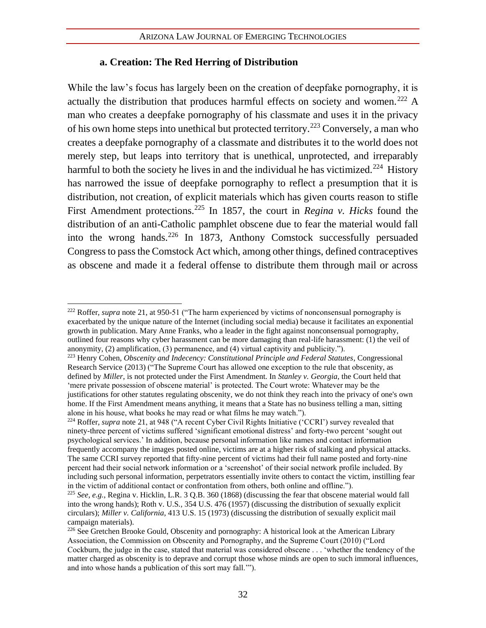#### **a. Creation: The Red Herring of Distribution**

While the law's focus has largely been on the creation of deepfake pornography, it is actually the distribution that produces harmful effects on society and women.<sup>222</sup> A man who creates a deepfake pornography of his classmate and uses it in the privacy of his own home steps into unethical but protected territory.<sup>223</sup> Conversely, a man who creates a deepfake pornography of a classmate and distributes it to the world does not merely step, but leaps into territory that is unethical, unprotected, and irreparably harmful to both the society he lives in and the individual he has victimized.<sup>224</sup> History has narrowed the issue of deepfake pornography to reflect a presumption that it is distribution, not creation, of explicit materials which has given courts reason to stifle First Amendment protections.<sup>225</sup> In 1857, the court in *Regina v. Hicks* found the distribution of an anti-Catholic pamphlet obscene due to fear the material would fall into the wrong hands.<sup>226</sup> In 1873, Anthony Comstock successfully persuaded Congress to pass the Comstock Act which, among other things, defined contraceptives as obscene and made it a federal offense to distribute them through mail or across

<sup>&</sup>lt;sup>222</sup> Roffer, *supra* not[e 21,](#page-9-1) at 950-51 ("The harm experienced by victims of nonconsensual pornography is exacerbated by the unique nature of the Internet (including social media) because it facilitates an exponential growth in publication. Mary Anne Franks, who a leader in the fight against nonconsensual pornography, outlined four reasons why cyber harassment can be more damaging than real-life harassment: (1) the veil of anonymity, (2) amplification, (3) permanence, and (4) virtual captivity and publicity.").

<sup>223</sup> Henry Cohen, *Obscenity and Indecency: Constitutional Principle and Federal Statutes*, Congressional Research Service (2013) ("The Supreme Court has allowed one exception to the rule that obscenity, as defined by *Miller*, is not protected under the First Amendment. In *Stanley v. Georgia*, the Court held that 'mere private possession of obscene material' is protected. The Court wrote: Whatever may be the justifications for other statutes regulating obscenity, we do not think they reach into the privacy of one's own home. If the First Amendment means anything, it means that a State has no business telling a man, sitting alone in his house, what books he may read or what films he may watch.").

<sup>&</sup>lt;sup>224</sup> Roffer, *supra* not[e 21,](#page-9-1) at 948 ("A recent Cyber Civil Rights Initiative ('CCRI') survey revealed that ninety-three percent of victims suffered 'significant emotional distress' and forty-two percent 'sought out psychological services.' In addition, because personal information like names and contact information frequently accompany the images posted online, victims are at a higher risk of stalking and physical attacks. The same CCRI survey reported that fifty-nine percent of victims had their full name posted and forty-nine percent had their social network information or a 'screenshot' of their social network profile included. By including such personal information, perpetrators essentially invite others to contact the victim, instilling fear in the victim of additional contact or confrontation from others, both online and offline.").

<sup>225</sup> *See, e.g.*, Regina v. Hicklin, L.R. 3 Q.B. 360 (1868) (discussing the fear that obscene material would fall into the wrong hands); Roth v. U.S*.,* 354 U.S. 476 (1957) (discussing the distribution of sexually explicit circulars); *Miller v. California,* 413 U.S. 15 (1973) (discussing the distribution of sexually explicit mail campaign materials).

<sup>&</sup>lt;sup>226</sup> See Gretchen Brooke Gould, Obscenity and pornography: A historical look at the American Library Association, the Commission on Obscenity and Pornography, and the Supreme Court (2010) ("Lord Cockburn, the judge in the case, stated that material was considered obscene . . . 'whether the tendency of the matter charged as obscenity is to deprave and corrupt those whose minds are open to such immoral influences, and into whose hands a publication of this sort may fall.'").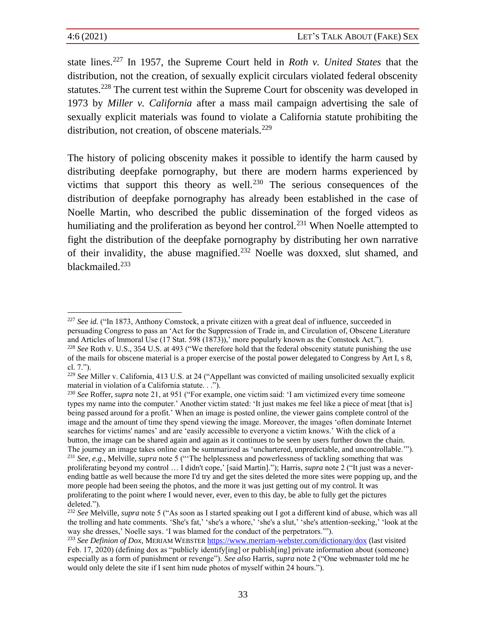state lines.<sup>227</sup> In 1957, the Supreme Court held in *Roth v. United States* that the distribution, not the creation, of sexually explicit circulars violated federal obscenity statutes.<sup>228</sup> The current test within the Supreme Court for obscenity was developed in 1973 by *Miller v. California* after a mass mail campaign advertising the sale of sexually explicit materials was found to violate a California statute prohibiting the distribution, not creation, of obscene materials.<sup>229</sup>

The history of policing obscenity makes it possible to identify the harm caused by distributing deepfake pornography, but there are modern harms experienced by victims that support this theory as well.<sup>230</sup> The serious consequences of the distribution of deepfake pornography has already been established in the case of Noelle Martin, who described the public dissemination of the forged videos as humiliating and the proliferation as beyond her control.<sup>231</sup> When Noelle attempted to fight the distribution of the deepfake pornography by distributing her own narrative of their invalidity, the abuse magnified.<sup>232</sup> Noelle was doxxed, slut shamed, and blackmailed.<sup>233</sup>

<sup>&</sup>lt;sup>227</sup> *See id.* ("In 1873, Anthony Comstock, a private citizen with a great deal of influence, succeeded in persuading Congress to pass an 'Act for the Suppression of Trade in, and Circulation of, Obscene Literature and Articles of lmmoral Use (17 Stat. 598 (1873)),' more popularly known as the Comstock Act."). <sup>228</sup> *See* Roth v. U.S., 354 U.S. at 493 ("We therefore hold that the federal obscenity statute punishing the use of the mails for obscene material is a proper exercise of the postal power delegated to Congress by Art I, s 8, cl. 7.").

<sup>229</sup> *See* Miller v. California, 413 U.S. at 24 ("Appellant was convicted of mailing unsolicited sexually explicit material in violation of a California statute. . .").

<sup>230</sup> *See* Roffer, *supra* note 21, at 951 ("For example, one victim said: 'I am victimized every time someone types my name into the computer.' Another victim stated: 'It just makes me feel like a piece of meat [that is] being passed around for a profit.' When an image is posted online, the viewer gains complete control of the image and the amount of time they spend viewing the image. Moreover, the images 'often dominate Internet searches for victims' names' and are 'easily accessible to everyone a victim knows.' With the click of a button, the image can be shared again and again as it continues to be seen by users further down the chain. The journey an image takes online can be summarized as 'unchartered, unpredictable, and uncontrollable.'"). <sup>231</sup> *See, e.g.*, Melville, *supra* note 5 ("'The helplessness and powerlessness of tackling something that was proliferating beyond my control … I didn't cope,' [said Martin]."); Harris, *supra* note 2 ("It just was a neverending battle as well because the more I'd try and get the sites deleted the more sites were popping up, and the more people had been seeing the photos, and the more it was just getting out of my control. It was proliferating to the point where I would never, ever, even to this day, be able to fully get the pictures deleted.").

<sup>232</sup> *See* Melville, *supra* note 5 ("As soon as I started speaking out I got a different kind of abuse, which was all the trolling and hate comments. 'She's fat,' 'she's a whore,' 'she's a slut,' 'she's attention-seeking,' 'look at the way she dresses,' Noelle says. 'I was blamed for the conduct of the perpetrators.'").

<sup>233</sup> *See Definion of Dox*, MERIAM WEBSTER <https://www.merriam-webster.com/dictionary/dox> (last visited Feb. 17, 2020) (defining dox as "publicly identify[ing] or publish[ing] private information about (someone) especially as a form of punishment or revenge"). *See also* Harris, *supra* note 2 ("One webmaster told me he would only delete the site if I sent him nude photos of myself within 24 hours.").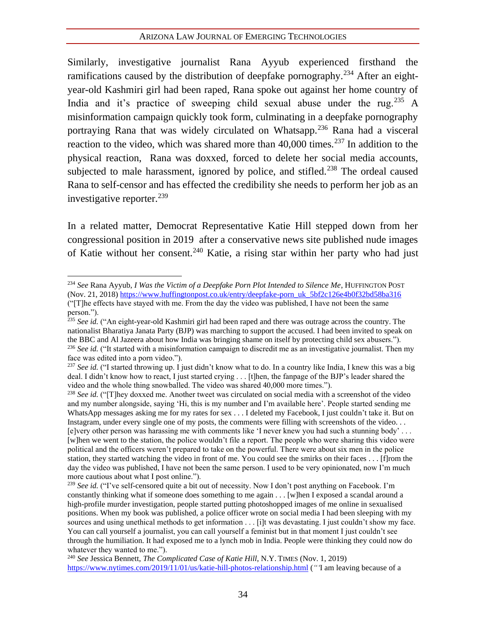Similarly, investigative journalist Rana Ayyub experienced firsthand the ramifications caused by the distribution of deepfake pornography.<sup>234</sup> After an eightyear-old Kashmiri girl had been raped, Rana spoke out against her home country of India and it's practice of sweeping child sexual abuse under the rug.<sup>235</sup> A misinformation campaign quickly took form, culminating in a deepfake pornography portraying Rana that was widely circulated on Whatsapp.<sup>236</sup> Rana had a visceral reaction to the video, which was shared more than  $40,000$  times.<sup>237</sup> In addition to the physical reaction, Rana was doxxed, forced to delete her social media accounts, subjected to male harassment, ignored by police, and stifled.<sup>238</sup> The ordeal caused Rana to self-censor and has effected the credibility she needs to perform her job as an investigative reporter. $^{239}$ 

In a related matter, Democrat Representative Katie Hill stepped down from her congressional position in 2019 after a conservative news site published nude images of Katie without her consent.<sup>240</sup> Katie, a rising star within her party who had just

<sup>234</sup> *See* Rana Ayyub, *I Was the Victim of a Deepfake Porn Plot Intended to Silence Me*, HUFFINGTON POST (Nov. 21, 2018) [https://www.huffingtonpost.co.uk/entry/deepfake-porn\\_uk\\_5bf2c126e4b0f32bd58ba316](https://www.huffingtonpost.co.uk/entry/deepfake-porn_uk_5bf2c126e4b0f32bd58ba316) ("[T]he effects have stayed with me. From the day the video was published, I have not been the same person.").

<sup>&</sup>lt;sup>235</sup> See id. ("An eight-year-old Kashmiri girl had been raped and there was outrage across the country. The nationalist Bharatiya Janata Party (BJP) was marching to support the accused. I had been invited to speak on the BBC and Al Jazeera about how India was bringing shame on itself by protecting child sex abusers."). <sup>236</sup> See id. ("It started with a misinformation campaign to discredit me as an investigative journalist. Then my face was edited into a porn video.").

<sup>&</sup>lt;sup>237</sup> See id. ("I started throwing up. I just didn't know what to do. In a country like India, I knew this was a big deal. I didn't know how to react, I just started crying . . . [t]hen, the fanpage of the BJP's leader shared the video and the whole thing snowballed. The video was shared 40,000 more times.").

<sup>&</sup>lt;sup>238</sup> See id. ("[T]hey doxxed me. Another tweet was circulated on social media with a screenshot of the video and my number alongside, saying 'Hi, this is my number and I'm available here'. People started sending me WhatsApp messages asking me for my rates for sex . . . I deleted my Facebook, I just couldn't take it. But on Instagram, under every single one of my posts, the comments were filling with screenshots of the video. . . [e]very other person was harassing me with comments like 'I never knew you had such a stunning body' . . . [w]hen we went to the station, the police wouldn't file a report. The people who were sharing this video were political and the officers weren't prepared to take on the powerful. There were about six men in the police station, they started watching the video in front of me. You could see the smirks on their faces . . . [f]rom the day the video was published, I have not been the same person. I used to be very opinionated, now I'm much more cautious about what I post online.").

<sup>&</sup>lt;sup>239</sup> *See id.* ("I've self-censored quite a bit out of necessity. Now I don't post anything on Facebook. I'm constantly thinking what if someone does something to me again . . . [w]hen I exposed a scandal around a high-profile murder investigation, people started putting photoshopped images of me online in sexualised positions. When my book was published, a police officer wrote on social media I had been sleeping with my sources and using unethical methods to get information . . . [i]t was devastating. I just couldn't show my face. You can call yourself a journalist, you can call yourself a feminist but in that moment I just couldn't see through the humiliation. It had exposed me to a lynch mob in India. People were thinking they could now do whatever they wanted to me.").

<sup>240</sup> *See* Jessica Bennett, *The Complicated Case of Katie Hill*, N.Y. TIMES (Nov. 1, 2019) <https://www.nytimes.com/2019/11/01/us/katie-hill-photos-relationship.html> (*"'*I am leaving because of a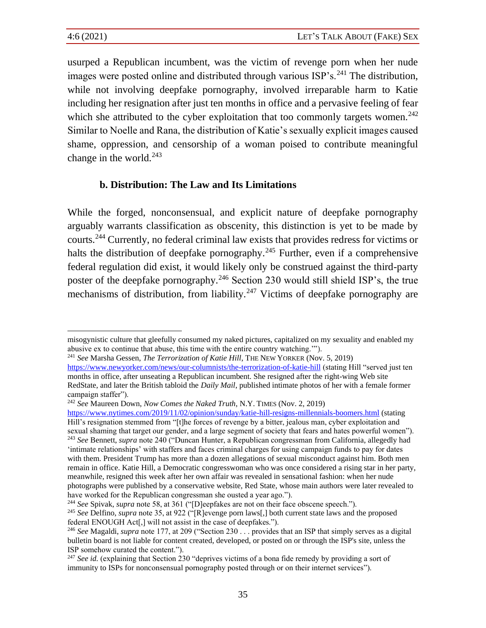usurped a Republican incumbent, was the victim of revenge porn when her nude images were posted online and distributed through various  $ISP's$ <sup>241</sup>. The distribution, while not involving deepfake pornography, involved irreparable harm to Katie including her resignation after just ten months in office and a pervasive feeling of fear which she attributed to the cyber exploitation that too commonly targets women.<sup>242</sup> Similar to Noelle and Rana, the distribution of Katie's sexually explicit images caused shame, oppression, and censorship of a woman poised to contribute meaningful change in the world. $243$ 

#### **b. Distribution: The Law and Its Limitations**

While the forged, nonconsensual, and explicit nature of deepfake pornography arguably warrants classification as obscenity, this distinction is yet to be made by courts.<sup>244</sup> Currently, no federal criminal law exists that provides redress for victims or halts the distribution of deepfake pornography.<sup>245</sup> Further, even if a comprehensive federal regulation did exist, it would likely only be construed against the third-party poster of the deepfake pornography.<sup>246</sup> Section 230 would still shield ISP's, the true mechanisms of distribution, from liability.<sup>247</sup> Victims of deepfake pornography are

misogynistic culture that gleefully consumed my naked pictures, capitalized on my sexuality and enabled my abusive ex to continue that abuse, this time with the entire country watching.'").

<sup>241</sup> *See* Marsha Gessen, *The Terrorization of Katie Hill*, THE NEW YORKER (Nov. 5, 2019) <https://www.newyorker.com/news/our-columnists/the-terrorization-of-katie-hill> (stating Hill "served just ten months in office, after unseating a Republican incumbent. She resigned after the right-wing Web site RedState, and later the British tabloid the *Daily Mail*, published intimate photos of her with a female former campaign staffer").

<sup>242</sup> *See* Maureen Down, *Now Comes the Naked Truth*, N.Y. TIMES (Nov. 2, 2019)

<https://www.nytimes.com/2019/11/02/opinion/sunday/katie-hill-resigns-millennials-boomers.html> (stating Hill's resignation stemmed from "[t]he forces of revenge by a bitter, jealous man, cyber exploitation and sexual shaming that target our gender, and a large segment of society that fears and hates powerful women"). <sup>243</sup> *See* Bennett, *supra* note 240 ("Duncan Hunter, a Republican congressman from California, allegedly had 'intimate relationships' with staffers and faces criminal charges for using campaign funds to pay for dates with them. President Trump has more than a dozen allegations of sexual misconduct against him. Both men remain in office. Katie Hill, a Democratic congresswoman who was once considered a rising star in her party, meanwhile, resigned this week after her own affair was revealed in sensational fashion: when her nude photographs were published by a conservative website, Red State, whose main authors were later revealed to have worked for the Republican congressman she ousted a year ago.").

<sup>244</sup> *See* Spivak, *supra* note 58, at 361 ("[D]eepfakes are not on their face obscene speech.").

<sup>245</sup> *See* Delfino, *supra* note 35, at 922 ("[R]evenge porn laws[,] both current state laws and the proposed federal ENOUGH Act[,] will not assist in the case of deepfakes.").

<sup>246</sup> *See* Magaldi, *supra* note 177, at 209 ("Section 230 . . . provides that an ISP that simply serves as a digital bulletin board is not liable for content created, developed, or posted on or through the ISP's site, unless the ISP somehow curated the content.").

<sup>&</sup>lt;sup>247</sup> See id. (explaining that Section 230 "deprives victims of a bona fide remedy by providing a sort of immunity to ISPs for nonconsensual pornography posted through or on their internet services").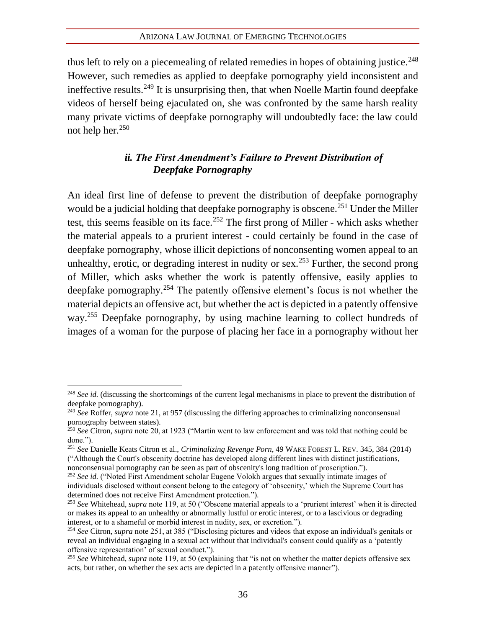thus left to rely on a piecemealing of related remedies in hopes of obtaining justice.<sup>248</sup> However, such remedies as applied to deepfake pornography yield inconsistent and ineffective results.<sup>249</sup> It is unsurprising then, that when Noelle Martin found deepfake videos of herself being ejaculated on, she was confronted by the same harsh reality many private victims of deepfake pornography will undoubtedly face: the law could not help her. $250$ 

## *ii. The First Amendment's Failure to Prevent Distribution of Deepfake Pornography*

An ideal first line of defense to prevent the distribution of deepfake pornography would be a judicial holding that deepfake pornography is obscene.<sup>251</sup> Under the Miller test, this seems feasible on its face.<sup>252</sup> The first prong of Miller - which asks whether the material appeals to a prurient interest - could certainly be found in the case of deepfake pornography, whose illicit depictions of nonconsenting women appeal to an unhealthy, erotic, or degrading interest in nudity or sex.<sup>253</sup> Further, the second prong of Miller, which asks whether the work is patently offensive, easily applies to deepfake pornography.<sup>254</sup> The patently offensive element's focus is not whether the material depicts an offensive act, but whether the act is depicted in a patently offensive way.<sup>255</sup> Deepfake pornography, by using machine learning to collect hundreds of images of a woman for the purpose of placing her face in a pornography without her

<sup>&</sup>lt;sup>248</sup> *See id.* (discussing the shortcomings of the current legal mechanisms in place to prevent the distribution of deepfake pornography).

<sup>249</sup> *See* Roffer, *supra* note 21, at 957 (discussing the differing approaches to criminalizing nonconsensual pornography between states).

<sup>250</sup> *See* Citron, *supra* note 20, at 1923 ("Martin went to law enforcement and was told that nothing could be done.").

<sup>251</sup> *See* Danielle Keats Citron et al., *Criminalizing Revenge Porn*, 49 WAKE FOREST L. REV. 345, 384 (2014) ("Although the Court's obscenity doctrine has developed along different lines with distinct justifications,

nonconsensual pornography can be seen as part of obscenity's long tradition of proscription."). <sup>252</sup> *See id.* ("Noted First Amendment scholar Eugene Volokh argues that sexually intimate images of

individuals disclosed without consent belong to the category of 'obscenity,' which the Supreme Court has determined does not receive First Amendment protection.").

<sup>253</sup> *See* Whitehead, *supra* note 119, at 50 ("Obscene material appeals to a 'prurient interest' when it is directed or makes its appeal to an unhealthy or abnormally lustful or erotic interest, or to a lascivious or degrading interest, or to a shameful or morbid interest in nudity, sex, or excretion.").

<sup>254</sup> *See* Citron, *supra* note 251, at 385 ("Disclosing pictures and videos that expose an individual's genitals or reveal an individual engaging in a sexual act without that individual's consent could qualify as a 'patently offensive representation' of sexual conduct.").

<sup>&</sup>lt;sup>255</sup> See Whitehead, *supra* note 119, at 50 (explaining that "is not on whether the matter depicts offensive sex acts, but rather, on whether the sex acts are depicted in a patently offensive manner").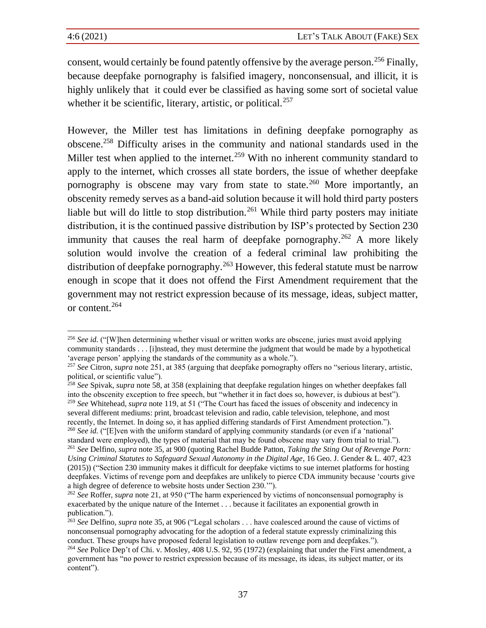consent, would certainly be found patently offensive by the average person.<sup>256</sup> Finally, because deepfake pornography is falsified imagery, nonconsensual, and illicit, it is highly unlikely that it could ever be classified as having some sort of societal value whether it be scientific, literary, artistic, or political. $257$ 

However, the Miller test has limitations in defining deepfake pornography as obscene.<sup>258</sup> Difficulty arises in the community and national standards used in the Miller test when applied to the internet.<sup>259</sup> With no inherent community standard to apply to the internet, which crosses all state borders, the issue of whether deepfake pornography is obscene may vary from state to state.<sup>260</sup> More importantly, an obscenity remedy serves as a band-aid solution because it will hold third party posters liable but will do little to stop distribution.<sup>261</sup> While third party posters may initiate distribution, it is the continued passive distribution by ISP's protected by Section 230 immunity that causes the real harm of deepfake pornography.<sup>262</sup> A more likely solution would involve the creation of a federal criminal law prohibiting the distribution of deepfake pornography.<sup>263</sup> However, this federal statute must be narrow enough in scope that it does not offend the First Amendment requirement that the government may not restrict expression because of its message, ideas, subject matter, or content.<sup>264</sup>

<sup>&</sup>lt;sup>256</sup> See id. ("[W]hen determining whether visual or written works are obscene, juries must avoid applying community standards . . . [i]nstead, they must determine the judgment that would be made by a hypothetical 'average person' applying the standards of the community as a whole.").

<sup>257</sup> *See* Citron, *supra* note 251, at 385 (arguing that deepfake pornography offers no "serious literary, artistic, political, or scientific value").

<sup>258</sup> *See* Spivak, *supra* note 58, at 358 (explaining that deepfake regulation hinges on whether deepfakes fall into the obscenity exception to free speech, but "whether it in fact does so, however, is dubious at best"). <sup>259</sup> *See* Whitehead, *supra* note 119, at 51 ("The Court has faced the issues of obscenity and indecency in several different mediums: print, broadcast television and radio, cable television, telephone, and most recently, the Internet. In doing so, it has applied differing standards of First Amendment protection."). <sup>260</sup> *See id.* ("[E]ven with the uniform standard of applying community standards (or even if a 'national'

standard were employed), the types of material that may be found obscene may vary from trial to trial."). <sup>261</sup> *See* Delfino, *supra* not[e 35,](#page-10-0) at 900 (quoting Rachel Budde Patton, *Taking the Sting Out of Revenge Porn: Using Criminal Statutes to Safeguard Sexual Autonomy in the Digital Age*, 16 Geo. J. Gender & L. 407, 423 (2015)) ("Section 230 immunity makes it difficult for deepfake victims to sue internet platforms for hosting deepfakes. Victims of revenge porn and deepfakes are unlikely to pierce CDA immunity because 'courts give a high degree of deference to website hosts under Section 230.'").

<sup>&</sup>lt;sup>262</sup> *See* Roffer, *supra* not[e 21,](#page-9-1) at 950 ("The harm experienced by victims of nonconsensual pornography is exacerbated by the unique nature of the Internet . . . because it facilitates an exponential growth in publication.").

<sup>263</sup> *See* Delfino, *supra* not[e 35,](#page-10-0) at 906 ("Legal scholars . . . have coalesced around the cause of victims of nonconsensual pornography advocating for the adoption of a federal statute expressly criminalizing this conduct. These groups have proposed federal legislation to outlaw revenge porn and deepfakes.").

<sup>264</sup> *See* Police Dep't of Chi. v. Mosley, 408 U.S. 92, 95 (1972) (explaining that under the First amendment, a government has "no power to restrict expression because of its message, its ideas, its subject matter, or its content").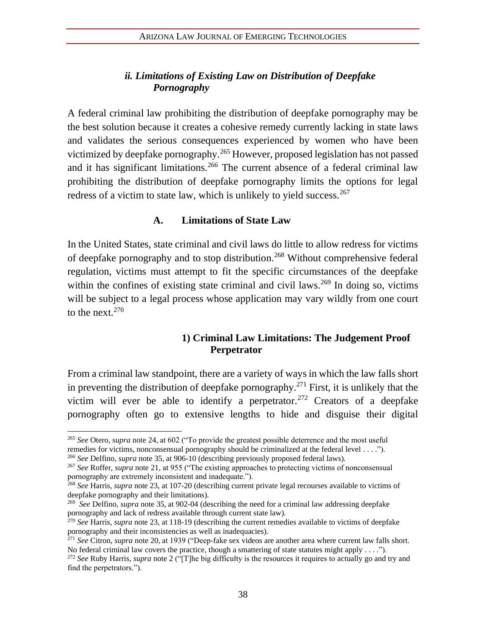## *ii. Limitations of Existing Law on Distribution of Deepfake Pornography*

A federal criminal law prohibiting the distribution of deepfake pornography may be the best solution because it creates a cohesive remedy currently lacking in state laws and validates the serious consequences experienced by women who have been victimized by deepfake pornography.<sup>265</sup> However, proposed legislation has not passed and it has significant limitations.<sup>266</sup> The current absence of a federal criminal law prohibiting the distribution of deepfake pornography limits the options for legal redress of a victim to state law, which is unlikely to yield success.<sup>267</sup>

#### **A. Limitations of State Law**

In the United States, state criminal and civil laws do little to allow redress for victims of deepfake pornography and to stop distribution.<sup>268</sup> Without comprehensive federal regulation, victims must attempt to fit the specific circumstances of the deepfake within the confines of existing state criminal and civil laws.<sup>269</sup> In doing so, victims will be subject to a legal process whose application may vary wildly from one court to the next.<sup>270</sup>

## **1) Criminal Law Limitations: The Judgement Proof Perpetrator**

From a criminal law standpoint, there are a variety of ways in which the law falls short in preventing the distribution of deepfake pornography.<sup>271</sup> First, it is unlikely that the victim will ever be able to identify a perpetrator.<sup>272</sup> Creators of a deepfake pornography often go to extensive lengths to hide and disguise their digital

<sup>265</sup> *See* Otero, *supra* not[e 24,](#page-9-2) at 602 ("To provide the greatest possible deterrence and the most useful remedies for victims, nonconsensual pornography should be criminalized at the federal level . . . ."). <sup>266</sup> *See* Delfino, *supra* not[e 35,](#page-10-0) at 906-10 (describing previously proposed federal laws).

<sup>267</sup> *See* Roffer, *supra* not[e 21,](#page-9-1) at 955 ("The existing approaches to protecting victims of nonconsensual pornography are extremely inconsistent and inadequate.").

<sup>268</sup> *See* Harris, *supra* not[e 23,](#page-9-0) at 107-20 (describing current private legal recourses available to victims of deepfake pornography and their limitations).

<sup>269</sup> *See* Delfino, *supra* not[e 35,](#page-10-0) at 902-04 (describing the need for a criminal law addressing deepfake pornography and lack of redress available through current state law).

<sup>&</sup>lt;sup>270</sup> *See* Harris, *supra* not[e 23,](#page-9-0) at 118-19 (describing the current remedies available to victims of deepfake pornography and their inconsistencies as well as inadequacies).

<sup>271</sup> *See* Citron, *supra* not[e 20,](#page-8-0) at 1939 ("Deep-fake sex videos are another area where current law falls short. No federal criminal law covers the practice, though a smattering of state statutes might apply . . . .").

<sup>272</sup> *See* Ruby Harris, *supra* not[e 2](#page-6-2) ("[T]he big difficulty is the resources it requires to actually go and try and find the perpetrators.").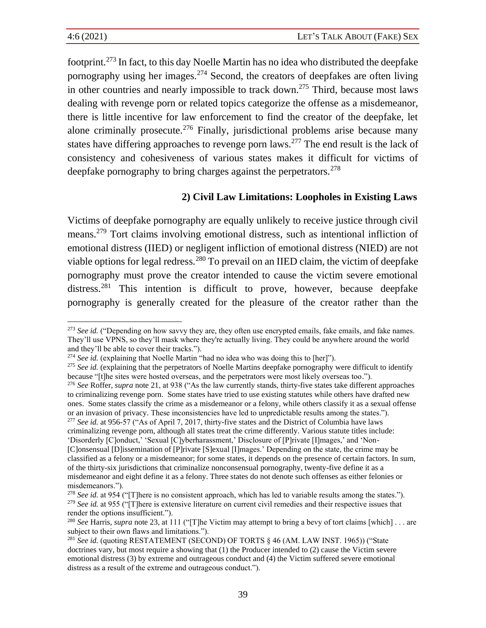footprint.<sup>273</sup> In fact, to this day Noelle Martin has no idea who distributed the deepfake pornography using her images. $274$  Second, the creators of deepfakes are often living in other countries and nearly impossible to track down.<sup>275</sup> Third, because most laws dealing with revenge porn or related topics categorize the offense as a misdemeanor, there is little incentive for law enforcement to find the creator of the deepfake, let alone criminally prosecute.<sup>276</sup> Finally, jurisdictional problems arise because many states have differing approaches to revenge porn laws.<sup>277</sup> The end result is the lack of consistency and cohesiveness of various states makes it difficult for victims of deepfake pornography to bring charges against the perpetrators.<sup>278</sup>

## **2) Civil Law Limitations: Loopholes in Existing Laws**

Victims of deepfake pornography are equally unlikely to receive justice through civil means.<sup>279</sup> Tort claims involving emotional distress, such as intentional infliction of emotional distress (IIED) or negligent infliction of emotional distress (NIED) are not viable options for legal redress.<sup>280</sup> To prevail on an IIED claim, the victim of deepfake pornography must prove the creator intended to cause the victim severe emotional distress.<sup>281</sup> This intention is difficult to prove, however, because deepfake pornography is generally created for the pleasure of the creator rather than the

<sup>277</sup> *See id.* at 956-57 ("As of April 7, 2017, thirty-five states and the District of Columbia have laws criminalizing revenge porn, although all states treat the crime differently. Various statute titles include: 'Disorderly [C]onduct,' 'Sexual [C]yberharassment,' Disclosure of [P]rivate [I]mages,' and 'Non- [C]onsensual [D]issemination of [P]rivate [S]exual [I]mages.' Depending on the state, the crime may be classified as a felony or a misdemeanor; for some states, it depends on the presence of certain factors. In sum, of the thirty-six jurisdictions that criminalize nonconsensual pornography, twenty-five define it as a misdemeanor and eight define it as a felony. Three states do not denote such offenses as either felonies or misdemeanors.").

<sup>&</sup>lt;sup>273</sup> *See id.* ("Depending on how savvy they are, they often use encrypted emails, fake emails, and fake names. They'll use VPNS, so they'll mask where they're actually living. They could be anywhere around the world and they'll be able to cover their tracks.").

<sup>&</sup>lt;sup>274</sup> See id. (explaining that Noelle Martin "had no idea who was doing this to [her]").

<sup>&</sup>lt;sup>275</sup> See id. (explaining that the perpetrators of Noelle Martins deepfake pornography were difficult to identify because "[t]he sites were hosted overseas, and the perpetrators were most likely overseas too.").

<sup>276</sup> *See* Roffer*, supra* not[e 21,](#page-9-1) at 938 ("As the law currently stands, thirty-five states take different approaches to criminalizing revenge porn. Some states have tried to use existing statutes while others have drafted new ones. Some states classify the crime as a misdemeanor or a felony, while others classify it as a sexual offense or an invasion of privacy. These inconsistencies have led to unpredictable results among the states.").

<sup>278</sup> *See id.* at 954 ("[T]here is no consistent approach, which has led to variable results among the states."). <sup>279</sup> See id. at 955 ("[T]here is extensive literature on current civil remedies and their respective issues that render the options insufficient.").

<sup>280</sup> *See* Harris, *supra* not[e 23,](#page-9-0) at 111 ("[T]he Victim may attempt to bring a bevy of tort claims [which] . . . are subject to their own flaws and limitations.").

<sup>281</sup> *See id.* (quoting RESTATEMENT (SECOND) OF TORTS § 46 (AM. LAW INST. 1965)) ("State doctrines vary, but most require a showing that (1) the Producer intended to (2) cause the Victim severe emotional distress (3) by extreme and outrageous conduct and (4) the Victim suffered severe emotional distress as a result of the extreme and outrageous conduct.").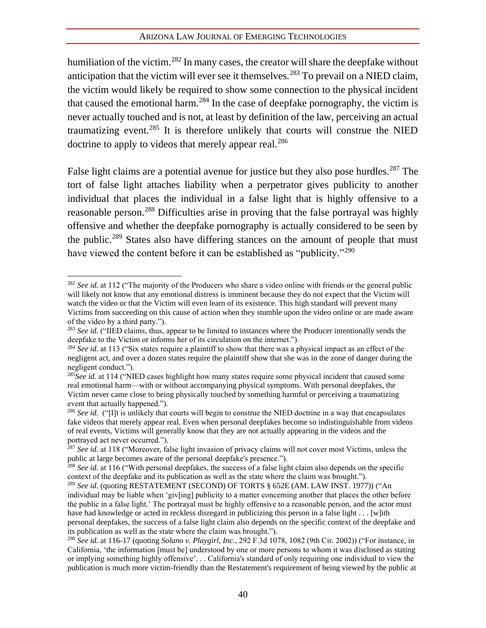humiliation of the victim.<sup>282</sup> In many cases, the creator will share the deepfake without anticipation that the victim will ever see it themselves.<sup>283</sup> To prevail on a NIED claim, the victim would likely be required to show some connection to the physical incident that caused the emotional harm.<sup>284</sup> In the case of deepfake pornography, the victim is never actually touched and is not, at least by definition of the law, perceiving an actual traumatizing event.<sup>285</sup> It is therefore unlikely that courts will construe the NIED doctrine to apply to videos that merely appear real.<sup>286</sup>

False light claims are a potential avenue for justice but they also pose hurdles.<sup>287</sup> The tort of false light attaches liability when a perpetrator gives publicity to another individual that places the individual in a false light that is highly offensive to a reasonable person.<sup>288</sup> Difficulties arise in proving that the false portrayal was highly offensive and whether the deepfake pornography is actually considered to be seen by the public.<sup>289</sup> States also have differing stances on the amount of people that must have viewed the content before it can be established as "publicity."<sup>290</sup>

<sup>&</sup>lt;sup>282</sup> *See id.* at 112 ("The majority of the Producers who share a video online with friends or the general public will likely not know that any emotional distress is imminent because they do not expect that the Victim will watch the video or that the Victim will even learn of its existence. This high standard will prevent many Victims from succeeding on this cause of action when they stumble upon the video online or are made aware of the video by a third party.").

<sup>&</sup>lt;sup>283</sup> *See id.* ("IIED claims, thus, appear to be limited to instances where the Producer intentionally sends the deepfake to the Victim or informs her of its circulation on the internet.").

<sup>&</sup>lt;sup>284</sup> See id. at 113 ("Six states require a plaintiff to show that there was a physical impact as an effect of the negligent act, and over a dozen states require the plaintiff show that she was in the zone of danger during the negligent conduct.").

<sup>&</sup>lt;sup>285</sup>*See id.* at 114 ("NIED cases highlight how many states require some physical incident that caused some real emotional harm—with or without accompanying physical symptoms. With personal deepfakes, the Victim never came close to being physically touched by something harmful or perceiving a traumatizing event that actually happened.").

<sup>&</sup>lt;sup>286</sup> *See id.* ("[I]t is unlikely that courts will begin to construe the NIED doctrine in a way that encapsulates fake videos that merely appear real. Even when personal deepfakes become so indistinguishable from videos of real events, Victims will generally know that they are not actually appearing in the videos and the portrayed act never occurred.").

<sup>287</sup> *See id.* at 118 ("Moreover, false light invasion of privacy claims will not cover most Victims, unless the public at large becomes aware of the personal deepfake's presence.").

<sup>288</sup> *See id.* at 116 ("With personal deepfakes, the success of a false light claim also depends on the specific context of the deepfake and its publication as well as the state where the claim was brought.").

<sup>&</sup>lt;sup>289</sup> See id. (quoting RESTATEMENT (SECOND) OF TORTS § 652E (AM. LAW INST. 1977)) ("An individual may be liable when 'giv[ing] publicity to a matter concerning another that places the other before the public in a false light.' The portrayal must be highly offensive to a reasonable person, and the actor must have had knowledge or acted in reckless disregard in publicizing this person in a false light . . . [w]ith personal deepfakes, the success of a false light claim also depends on the specific context of the deepfake and

its publication as well as the state where the claim was brought.").

<sup>290</sup> *See id.* at 116-17 (quoting *Solano v. Playgirl, Inc.*, 292 F.3d 1078, 1082 (9th Cir. 2002)) ("For instance, in California, 'the information [must be] understood by one or more persons to whom it was disclosed as stating or implying something highly offensive'. . . California's standard of only requiring one individual to view the publication is much more victim-friendly than the Restatement's requirement of being viewed by the public at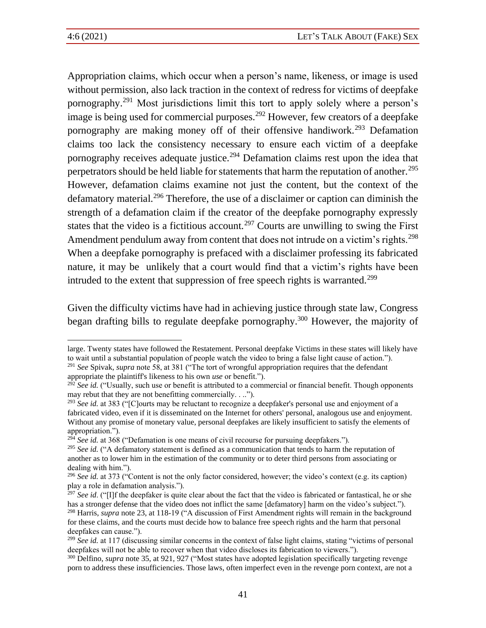Appropriation claims, which occur when a person's name, likeness, or image is used without permission, also lack traction in the context of redress for victims of deepfake pornography.<sup>291</sup> Most jurisdictions limit this tort to apply solely where a person's image is being used for commercial purposes.<sup>292</sup> However, few creators of a deepfake pornography are making money off of their offensive handiwork.<sup>293</sup> Defamation claims too lack the consistency necessary to ensure each victim of a deepfake pornography receives adequate justice.<sup>294</sup> Defamation claims rest upon the idea that perpetrators should be held liable for statements that harm the reputation of another.<sup>295</sup> However, defamation claims examine not just the content, but the context of the defamatory material.<sup>296</sup> Therefore, the use of a disclaimer or caption can diminish the strength of a defamation claim if the creator of the deepfake pornography expressly states that the video is a fictitious account.<sup>297</sup> Courts are unwilling to swing the First Amendment pendulum away from content that does not intrude on a victim's rights.<sup>298</sup> When a deepfake pornography is prefaced with a disclaimer professing its fabricated nature, it may be unlikely that a court would find that a victim's rights have been intruded to the extent that suppression of free speech rights is warranted.<sup>299</sup>

Given the difficulty victims have had in achieving justice through state law, Congress began drafting bills to regulate deepfake pornography.<sup>300</sup> However, the majority of

<sup>292</sup> *See id.* ("Usually, such use or benefit is attributed to a commercial or financial benefit. Though opponents may rebut that they are not benefitting commercially. . ..").

<sup>294</sup> See id. at 368 ("Defamation is one means of civil recourse for pursuing deepfakers.").

large. Twenty states have followed the Restatement. Personal deepfake Victims in these states will likely have to wait until a substantial population of people watch the video to bring a false light cause of action."). <sup>291</sup> *See* Spivak, *supra* note 58, at 381 ("The tort of wrongful appropriation requires that the defendant appropriate the plaintiff's likeness to his own *use* or benefit.").

<sup>293</sup> *See id.* at 383 ("[C]ourts may be reluctant to recognize a deepfaker's personal use and enjoyment of a fabricated video, even if it is disseminated on the Internet for others' personal, analogous use and enjoyment. Without any promise of monetary value, personal deepfakes are likely insufficient to satisfy the elements of appropriation.").

<sup>&</sup>lt;sup>295</sup> See id. ("A defamatory statement is defined as a communication that tends to harm the reputation of another as to lower him in the estimation of the community or to deter third persons from associating or dealing with him.").

<sup>&</sup>lt;sup>296</sup> *See id.* at 373 ("Content is not the only factor considered, however; the video's context (e.g. its caption) play a role in defamation analysis.").

<sup>&</sup>lt;sup>297</sup> *See id.* ("[I]f the deepfaker is quite clear about the fact that the video is fabricated or fantastical, he or she has a stronger defense that the video does not inflict the same [defamatory] harm on the video's subject."). <sup>298</sup> Harris, *supra* note 23, at 118-19 ("A discussion of First Amendment rights will remain in the background for these claims, and the courts must decide how to balance free speech rights and the harm that personal deepfakes can cause.").

<sup>&</sup>lt;sup>299</sup> See id. at 117 (discussing similar concerns in the context of false light claims, stating "victims of personal deepfakes will not be able to recover when that video discloses its fabrication to viewers.").

<sup>&</sup>lt;sup>300</sup> Delfino, *supra* note 35, at 921, 927 ("Most states have adopted legislation specifically targeting revenge porn to address these insufficiencies. Those laws, often imperfect even in the revenge porn context, are not a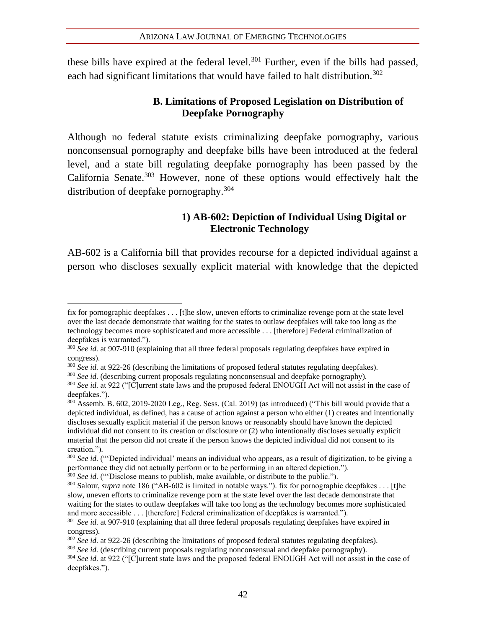these bills have expired at the federal level.<sup>301</sup> Further, even if the bills had passed. each had significant limitations that would have failed to halt distribution.<sup>302</sup>

## **B. Limitations of Proposed Legislation on Distribution of Deepfake Pornography**

Although no federal statute exists criminalizing deepfake pornography, various nonconsensual pornography and deepfake bills have been introduced at the federal level, and a state bill regulating deepfake pornography has been passed by the California Senate. $303$  However, none of these options would effectively halt the distribution of deepfake pornography.<sup>304</sup>

## **1) AB-602: Depiction of Individual Using Digital or Electronic Technology**

AB-602 is a California bill that provides recourse for a depicted individual against a person who discloses sexually explicit material with knowledge that the depicted

fix for pornographic deepfakes . . . [t]he slow, uneven efforts to criminalize revenge porn at the state level over the last decade demonstrate that waiting for the states to outlaw deepfakes will take too long as the technology becomes more sophisticated and more accessible . . . [therefore] Federal criminalization of deepfakes is warranted.").

<sup>&</sup>lt;sup>300</sup> See id. at 907-910 (explaining that all three federal proposals regulating deepfakes have expired in congress).

<sup>&</sup>lt;sup>300</sup> *See id.* at 922-26 (describing the limitations of proposed federal statutes regulating deepfakes).

<sup>&</sup>lt;sup>300</sup> See id. (describing current proposals regulating nonconsensual and deepfake pornography).

<sup>300</sup> *See id.* at 922 ("[C]urrent state laws and the proposed federal ENOUGH Act will not assist in the case of deepfakes.").

<sup>300</sup> Assemb. B. 602, 2019-2020 Leg., Reg. Sess. (Cal. 2019) (as introduced) ("This bill would provide that a depicted individual, as defined, has a cause of action against a person who either (1) creates and intentionally discloses sexually explicit material if the person knows or reasonably should have known the depicted individual did not consent to its creation or disclosure or (2) who intentionally discloses sexually explicit material that the person did not create if the person knows the depicted individual did not consent to its creation.").

<sup>&</sup>lt;sup>300</sup> *See id.* ("Depicted individual' means an individual who appears, as a result of digitization, to be giving a performance they did not actually perform or to be performing in an altered depiction.").

<sup>&</sup>lt;sup>300</sup> *See id.* ("Disclose means to publish, make available, or distribute to the public.").

<sup>&</sup>lt;sup>300</sup> Salour, *supra* note 186 ("AB-602 is limited in notable ways."). fix for pornographic deepfakes . . . [t]he slow, uneven efforts to criminalize revenge porn at the state level over the last decade demonstrate that waiting for the states to outlaw deepfakes will take too long as the technology becomes more sophisticated and more accessible . . . [therefore] Federal criminalization of deepfakes is warranted.").

<sup>&</sup>lt;sup>301</sup> See id. at 907-910 (explaining that all three federal proposals regulating deepfakes have expired in congress).

<sup>&</sup>lt;sup>302</sup> *See id.* at 922-26 (describing the limitations of proposed federal statutes regulating deepfakes).

<sup>&</sup>lt;sup>303</sup> See id. (describing current proposals regulating nonconsensual and deepfake pornography).

<sup>304</sup> *See id.* at 922 ("[C]urrent state laws and the proposed federal ENOUGH Act will not assist in the case of deepfakes.").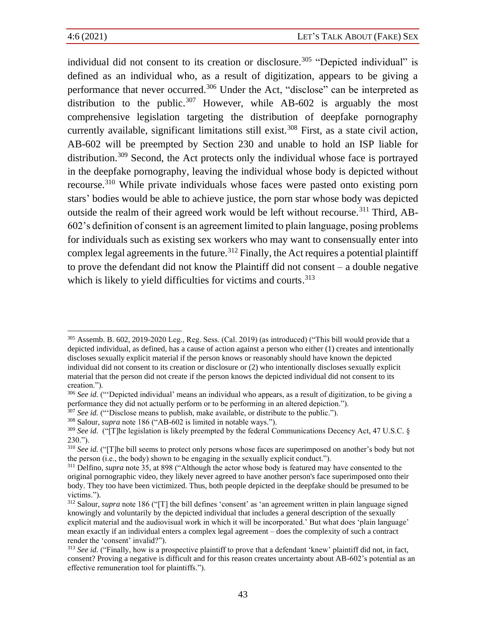individual did not consent to its creation or disclosure.<sup>305</sup> "Depicted individual" is defined as an individual who, as a result of digitization, appears to be giving a performance that never occurred.<sup>306</sup> Under the Act, "disclose" can be interpreted as distribution to the public.<sup>307</sup> However, while AB-602 is arguably the most comprehensive legislation targeting the distribution of deepfake pornography currently available, significant limitations still exist.<sup>308</sup> First, as a state civil action, AB-602 will be preempted by Section 230 and unable to hold an ISP liable for distribution.<sup>309</sup> Second, the Act protects only the individual whose face is portrayed in the deepfake pornography, leaving the individual whose body is depicted without recourse.<sup>310</sup> While private individuals whose faces were pasted onto existing porn stars' bodies would be able to achieve justice, the porn star whose body was depicted outside the realm of their agreed work would be left without recourse.<sup>311</sup> Third, AB-602's definition of consent is an agreement limited to plain language, posing problems for individuals such as existing sex workers who may want to consensually enter into complex legal agreements in the future.<sup>312</sup> Finally, the Act requires a potential plaintiff to prove the defendant did not know the Plaintiff did not consent – a double negative which is likely to yield difficulties for victims and courts.<sup>313</sup>

<sup>305</sup> Assemb. B. 602, 2019-2020 Leg., Reg. Sess. (Cal. 2019) (as introduced) ("This bill would provide that a depicted individual, as defined, has a cause of action against a person who either (1) creates and intentionally discloses sexually explicit material if the person knows or reasonably should have known the depicted individual did not consent to its creation or disclosure or (2) who intentionally discloses sexually explicit material that the person did not create if the person knows the depicted individual did not consent to its creation.").

<sup>&</sup>lt;sup>306</sup> *See id.* ("Depicted individual' means an individual who appears, as a result of digitization, to be giving a performance they did not actually perform or to be performing in an altered depiction.").

<sup>307</sup> *See id.* ("'Disclose means to publish, make available, or distribute to the public.").

<sup>308</sup> Salour, *supra* note 186 ("AB-602 is limited in notable ways.").

<sup>&</sup>lt;sup>309</sup> *See id.* ("[T]he legislation is likely preempted by the federal Communications Decency Act, 47 U.S.C. § 230.").

<sup>&</sup>lt;sup>310</sup> See id. ("[T]he bill seems to protect only persons whose faces are superimposed on another's body but not the person (i.e., the body) shown to be engaging in the sexually explicit conduct.").

<sup>311</sup> Delfino, *supra* note 35, at 898 ("Although the actor whose body is featured may have consented to the original pornographic video, they likely never agreed to have another person's face superimposed onto their body. They too have been victimized. Thus, both people depicted in the deepfake should be presumed to be victims.").

<sup>312</sup> Salour, *supra* note 186 ("[T] the bill defines 'consent' as 'an agreement written in plain language signed knowingly and voluntarily by the depicted individual that includes a general description of the sexually explicit material and the audiovisual work in which it will be incorporated.' But what does 'plain language' mean exactly if an individual enters a complex legal agreement – does the complexity of such a contract render the 'consent' invalid?").

<sup>&</sup>lt;sup>313</sup> See id. ("Finally, how is a prospective plaintiff to prove that a defendant 'knew' plaintiff did not, in fact, consent? Proving a negative is difficult and for this reason creates uncertainty about AB-602's potential as an effective remuneration tool for plaintiffs.").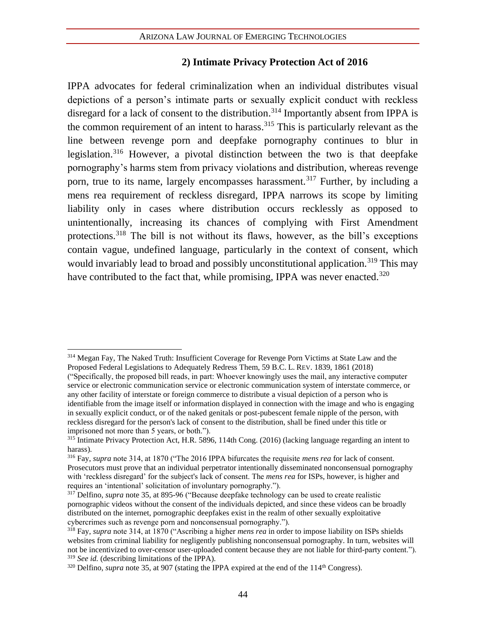#### **2) Intimate Privacy Protection Act of 2016**

IPPA advocates for federal criminalization when an individual distributes visual depictions of a person's intimate parts or sexually explicit conduct with reckless disregard for a lack of consent to the distribution.<sup>314</sup> Importantly absent from IPPA is the common requirement of an intent to harass. <sup>315</sup> This is particularly relevant as the line between revenge porn and deepfake pornography continues to blur in legislation.<sup>316</sup> However, a pivotal distinction between the two is that deepfake pornography's harms stem from privacy violations and distribution, whereas revenge porn, true to its name, largely encompasses harassment.<sup>317</sup> Further, by including a mens rea requirement of reckless disregard, IPPA narrows its scope by limiting liability only in cases where distribution occurs recklessly as opposed to unintentionally, increasing its chances of complying with First Amendment protections.<sup>318</sup> The bill is not without its flaws, however, as the bill's exceptions contain vague, undefined language, particularly in the context of consent, which would invariably lead to broad and possibly unconstitutional application.<sup>319</sup> This may have contributed to the fact that, while promising, IPPA was never enacted.<sup>320</sup>

<sup>&</sup>lt;sup>314</sup> Megan Fay, The Naked Truth: Insufficient Coverage for Revenge Porn Victims at State Law and the Proposed Federal Legislations to Adequately Redress Them, 59 B.C. L. REV. 1839, 1861 (2018) ("Specifically, the proposed bill reads, in part: Whoever knowingly uses the mail, any interactive computer service or electronic communication service or electronic communication system of interstate commerce, or

any other facility of interstate or foreign commerce to distribute a visual depiction of a person who is identifiable from the image itself or information displayed in connection with the image and who is engaging in sexually explicit conduct, or of the naked genitals or post-pubescent female nipple of the person, with reckless disregard for the person's lack of consent to the distribution, shall be fined under this title or imprisoned not more than 5 years, or both.").

<sup>&</sup>lt;sup>315</sup> Intimate Privacy Protection Act, H.R. 5896, 114th Cong. (2016) (lacking language regarding an intent to harass).

<sup>316</sup> Fay, *supra* note 314, at 1870 ("The 2016 IPPA bifurcates the requisite *mens rea* for lack of consent. Prosecutors must prove that an individual perpetrator intentionally disseminated nonconsensual pornography with 'reckless disregard' for the subject's lack of consent. The *mens rea* for ISPs, however, is higher and requires an 'intentional' solicitation of involuntary pornography.").

<sup>317</sup> Delfino, *supra* note 35, at 895-96 ("Because deepfake technology can be used to create realistic pornographic videos without the consent of the individuals depicted, and since these videos can be broadly distributed on the internet, pornographic deepfakes exist in the realm of other sexually exploitative cybercrimes such as revenge porn and nonconsensual pornography.").

<sup>318</sup> Fay, *supra* note 314, at 1870 ("Ascribing a higher *mens rea* in order to impose liability on ISPs shields websites from criminal liability for negligently publishing nonconsensual pornography. In turn, websites will not be incentivized to over-censor user-uploaded content because they are not liable for third-party content."). <sup>319</sup> *See id.* (describing limitations of the IPPA).

<sup>&</sup>lt;sup>320</sup> Delfino, *supra* note 35, at 907 (stating the IPPA expired at the end of the 114<sup>th</sup> Congress).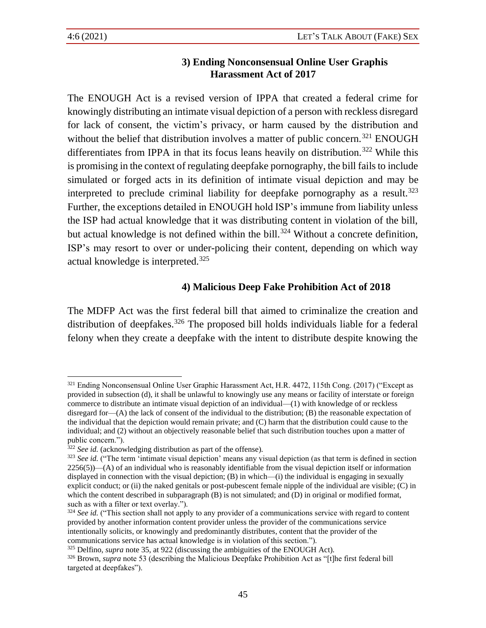## **3) Ending Nonconsensual Online User Graphis Harassment Act of 2017**

The ENOUGH Act is a revised version of IPPA that created a federal crime for knowingly distributing an intimate visual depiction of a person with reckless disregard for lack of consent, the victim's privacy, or harm caused by the distribution and without the belief that distribution involves a matter of public concern.<sup>321</sup> ENOUGH differentiates from IPPA in that its focus leans heavily on distribution.<sup>322</sup> While this is promising in the context of regulating deepfake pornography, the bill fails to include simulated or forged acts in its definition of intimate visual depiction and may be interpreted to preclude criminal liability for deepfake pornography as a result.<sup>323</sup> Further, the exceptions detailed in ENOUGH hold ISP's immune from liability unless the ISP had actual knowledge that it was distributing content in violation of the bill, but actual knowledge is not defined within the bill.<sup>324</sup> Without a concrete definition, ISP's may resort to over or under-policing their content, depending on which way actual knowledge is interpreted.<sup>325</sup>

## **4) Malicious Deep Fake Prohibition Act of 2018**

The MDFP Act was the first federal bill that aimed to criminalize the creation and distribution of deepfakes.<sup>326</sup> The proposed bill holds individuals liable for a federal felony when they create a deepfake with the intent to distribute despite knowing the

<sup>321</sup> Ending Nonconsensual Online User Graphic Harassment Act, H.R. 4472, 115th Cong. (2017) ("Except as provided in subsection (d), it shall be unlawful to knowingly use any means or facility of interstate or foreign commerce to distribute an intimate visual depiction of an individual—(1) with knowledge of or reckless disregard for—(A) the lack of consent of the individual to the distribution; (B) the reasonable expectation of the individual that the depiction would remain private; and (C) harm that the distribution could cause to the individual; and (2) without an objectively reasonable belief that such distribution touches upon a matter of public concern.").

<sup>&</sup>lt;sup>322</sup> *See id.* (acknowledging distribution as part of the offense).

<sup>&</sup>lt;sup>323</sup> See id. ("The term 'intimate visual depiction' means any visual depiction (as that term is defined in section 2256(5))—(A) of an individual who is reasonably identifiable from the visual depiction itself or information displayed in connection with the visual depiction;  $(B)$  in which— $(i)$  the individual is engaging in sexually explicit conduct; or (ii) the naked genitals or post-pubescent female nipple of the individual are visible; (C) in which the content described in subparagraph (B) is not simulated; and (D) in original or modified format, such as with a filter or text overlay.").

<sup>&</sup>lt;sup>324</sup> *See id.* ("This section shall not apply to any provider of a communications service with regard to content provided by another information content provider unless the provider of the communications service intentionally solicits, or knowingly and predominantly distributes, content that the provider of the communications service has actual knowledge is in violation of this section.").

<sup>325</sup> Delfino, *supra* note 35, at 922 (discussing the ambiguities of the ENOUGH Act).

<sup>326</sup> Brown, *supra* note 53 (describing the Malicious Deepfake Prohibition Act as "[t]he first federal bill targeted at deepfakes").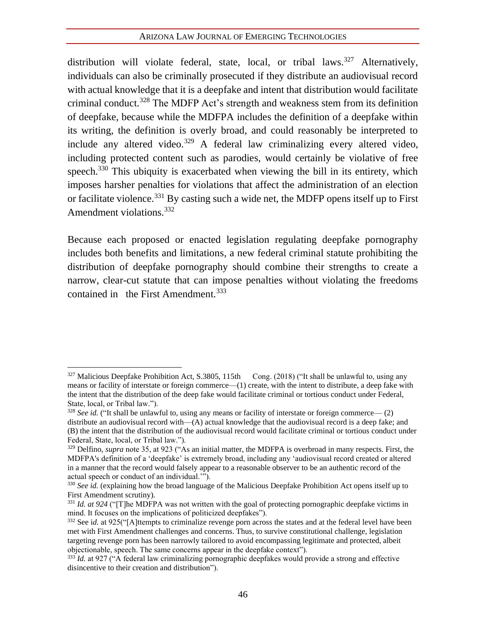distribution will violate federal, state, local, or tribal laws.<sup>327</sup> Alternatively, individuals can also be criminally prosecuted if they distribute an audiovisual record with actual knowledge that it is a deepfake and intent that distribution would facilitate criminal conduct.<sup>328</sup> The MDFP Act's strength and weakness stem from its definition of deepfake, because while the MDFPA includes the definition of a deepfake within its writing, the definition is overly broad, and could reasonably be interpreted to include any altered video.<sup>329</sup> A federal law criminalizing every altered video, including protected content such as parodies, would certainly be violative of free speech.<sup>330</sup> This ubiquity is exacerbated when viewing the bill in its entirety, which imposes harsher penalties for violations that affect the administration of an election or facilitate violence.<sup>331</sup> By casting such a wide net, the MDFP opens itself up to First Amendment violations.<sup>332</sup>

Because each proposed or enacted legislation regulating deepfake pornography includes both benefits and limitations, a new federal criminal statute prohibiting the distribution of deepfake pornography should combine their strengths to create a narrow, clear-cut statute that can impose penalties without violating the freedoms contained in the First Amendment.<sup>333</sup>

<sup>327</sup> Malicious Deepfake Prohibition Act, S.3805, 115th Cong. (2018) ("It shall be unlawful to, using any means or facility of interstate or foreign commerce—(1) create, with the intent to distribute, a deep fake with the intent that the distribution of the deep fake would facilitate criminal or tortious conduct under Federal, State, local, or Tribal law.").

<sup>&</sup>lt;sup>328</sup> *See id.* ("It shall be unlawful to, using any means or facility of interstate or foreign commerce— (2) distribute an audiovisual record with—(A) actual knowledge that the audiovisual record is a deep fake; and (B) the intent that the distribution of the audiovisual record would facilitate criminal or tortious conduct under Federal, State, local, or Tribal law.").

<sup>&</sup>lt;sup>329</sup> Delfino, *supra* note 35, at 923 ("As an initial matter, the MDFPA is overbroad in many respects. First, the MDFPA's definition of a 'deepfake' is extremely broad, including any 'audiovisual record created or altered in a manner that the record would falsely appear to a reasonable observer to be an authentic record of the actual speech or conduct of an individual.'").

<sup>&</sup>lt;sup>330</sup> See id. (explaining how the broad language of the Malicious Deepfake Prohibition Act opens itself up to First Amendment scrutiny).

<sup>&</sup>lt;sup>331</sup> *Id. at 924* ("[T]he MDFPA was not written with the goal of protecting pornographic deepfake victims in mind. It focuses on the implications of politicized deepfakes").

<sup>332</sup> See i*d.* at 925("[A]ttempts to criminalize revenge porn across the states and at the federal level have been met with First Amendment challenges and concerns. Thus, to survive constitutional challenge, legislation targeting revenge porn has been narrowly tailored to avoid encompassing legitimate and protected, albeit objectionable, speech. The same concerns appear in the deepfake context").

<sup>&</sup>lt;sup>333</sup> *Id.* at 927 ("A federal law criminalizing pornographic deepfakes would provide a strong and effective disincentive to their creation and distribution").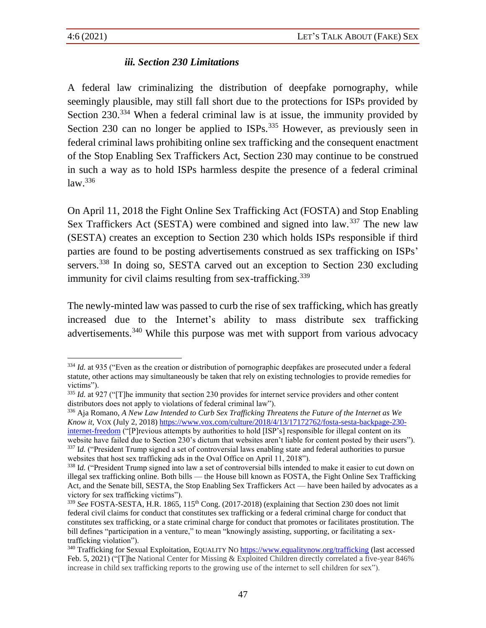## *iii. Section 230 Limitations*

A federal law criminalizing the distribution of deepfake pornography, while seemingly plausible, may still fall short due to the protections for ISPs provided by Section 230.<sup>334</sup> When a federal criminal law is at issue, the immunity provided by Section 230 can no longer be applied to ISPs.<sup>335</sup> However, as previously seen in federal criminal laws prohibiting online sex trafficking and the consequent enactment of the Stop Enabling Sex Traffickers Act, Section 230 may continue to be construed in such a way as to hold ISPs harmless despite the presence of a federal criminal  $law.<sup>336</sup>$ 

On April 11, 2018 the Fight Online Sex Trafficking Act (FOSTA) and Stop Enabling Sex Traffickers Act (SESTA) were combined and signed into law.<sup>337</sup> The new law (SESTA) creates an exception to Section 230 which holds ISPs responsible if third parties are found to be posting advertisements construed as sex trafficking on ISPs' servers.<sup>338</sup> In doing so, SESTA carved out an exception to Section 230 excluding immunity for civil claims resulting from sex-trafficking.<sup>339</sup>

The newly-minted law was passed to curb the rise of sex trafficking, which has greatly increased due to the Internet's ability to mass distribute sex trafficking advertisements.<sup>340</sup> While this purpose was met with support from various advocacy

<sup>336</sup> Aja Romano, *A New Law Intended to Curb Sex Trafficking Threatens the Future of the Internet as We Know it*, VOX (July 2, 2018) [https://www.vox.com/culture/2018/4/13/17172762/fosta-sesta-backpage-230](https://www.vox.com/culture/2018/4/13/17172762/fosta-sesta-backpage-230-internet-freedom) [internet-freedom](https://www.vox.com/culture/2018/4/13/17172762/fosta-sesta-backpage-230-internet-freedom) ("[P]revious attempts by authorities to hold [ISP's] responsible for illegal content on its website have failed due to Section 230's dictum that websites aren't liable for content posted by their users"). <sup>337</sup> Id. ("President Trump signed a set of controversial laws enabling state and federal authorities to pursue websites that host sex trafficking ads in the Oval Office on April 11, 2018").

<sup>&</sup>lt;sup>334</sup> *Id.* at 935 ("Even as the creation or distribution of pornographic deepfakes are prosecuted under a federal statute, other actions may simultaneously be taken that rely on existing technologies to provide remedies for victims").

<sup>&</sup>lt;sup>335</sup> *Id.* at 927 ("[T]he immunity that section 230 provides for internet service providers and other content distributors does not apply to violations of federal criminal law").

<sup>&</sup>lt;sup>338</sup> Id. ("President Trump signed into law a set of controversial bills intended to make it easier to cut down on illegal sex trafficking online. Both bills — the House bill known as FOSTA, the Fight Online Sex Trafficking Act, and the Senate bill, SESTA, the Stop Enabling Sex Traffickers Act — have been hailed by advocates as a victory for sex trafficking victims").

<sup>339</sup> *See* FOSTA-SESTA, H.R. 1865, 115th Cong. (2017-2018) (explaining that Section 230 does not limit federal civil claims for conduct that constitutes sex trafficking or a federal criminal charge for conduct that constitutes sex trafficking, or a state criminal charge for conduct that promotes or facilitates prostitution. The bill defines "participation in a venture," to mean "knowingly assisting, supporting, or facilitating a sextrafficking violation").

<sup>&</sup>lt;sup>340</sup> Trafficking for Sexual Exploitation, EQUALITY NO <https://www.equalitynow.org/trafficking> (last accessed Feb. 5, 2021) ("[T]he National Center for Missing & Exploited Children directly correlated a five-year 846% increase in child sex trafficking reports to the growing use of the internet to sell children for sex").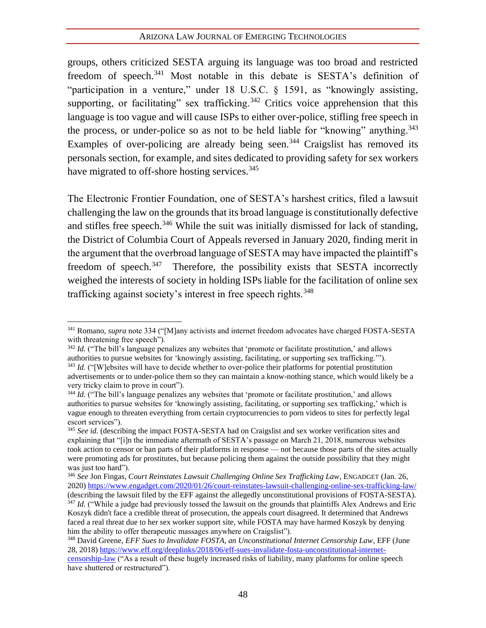groups, others criticized SESTA arguing its language was too broad and restricted freedom of speech.<sup>341</sup> Most notable in this debate is SESTA's definition of "participation in a venture," under 18 U.S.C. § 1591, as "knowingly assisting, supporting, or facilitating" sex trafficking.<sup>342</sup> Critics voice apprehension that this language is too vague and will cause ISPs to either over-police, stifling free speech in the process, or under-police so as not to be held liable for "knowing" anything.<sup>343</sup> Examples of over-policing are already being seen.<sup>344</sup> Craigslist has removed its personals section, for example, and sites dedicated to providing safety for sex workers have migrated to off-shore hosting services.<sup>345</sup>

The Electronic Frontier Foundation, one of SESTA's harshest critics, filed a lawsuit challenging the law on the grounds that its broad language is constitutionally defective and stifles free speech.<sup>346</sup> While the suit was initially dismissed for lack of standing, the District of Columbia Court of Appeals reversed in January 2020, finding merit in the argument that the overbroad language of SESTA may have impacted the plaintiff's freedom of speech.<sup>347</sup> Therefore, the possibility exists that SESTA incorrectly weighed the interests of society in holding ISPs liable for the facilitation of online sex trafficking against society's interest in free speech rights.<sup>348</sup>

<sup>341</sup> Romano, *supra* note 334 ("[M]any activists and internet freedom advocates have charged FOSTA-SESTA with threatening free speech").

<sup>&</sup>lt;sup>342</sup> *Id.* ("The bill's language penalizes any websites that 'promote or facilitate prostitution,' and allows authorities to pursue websites for 'knowingly assisting, facilitating, or supporting sex trafficking.'"). <sup>343</sup> *Id.* ("[W]ebsites will have to decide whether to over-police their platforms for potential prostitution

advertisements or to under-police them so they can maintain a know-nothing stance, which would likely be a very tricky claim to prove in court").

<sup>&</sup>lt;sup>344</sup> *Id.* ("The bill's language penalizes any websites that 'promote or facilitate prostitution,' and allows authorities to pursue websites for 'knowingly assisting, facilitating, or supporting sex trafficking,' which is vague enough to threaten everything from certain cryptocurrencies to porn videos to sites for perfectly legal escort services").

<sup>345</sup> *See id.* (describing the impact FOSTA-SESTA had on Craigslist and sex worker verification sites and explaining that "[i]n the immediate aftermath of SESTA's passage on March 21, 2018, numerous websites took action to censor or ban parts of their platforms in response — not because those parts of the sites actually were promoting ads for prostitutes, but because policing them against the outside possibility that they might was just too hard").

<sup>346</sup> *See* Jon Fingas, *Court Reinstates Lawsuit Challenging Online Sex Trafficking Law*, ENGADGET (Jan. 26, 2020)<https://www.engadget.com/2020/01/26/court-reinstates-lawsuit-challenging-online-sex-trafficking-law/> (describing the lawsuit filed by the EFF against the allegedly unconstitutional provisions of FOSTA-SESTA).

<sup>&</sup>lt;sup>347</sup> *Id.* ("While a judge had previously tossed the lawsuit on the grounds that plaintiffs Alex Andrews and Eric Koszyk didn't face a credible threat of prosecution, the appeals court disagreed. It determined that Andrews faced a real threat due to her sex worker support site, while FOSTA may have harmed Koszyk by denying him the ability to offer therapeutic massages anywhere on Craigslist").

<sup>348</sup> David Greene, *EFF Sues to Invalidate FOSTA, an Unconstitutional Internet Censorship Law*, EFF (June 28, 2018) [https://www.eff.org/deeplinks/2018/06/eff-sues-invalidate-fosta-unconstitutional-internet](https://www.eff.org/deeplinks/2018/06/eff-sues-invalidate-fosta-unconstitutional-internet-censorship-law)[censorship-law](https://www.eff.org/deeplinks/2018/06/eff-sues-invalidate-fosta-unconstitutional-internet-censorship-law) ("As a result of these hugely increased risks of liability, many platforms for online speech have shuttered or restructured").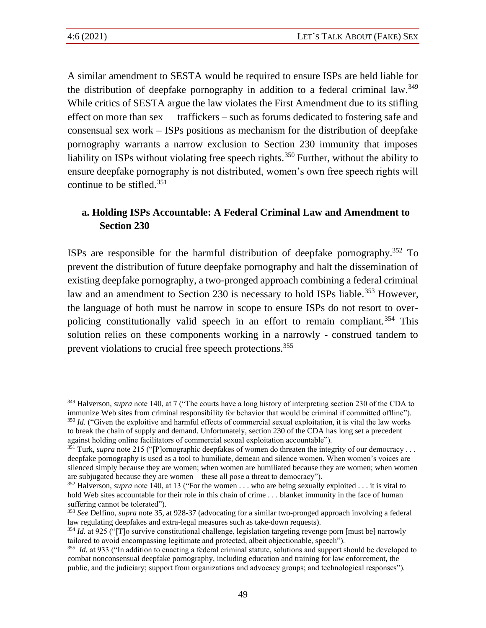A similar amendment to SESTA would be required to ensure ISPs are held liable for the distribution of deepfake pornography in addition to a federal criminal law.<sup>349</sup> While critics of SESTA argue the law violates the First Amendment due to its stifling effect on more than sex traffickers – such as forums dedicated to fostering safe and consensual sex work – ISPs positions as mechanism for the distribution of deepfake pornography warrants a narrow exclusion to Section 230 immunity that imposes liability on ISPs without violating free speech rights.<sup>350</sup> Further, without the ability to ensure deepfake pornography is not distributed, women's own free speech rights will continue to be stifled.<sup>351</sup>

## **a. Holding ISPs Accountable: A Federal Criminal Law and Amendment to Section 230**

ISPs are responsible for the harmful distribution of deepfake pornography.<sup>352</sup> To prevent the distribution of future deepfake pornography and halt the dissemination of existing deepfake pornography, a two-pronged approach combining a federal criminal law and an amendment to Section 230 is necessary to hold ISPs liable.<sup>353</sup> However, the language of both must be narrow in scope to ensure ISPs do not resort to overpolicing constitutionally valid speech in an effort to remain compliant.<sup>354</sup> This solution relies on these components working in a narrowly - construed tandem to prevent violations to crucial free speech protections.<sup>355</sup>

<sup>349</sup> Halverson, *supra* note 140, at 7 ("The courts have a long history of interpreting section 230 of the CDA to immunize Web sites from criminal responsibility for behavior that would be criminal if committed offline"). <sup>350</sup> *Id.* ("Given the exploitive and harmful effects of commercial sexual exploitation, it is vital the law works to break the chain of supply and demand. Unfortunately, section 230 of the CDA has long set a precedent against holding online facilitators of commercial sexual exploitation accountable").

<sup>&</sup>lt;sup>351</sup> Turk, *supra* note 215 ("[P]ornographic deepfakes of women do threaten the integrity of our democracy ... deepfake pornography is used as a tool to humiliate, demean and silence women. When women's voices are silenced simply because they are women; when women are humiliated because they are women; when women are subjugated because they are women – these all pose a threat to democracy").

<sup>352</sup> Halverson, *supra* note 140, at 13 ("For the women . . . who are being sexually exploited . . . it is vital to hold Web sites accountable for their role in this chain of crime . . . blanket immunity in the face of human suffering cannot be tolerated").

<sup>353</sup> *See* Delfino, *supra* note 35, at 928-37 (advocating for a similar two-pronged approach involving a federal law regulating deepfakes and extra-legal measures such as take-down requests).

<sup>&</sup>lt;sup>354</sup> *Id.* at 925 ("[T]o survive constitutional challenge, legislation targeting revenge porn [must be] narrowly tailored to avoid encompassing legitimate and protected, albeit objectionable, speech").

<sup>&</sup>lt;sup>355</sup> *Id.* at 933 ("In addition to enacting a federal criminal statute, solutions and support should be developed to combat nonconsensual deepfake pornography, including education and training for law enforcement, the public, and the judiciary; support from organizations and advocacy groups; and technological responses").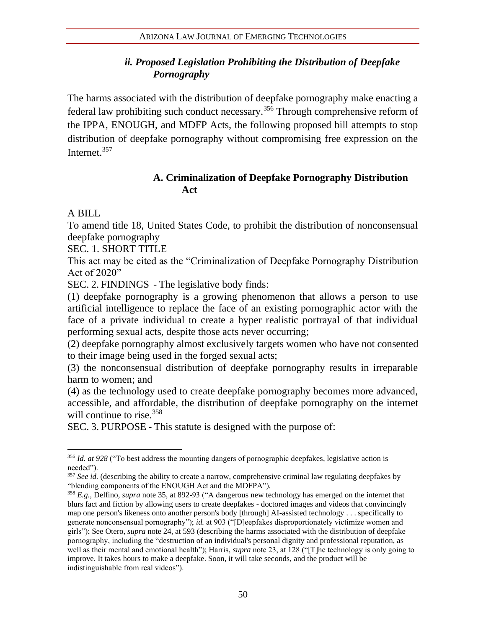## *ii. Proposed Legislation Prohibiting the Distribution of Deepfake Pornography*

The harms associated with the distribution of deepfake pornography make enacting a federal law prohibiting such conduct necessary.<sup>356</sup> Through comprehensive reform of the IPPA, ENOUGH, and MDFP Acts, the following proposed bill attempts to stop distribution of deepfake pornography without compromising free expression on the Internet.<sup>357</sup>

## **A. Criminalization of Deepfake Pornography Distribution Act**

A BILL

To amend title 18, United States Code, to prohibit the distribution of nonconsensual deepfake pornography

SEC. 1. SHORT TITLE

This act may be cited as the "Criminalization of Deepfake Pornography Distribution Act of 2020"

SEC. 2. FINDINGS - The legislative body finds:

(1) deepfake pornography is a growing phenomenon that allows a person to use artificial intelligence to replace the face of an existing pornographic actor with the face of a private individual to create a hyper realistic portrayal of that individual performing sexual acts, despite those acts never occurring;

(2) deepfake pornography almost exclusively targets women who have not consented to their image being used in the forged sexual acts;

(3) the nonconsensual distribution of deepfake pornography results in irreparable harm to women; and

(4) as the technology used to create deepfake pornography becomes more advanced, accessible, and affordable, the distribution of deepfake pornography on the internet will continue to rise.<sup>358</sup>

SEC. 3. PURPOSE - This statute is designed with the purpose of:

<sup>356</sup> *Id. at 928* ("To best address the mounting dangers of pornographic deepfakes, legislative action is needed").

<sup>&</sup>lt;sup>357</sup> See id. (describing the ability to create a narrow, comprehensive criminal law regulating deepfakes by "blending components of the ENOUGH Act and the MDFPA").

<sup>358</sup> *E.g.*, Delfino, *supra* note 35, at 892-93 ("A dangerous new technology has emerged on the internet that blurs fact and fiction by allowing users to create deepfakes - doctored images and videos that convincingly map one person's likeness onto another person's body [through] AI-assisted technology . . . specifically to generate nonconsensual pornography"); *id.* at 903 ("[D]eepfakes disproportionately victimize women and girls"); See Otero, *supra* note 24, at 593 (describing the harms associated with the distribution of deepfake pornography, including the "destruction of an individual's personal dignity and professional reputation, as well as their mental and emotional health"); Harris, *supra* note 23, at 128 ("[T]he technology is only going to improve. It takes hours to make a deepfake. Soon, it will take seconds, and the product will be indistinguishable from real videos").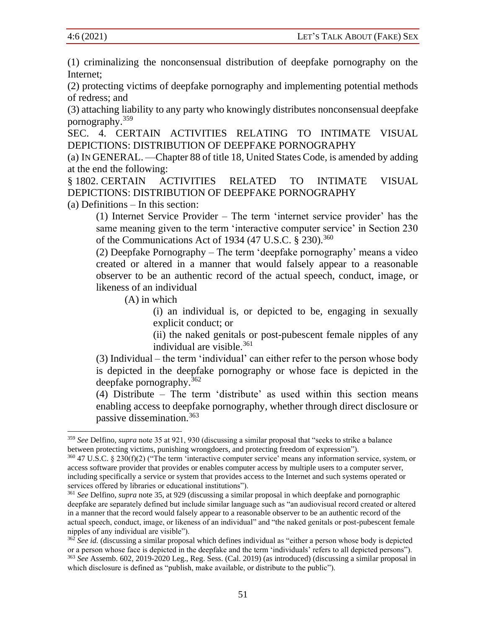(1) criminalizing the nonconsensual distribution of deepfake pornography on the Internet;

(2) protecting victims of deepfake pornography and implementing potential methods of redress; and

(3) attaching liability to any party who knowingly distributes nonconsensual deepfake pornography.<sup>359</sup>

SEC. 4. CERTAIN ACTIVITIES RELATING TO INTIMATE VISUAL DEPICTIONS: DISTRIBUTION OF DEEPFAKE PORNOGRAPHY

(a) IN GENERAL. —Chapter 88 of title 18, United States Code, is amended by adding at the end the following:

§ 1802. CERTAIN ACTIVITIES RELATED TO INTIMATE VISUAL DEPICTIONS: DISTRIBUTION OF DEEPFAKE PORNOGRAPHY

(a) Definitions – In this section:

(1) Internet Service Provider – The term 'internet service provider' has the same meaning given to the term 'interactive computer service' in Section 230 of the Communications Act of 1934 (47 U.S.C.  $\S 230$ ).<sup>360</sup>

(2) Deepfake Pornography – The term 'deepfake pornography' means a video created or altered in a manner that would falsely appear to a reasonable observer to be an authentic record of the actual speech, conduct, image, or likeness of an individual

(A) in which

(i) an individual is, or depicted to be, engaging in sexually explicit conduct; or

(ii) the naked genitals or post-pubescent female nipples of any individual are visible. $361$ 

(3) Individual – the term 'individual' can either refer to the person whose body is depicted in the deepfake pornography or whose face is depicted in the deepfake pornography.<sup>362</sup>

(4) Distribute – The term 'distribute' as used within this section means enabling access to deepfake pornography, whether through direct disclosure or passive dissemination.<sup>363</sup>

<sup>359</sup> *See* Delfino, *supra* note 35 at 921, 930 (discussing a similar proposal that "seeks to strike a balance between protecting victims, punishing wrongdoers, and protecting freedom of expression").

<sup>360</sup> 47 U.S.C. § 230(f)(2) ("The term 'interactive computer service' means any information service, system, or access software provider that provides or enables computer access by multiple users to a computer server, including specifically a service or system that provides access to the Internet and such systems operated or services offered by libraries or educational institutions").

<sup>361</sup> *See* Delfino, *supra* note 35, at 929 (discussing a similar proposal in which deepfake and pornographic deepfake are separately defined but include similar language such as "an audiovisual record created or altered in a manner that the record would falsely appear to a reasonable observer to be an authentic record of the actual speech, conduct, image, or likeness of an individual" and "the naked genitals or post-pubescent female nipples of any individual are visible").

<sup>&</sup>lt;sup>362</sup> *See id.* (discussing a similar proposal which defines individual as "either a person whose body is depicted or a person whose face is depicted in the deepfake and the term 'individuals' refers to all depicted persons"). <sup>363</sup> *See* Assemb. 602, 2019-2020 Leg., Reg. Sess. (Cal. 2019) (as introduced) (discussing a similar proposal in which disclosure is defined as "publish, make available, or distribute to the public").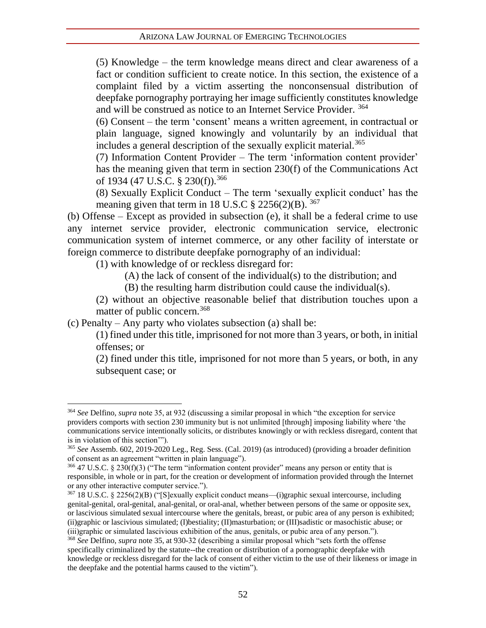(5) Knowledge – the term knowledge means direct and clear awareness of a fact or condition sufficient to create notice. In this section, the existence of a complaint filed by a victim asserting the nonconsensual distribution of deepfake pornography portraying her image sufficiently constitutes knowledge and will be construed as notice to an Internet Service Provider. <sup>364</sup>

(6) Consent – the term 'consent' means a written agreement, in contractual or plain language, signed knowingly and voluntarily by an individual that includes a general description of the sexually explicit material.<sup>365</sup>

(7) Information Content Provider – The term 'information content provider' has the meaning given that term in section 230(f) of the Communications Act of 1934 (47 U.S.C. § 230(f)).<sup>366</sup>

(8) Sexually Explicit Conduct – The term 'sexually explicit conduct' has the meaning given that term in 18 U.S.C  $\S 2256(2)(B)$ . <sup>367</sup>

(b) Offense – Except as provided in subsection (e), it shall be a federal crime to use any internet service provider, electronic communication service, electronic communication system of internet commerce, or any other facility of interstate or foreign commerce to distribute deepfake pornography of an individual:

(1) with knowledge of or reckless disregard for:

(A) the lack of consent of the individual(s) to the distribution; and

(B) the resulting harm distribution could cause the individual(s).

(2) without an objective reasonable belief that distribution touches upon a matter of public concern.<sup>368</sup>

(c) Penalty – Any party who violates subsection (a) shall be:

(1) fined under this title, imprisoned for not more than 3 years, or both, in initial offenses; or

(2) fined under this title, imprisoned for not more than 5 years, or both, in any subsequent case; or

<sup>367</sup> 18 U.S.C. § 2256(2)(B) ("[S]exually explicit conduct means—(i)graphic sexual intercourse, including genital-genital, oral-genital, anal-genital, or oral-anal, whether between persons of the same or opposite sex, or lascivious simulated sexual intercourse where the genitals, breast, or pubic area of any person is exhibited; (ii)graphic or lascivious simulated; (I)bestiality; (II)masturbation; or (III)sadistic or masochistic abuse; or (iii)graphic or simulated lascivious exhibition of the anus, genitals, or pubic area of any person.").

<sup>364</sup> *See* Delfino, *supra* note 35, at 932 (discussing a similar proposal in which "the exception for service providers comports with section 230 immunity but is not unlimited [through] imposing liability where 'the communications service intentionally solicits, or distributes knowingly or with reckless disregard, content that is in violation of this section'").

<sup>365</sup> *See* Assemb. 602, 2019-2020 Leg., Reg. Sess. (Cal. 2019) (as introduced) (providing a broader definition of consent as an agreement "written in plain language").

 $366$  47 U.S.C. § 230(f)(3) ("The term "information content provider" means any person or entity that is responsible, in whole or in part, for the creation or development of information provided through the Internet or any other interactive computer service.").

<sup>368</sup> *See* Delfino, *supra* note 35, at 930-32 (describing a similar proposal which "sets forth the offense specifically criminalized by the statute--the creation or distribution of a pornographic deepfake with knowledge or reckless disregard for the lack of consent of either victim to the use of their likeness or image in the deepfake and the potential harms caused to the victim").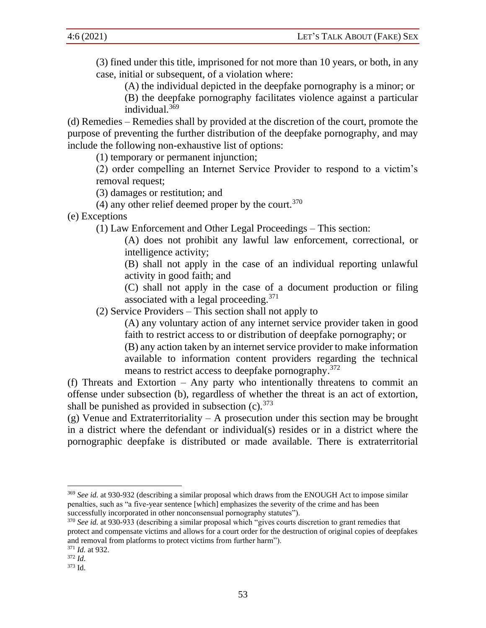(3) fined under this title, imprisoned for not more than 10 years, or both, in any case, initial or subsequent, of a violation where:

(A) the individual depicted in the deepfake pornography is a minor; or

(B) the deepfake pornography facilitates violence against a particular individual.<sup>369</sup>

(d) Remedies – Remedies shall by provided at the discretion of the court, promote the purpose of preventing the further distribution of the deepfake pornography, and may include the following non-exhaustive list of options:

(1) temporary or permanent injunction;

(2) order compelling an Internet Service Provider to respond to a victim's removal request;

(3) damages or restitution; and

(4) any other relief deemed proper by the court.  $370$ 

(e) Exceptions

(1) Law Enforcement and Other Legal Proceedings – This section:

(A) does not prohibit any lawful law enforcement, correctional, or intelligence activity;

(B) shall not apply in the case of an individual reporting unlawful activity in good faith; and

(C) shall not apply in the case of a document production or filing associated with a legal proceeding. $371$ 

(2) Service Providers – This section shall not apply to

(A) any voluntary action of any internet service provider taken in good faith to restrict access to or distribution of deepfake pornography; or

(B) any action taken by an internet service provider to make information available to information content providers regarding the technical means to restrict access to deepfake pornography.<sup>372</sup>

(f) Threats and Extortion – Any party who intentionally threatens to commit an offense under subsection (b), regardless of whether the threat is an act of extortion, shall be punished as provided in subsection (c).  $373$ 

(g) Venue and Extraterritoriality – A prosecution under this section may be brought in a district where the defendant or individual(s) resides or in a district where the pornographic deepfake is distributed or made available. There is extraterritorial

<sup>&</sup>lt;sup>369</sup> See id. at 930-932 (describing a similar proposal which draws from the ENOUGH Act to impose similar penalties, such as "a five-year sentence [which] emphasizes the severity of the crime and has been successfully incorporated in other nonconsensual pornography statutes").

<sup>370</sup> *See id.* at 930-933 (describing a similar proposal which "gives courts discretion to grant remedies that protect and compensate victims and allows for a court order for the destruction of original copies of deepfakes and removal from platforms to protect victims from further harm").

<sup>371</sup> *Id.* at 932.

<sup>372</sup> *Id*.

<sup>373</sup> Id.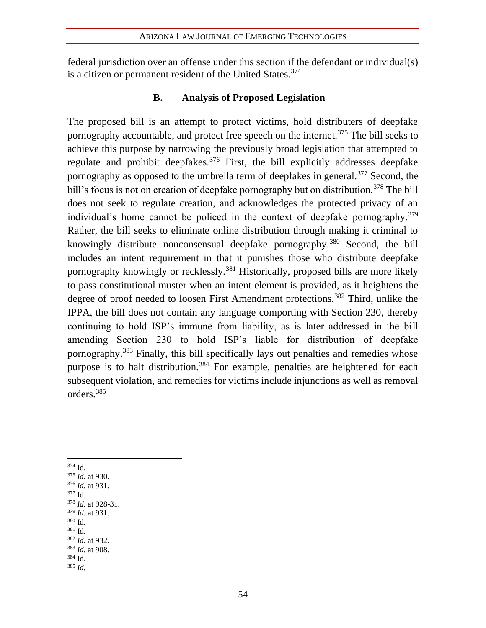federal jurisdiction over an offense under this section if the defendant or individual(s) is a citizen or permanent resident of the United States.<sup>374</sup>

## **B. Analysis of Proposed Legislation**

The proposed bill is an attempt to protect victims, hold distributers of deepfake pornography accountable, and protect free speech on the internet.<sup>375</sup> The bill seeks to achieve this purpose by narrowing the previously broad legislation that attempted to regulate and prohibit deepfakes.<sup>376</sup> First, the bill explicitly addresses deepfake pornography as opposed to the umbrella term of deepfakes in general.<sup>377</sup> Second, the bill's focus is not on creation of deepfake pornography but on distribution.<sup>378</sup> The bill does not seek to regulate creation, and acknowledges the protected privacy of an individual's home cannot be policed in the context of deepfake pornography.<sup>379</sup> Rather, the bill seeks to eliminate online distribution through making it criminal to knowingly distribute nonconsensual deepfake pornography.<sup>380</sup> Second, the bill includes an intent requirement in that it punishes those who distribute deepfake pornography knowingly or recklessly.<sup>381</sup> Historically, proposed bills are more likely to pass constitutional muster when an intent element is provided, as it heightens the degree of proof needed to loosen First Amendment protections.<sup>382</sup> Third, unlike the IPPA, the bill does not contain any language comporting with Section 230, thereby continuing to hold ISP's immune from liability, as is later addressed in the bill amending Section 230 to hold ISP's liable for distribution of deepfake pornography.<sup>383</sup> Finally, this bill specifically lays out penalties and remedies whose purpose is to halt distribution.<sup>384</sup> For example, penalties are heightened for each subsequent violation, and remedies for victims include injunctions as well as removal orders.<sup>385</sup>

<sup>374</sup> Id. <sup>375</sup> *Id.* at 930. <sup>376</sup> *Id.* at 931.  $377$  Id. <sup>378</sup> *Id.* at 928-31. <sup>379</sup> *Id.* at 931. <sup>380</sup> Id. <sup>381</sup> Id. <sup>382</sup> *Id.* at 932. <sup>383</sup> *Id.* at 908. <sup>384</sup> Id. <sup>385</sup> *Id.*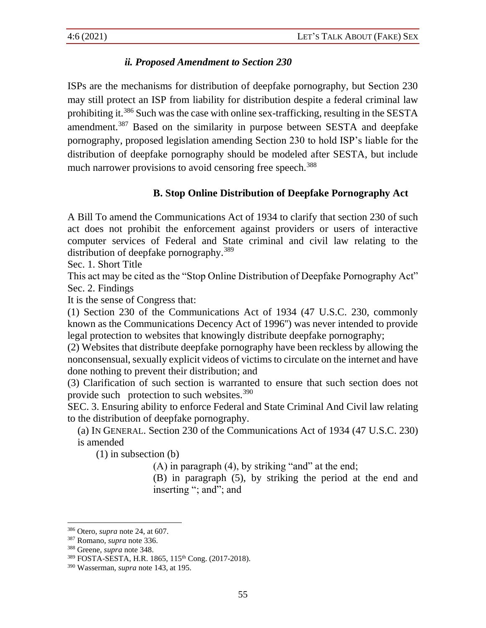## *ii. Proposed Amendment to Section 230*

ISPs are the mechanisms for distribution of deepfake pornography, but Section 230 may still protect an ISP from liability for distribution despite a federal criminal law prohibiting it.<sup>386</sup> Such was the case with online sex-trafficking, resulting in the SESTA amendment.<sup>387</sup> Based on the similarity in purpose between SESTA and deepfake pornography, proposed legislation amending Section 230 to hold ISP's liable for the distribution of deepfake pornography should be modeled after SESTA, but include much narrower provisions to avoid censoring free speech.<sup>388</sup>

## **B. Stop Online Distribution of Deepfake Pornography Act**

A Bill To amend the Communications Act of 1934 to clarify that section 230 of such act does not prohibit the enforcement against providers or users of interactive computer services of Federal and State criminal and civil law relating to the distribution of deepfake pornography.<sup>389</sup>

Sec. 1. Short Title

This act may be cited as the "Stop Online Distribution of Deepfake Pornography Act" Sec. 2. Findings

It is the sense of Congress that:

(1) Section 230 of the Communications Act of 1934 (47 U.S.C. 230, commonly known as the Communications Decency Act of 1996'') was never intended to provide legal protection to websites that knowingly distribute deepfake pornography;

(2) Websites that distribute deepfake pornography have been reckless by allowing the nonconsensual, sexually explicit videos of victims to circulate on the internet and have done nothing to prevent their distribution; and

(3) Clarification of such section is warranted to ensure that such section does not provide such protection to such websites.<sup>390</sup>

SEC. 3. Ensuring ability to enforce Federal and State Criminal And Civil law relating to the distribution of deepfake pornography.

(a) IN GENERAL. Section 230 of the Communications Act of 1934 (47 U.S.C. 230) is amended

(1) in subsection (b)

(A) in paragraph (4), by striking "and" at the end;

(B) in paragraph (5), by striking the period at the end and inserting "; and"; and

<sup>386</sup> Otero, *supra* note [24,](#page-9-2) at 607.

<sup>387</sup> Romano, *supra* note 336.

<sup>388</sup> Greene, *supra* note 348.

<sup>389</sup> FOSTA-SESTA, H.R. 1865, 115th Cong. (2017-2018).

<sup>390</sup> Wasserman, *supra* note 143, at 195.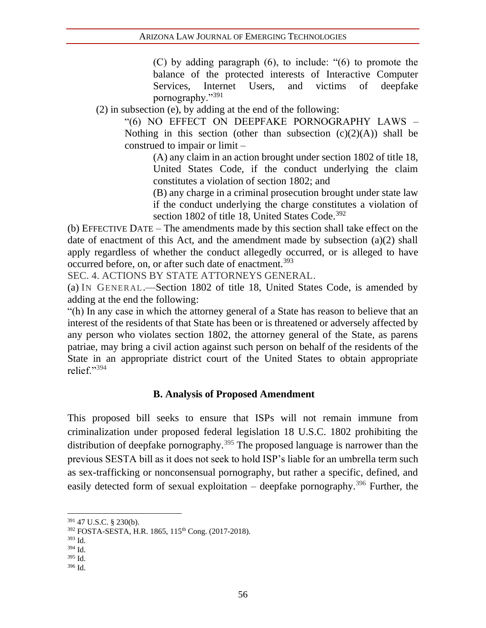(C) by adding paragraph (6), to include: "(6) to promote the balance of the protected interests of Interactive Computer Services, Internet Users, and victims of deepfake pornography."391

(2) in subsection (e), by adding at the end of the following:

"(6) NO EFFECT ON DEEPFAKE PORNOGRAPHY LAWS – Nothing in this section (other than subsection  $(c)(2)(A)$ ) shall be construed to impair or limit –

(A) any claim in an action brought under section 1802 of title 18, United States Code, if the conduct underlying the claim constitutes a violation of section 1802; and

(B) any charge in a criminal prosecution brought under state law if the conduct underlying the charge constitutes a violation of section 1802 of title 18, United States Code. $392$ 

(b) EFFECTIVE DATE – The amendments made by this section shall take effect on the date of enactment of this Act, and the amendment made by subsection (a)(2) shall apply regardless of whether the conduct allegedly occurred, or is alleged to have occurred before, on, or after such date of enactment.<sup>393</sup>

SEC. 4. ACTIONS BY STATE ATTORNEYS GENERAL.

(a) IN GENERAL.—Section 1802 of title 18, United States Code, is amended by adding at the end the following:

"(h) In any case in which the attorney general of a State has reason to believe that an interest of the residents of that State has been or is threatened or adversely affected by any person who violates section 1802, the attorney general of the State, as parens patriae, may bring a civil action against such person on behalf of the residents of the State in an appropriate district court of the United States to obtain appropriate relief."<sup>394</sup>

#### **B. Analysis of Proposed Amendment**

This proposed bill seeks to ensure that ISPs will not remain immune from criminalization under proposed federal legislation 18 U.S.C. 1802 prohibiting the distribution of deepfake pornography.<sup>395</sup> The proposed language is narrower than the previous SESTA bill as it does not seek to hold ISP's liable for an umbrella term such as sex-trafficking or nonconsensual pornography, but rather a specific, defined, and easily detected form of sexual exploitation – deepfake pornography.<sup>396</sup> Further, the

<sup>391</sup> 47 U.S.C. § 230(b).

<sup>392</sup> FOSTA-SESTA, H.R. 1865, 115<sup>th</sup> Cong. (2017-2018).

<sup>393</sup> Id.

<sup>394</sup> Id.

<sup>395</sup> Id.

<sup>396</sup> Id.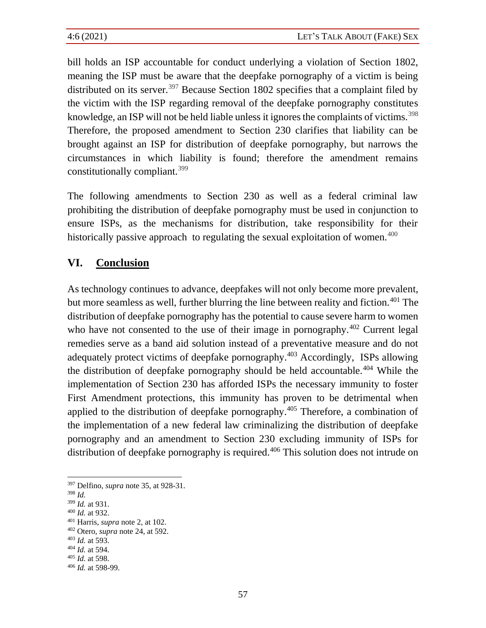bill holds an ISP accountable for conduct underlying a violation of Section 1802, meaning the ISP must be aware that the deepfake pornography of a victim is being distributed on its server.<sup>397</sup> Because Section 1802 specifies that a complaint filed by the victim with the ISP regarding removal of the deepfake pornography constitutes knowledge, an ISP will not be held liable unless it ignores the complaints of victims.<sup>398</sup> Therefore, the proposed amendment to Section 230 clarifies that liability can be brought against an ISP for distribution of deepfake pornography, but narrows the circumstances in which liability is found; therefore the amendment remains constitutionally compliant.<sup>399</sup>

The following amendments to Section 230 as well as a federal criminal law prohibiting the distribution of deepfake pornography must be used in conjunction to ensure ISPs, as the mechanisms for distribution, take responsibility for their historically passive approach to regulating the sexual exploitation of women.<sup>400</sup>

## **VI. Conclusion**

As technology continues to advance, deepfakes will not only become more prevalent, but more seamless as well, further blurring the line between reality and fiction.<sup>401</sup> The distribution of deepfake pornography has the potential to cause severe harm to women who have not consented to the use of their image in pornography.<sup> $402$ </sup> Current legal remedies serve as a band aid solution instead of a preventative measure and do not adequately protect victims of deepfake pornography.<sup>403</sup> Accordingly, ISPs allowing the distribution of deepfake pornography should be held accountable.<sup> $404$ </sup> While the implementation of Section 230 has afforded ISPs the necessary immunity to foster First Amendment protections, this immunity has proven to be detrimental when applied to the distribution of deepfake pornography.<sup>405</sup> Therefore, a combination of the implementation of a new federal law criminalizing the distribution of deepfake pornography and an amendment to Section 230 excluding immunity of ISPs for distribution of deepfake pornography is required.<sup>406</sup> This solution does not intrude on

<sup>397</sup> Delfino, *supra* note [35,](#page-10-0) at 928-31.

<sup>398</sup> *Id.*

<sup>399</sup> *Id.* at 931.

<sup>400</sup> *Id.* at 932.

<sup>401</sup> Harris, *supra* note 2, at 102.

<sup>402</sup> Otero, *supra* note [24,](#page-9-2) at 592.

<sup>403</sup> *Id.* at 593.

<sup>404</sup> *Id.* at 594.

<sup>405</sup> *Id.* at 598.

<sup>406</sup> *Id.* at 598-99.